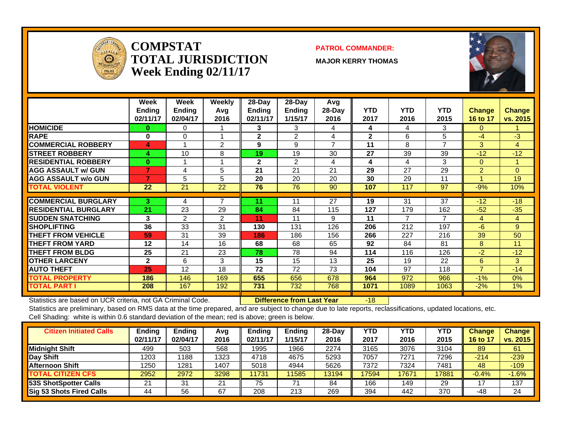

#### **COMPSTATTOTAL JURISDICTIONWeek Ending 02/11/17**

#### **PATROL COMMANDER:**

**MAJOR KERRY THOMAS**



|                             | Week<br><b>Ending</b><br>02/11/17 | Week<br>Ending<br>02/04/17 | Weekly<br>Avq<br>2016 | 28-Day<br>Ending<br>02/11/17 | $28$ -Day<br><b>Ending</b><br>1/15/17 | Avg<br>$28-Day$<br>2016  | <b>YTD</b><br>2017 | <b>YTD</b><br>2016 | <b>YTD</b><br>2015 | <b>Change</b><br>16 to 17 | <b>Change</b><br>vs. 2015 |
|-----------------------------|-----------------------------------|----------------------------|-----------------------|------------------------------|---------------------------------------|--------------------------|--------------------|--------------------|--------------------|---------------------------|---------------------------|
| <b>HOMICIDE</b>             | 0                                 | 0                          |                       | 3                            | 3                                     | 4                        | 4                  | 4                  | 3                  | $\Omega$                  |                           |
| <b>RAPE</b>                 | 0                                 | $\Omega$                   |                       | $\mathbf{2}$                 | $\mathfrak{p}$                        | 4                        | $\mathbf{2}$       | 6                  | 5                  | $-4$                      | $-3$                      |
| <b>COMMERCIAL ROBBERY</b>   | 4                                 |                            | $\mathcal{P}$         | 9                            | 9                                     | $\overline{\phantom{a}}$ | 11                 | 8                  | 7                  | 3                         | 4                         |
| <b>STREET ROBBERY</b>       | 4                                 | 10                         | 8                     | 19                           | 19                                    | 30                       | 27                 | 39                 | 39                 | $-12$                     | $-12$                     |
| <b>RESIDENTIAL ROBBERY</b>  | $\bf{0}$                          |                            |                       | $\mathbf{2}$                 | 2                                     | 4                        | 4                  | 4                  | 3                  | $\mathbf{0}$              |                           |
| <b>AGG ASSAULT w/ GUN</b>   | 7                                 | 4                          | 5                     | 21                           | 21                                    | 21                       | 29                 | 27                 | 29                 | 2                         | $\Omega$                  |
| <b>AGG ASSAULT w/o GUN</b>  | 7                                 | 5                          | 5                     | 20                           | 20                                    | 20                       | 30                 | 29                 | 11                 |                           | 19                        |
| <b>TOTAL VIOLENT</b>        | 22                                | 21                         | 22                    | 76                           | 76                                    | 90                       | 107                | 117                | 97                 | $-9%$                     | 10%                       |
| <b>COMMERCIAL BURGLARY</b>  | 3                                 |                            | 7                     | 11                           | 11                                    | 27                       | 19                 | 31                 | 37                 | $-12$                     | $-18$                     |
|                             |                                   | 4                          |                       |                              |                                       |                          |                    |                    |                    |                           |                           |
| <b>RESIDENTIAL BURGLARY</b> | 21                                | 23                         | 29                    | 84                           | 84                                    | 115                      | 127                | 179                | 162                | $-52$                     | $-35$                     |
| <b>SUDDEN SNATCHING</b>     | 3                                 | 2                          | 2                     | 11                           | 11                                    | 9                        | 11                 | $\overline{ }$     | $\overline{7}$     | 4                         | 4                         |
| <b>SHOPLIFTING</b>          | 36                                | 33                         | 31                    | 130                          | 131                                   | 126                      | 206                | 212                | 197                | $-6$                      | 9                         |
| <b>THEFT FROM VEHICLE</b>   | 59                                | 31                         | 39                    | 186                          | 186                                   | 156                      | 266                | 227                | 216                | 39                        | 50                        |
| THEFT FROM YARD             | 12                                | 14                         | 16                    | 68                           | 68                                    | 65                       | 92                 | 84                 | 81                 | 8                         | 11                        |
| <b>THEFT FROM BLDG</b>      | 25                                | 21                         | 23                    | 78                           | 78                                    | 94                       | 114                | 116                | 126                | $-2$                      | $-12$                     |
| <b>OTHER LARCENY</b>        | $\mathbf{2}$                      | 6                          | 3                     | 15                           | 15                                    | 13                       | 25                 | 19                 | 22                 | 6                         | 3                         |
| <b>AUTO THEFT</b>           | 25                                | 12                         | 18                    | 72                           | 72                                    | 73                       | 104                | 97                 | 118                | $\overline{7}$            | $-14$                     |
| <b>TOTAL PROPERTY</b>       | 186                               | 146                        | 169                   | 655                          | 656                                   | 678                      | 964                | 972                | 966                | $-1%$                     | 0%                        |
| <b>TOTAL PART I</b>         | 208                               | 167                        | 192                   | 731                          | 732                                   | 768                      | 1071               | 1089               | 1063               | $-2%$                     | $1\%$                     |

Statistics are based on UCR criteria, not GA Criminal Code. **Difference from Last Year** -18

Statistics are preliminary, based on RMS data at the time prepared, and are subject to change due to late reports, reclassifications, updated locations, etc. Cell Shading: white is within 0.6 standard deviation of the mean; red is above; green is below.

| <b>Citizen Initiated Calls</b>  | <b>Ending</b> | <b>Ending</b> | Avg  | <b>Endina</b> | <b>Ending</b> | 28-Day | YTD   | YTD  | YTD   | <b>Change</b> | <b>Change</b> |
|---------------------------------|---------------|---------------|------|---------------|---------------|--------|-------|------|-------|---------------|---------------|
|                                 | 02/11/17      | 02/04/17      | 2016 | 02/11/17      | 1/15/17       | 2016   | 2017  | 2016 | 2015  | 16 to 17      | vs. 2015      |
| <b>Midnight Shift</b>           | 499           | 503           | 568  | 1995          | 1966          | 2274   | 3165  | 3076 | 3104  | 89            | 61            |
| <b>Day Shift</b>                | 1203          | '188          | 1323 | 4718          | 4675          | 5293   | 7057  | 7271 | 7296  | $-214$        | $-239$        |
| Afternoon Shift                 | 1250          | 1281          | 1407 | 5018          | 4944          | 5626   | 7372  | 7324 | 7481  | 48            | $-109$        |
| <b>TOTAL CITIZEN CFS</b>        | 2952          | 2972          | 3298 | 11731         | 1585          | 13194  | 17594 | 7671 | 17881 | $-0.4%$       | $-1.6%$       |
| 53S ShotSpotter Calls           | 21            | 31            | 21   | 75            | 71            | 84     | 166   | 149  | 29    |               | 137           |
| <b>Sig 53 Shots Fired Calls</b> | 44            | 56            | 67   | 208           | 213           | 269    | 394   | 442  | 370   | -48           | 24            |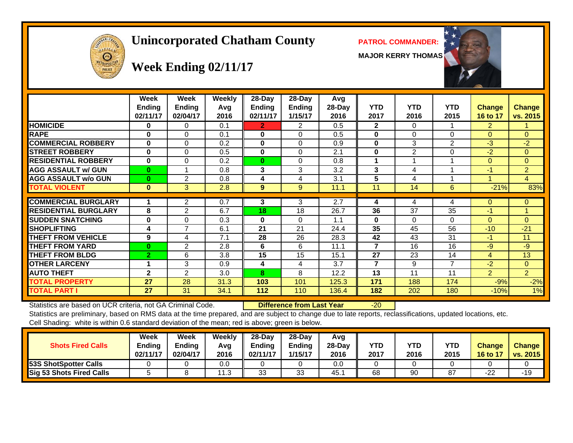# **Unincorporated Chatham County PATROL COMMANDER:**

**MAJOR KERRY THOMAS**





# **Week Ending 02/11/17**

|                             | <b>Week</b><br><b>Ending</b><br>02/11/17 | Week<br>Ending<br>02/04/17 | Weekly<br>Avg<br>2016 | 28-Day<br>Endina<br>02/11/17 | 28-Day<br>Ending<br>1/15/17 | Avg<br>28-Day<br>2016 | <b>YTD</b><br>2017      | <b>YTD</b><br>2016 | <b>YTD</b><br>2015 | <b>Change</b><br>16 to 17 | <b>Change</b><br>vs. 2015 |
|-----------------------------|------------------------------------------|----------------------------|-----------------------|------------------------------|-----------------------------|-----------------------|-------------------------|--------------------|--------------------|---------------------------|---------------------------|
| <b>HOMICIDE</b>             | 0                                        | 0                          | 0.1                   | $\mathbf{2}$                 | 2                           | 0.5                   | $\mathbf{2}$            | 0                  |                    | $\overline{2}$            |                           |
| <b>RAPE</b>                 | 0                                        | $\Omega$                   | 0.1                   | $\bf{0}$                     | $\Omega$                    | 0.5                   | $\bf{0}$                | 0                  | $\Omega$           | $\Omega$                  | $\overline{0}$            |
| <b>COMMERCIAL ROBBERY</b>   | $\bf{0}$                                 | $\Omega$                   | 0.2                   | 0                            | $\Omega$                    | 0.9                   | $\bf{0}$                | 3                  | $\overline{2}$     | $-3$                      | $-2$                      |
| <b>STREET ROBBERY</b>       | $\bf{0}$                                 | $\Omega$                   | 0.5                   | $\bf{0}$                     | $\Omega$                    | 2.1                   | $\mathbf 0$             | 2                  | $\Omega$           | $-2$                      | $\overline{0}$            |
| <b>RESIDENTIAL ROBBERY</b>  | $\bf{0}$                                 | $\Omega$                   | 0.2                   | $\bf{0}$                     | $\Omega$                    | 0.8                   |                         |                    |                    | $\Omega$                  | $\overline{0}$            |
| <b>AGG ASSAULT w/ GUN</b>   | $\bf{0}$                                 |                            | 0.8                   | 3                            | 3                           | 3.2                   | 3                       | 4                  |                    | $-1$                      | $\overline{2}$            |
| <b>AGG ASSAULT w/o GUN</b>  | $\bf{0}$                                 | 2                          | 0.8                   | 4                            | 4                           | 3.1                   | 5                       | 4                  |                    |                           | $\overline{4}$            |
| <b>TOTAL VIOLENT</b>        | $\bf{0}$                                 | 3                          | 2.8                   | 9                            | 9                           | 11.1                  | 11                      | 14                 | 6                  | $-21%$                    | 83%                       |
|                             |                                          |                            |                       |                              |                             |                       |                         |                    |                    |                           |                           |
| <b>COMMERCIAL BURGLARY</b>  |                                          | 2                          | 0.7                   | 3                            | 3                           | 2.7                   | 4                       | 4                  | 4                  | $\Omega$                  | $\Omega$                  |
| <b>RESIDENTIAL BURGLARY</b> | 8                                        | 2                          | 6.7                   | 18                           | 18                          | 26.7                  | 36                      | 37                 | 35                 | $-1$                      | 1                         |
| <b>SUDDEN SNATCHING</b>     | $\bf{0}$                                 | $\Omega$                   | 0.3                   | 0                            | $\Omega$                    | 1.1                   | $\bf{0}$                | $\Omega$           | $\Omega$           | 0                         | $\Omega$                  |
| <b>SHOPLIFTING</b>          | 4                                        | $\overline{\phantom{a}}$   | 6.1                   | 21                           | 21                          | 24.4                  | 35                      | 45                 | 56                 | $-10$                     | $-21$                     |
| THEFT FROM VEHICLE          | 9                                        | 4                          | 7.1                   | 28                           | 26                          | 28.3                  | 42                      | 43                 | 31                 | $-1$                      | 11                        |
| <b>THEFT FROM YARD</b>      | $\bf{0}$                                 | $\overline{2}$             | 2.8                   | 6                            | 6                           | 11.1                  | $\overline{7}$          | 16                 | 16                 | $-9$                      | $-9$                      |
| <b>THEFT FROM BLDG</b>      | $\overline{2}$                           | 6                          | 3.8                   | 15                           | 15                          | 15.1                  | 27                      | 23                 | 14                 | 4                         | 13                        |
| <b>OTHER LARCENY</b>        |                                          | 3                          | 0.9                   | 4                            | 4                           | 3.7                   | $\overline{\mathbf{z}}$ | 9                  | $\overline{ }$     | $-2$                      | $\overline{0}$            |
| <b>AUTO THEFT</b>           | $\mathbf{2}$                             | $\overline{2}$             | 3.0                   | 8                            | 8                           | 12.2                  | 13                      | 11                 | 11                 | $\overline{2}$            | $\overline{2}$            |
| <b>TOTAL PROPERTY</b>       | 27                                       | 28                         | 31.3                  | 103                          | 101                         | 125.3                 | 171                     | 188                | 174                | $-9%$                     | $-2%$                     |
| TOTAL PART I                | 27                                       | 31                         | 34.1                  | 112                          | 110                         | 136.4                 | 182                     | 202                | 180                | $-10%$                    | 1%                        |

Statistics are based on UCR criteria, not GA Criminal Code. **Difference from Last Year** -20

Statistics are preliminary, based on RMS data at the time prepared, and are subject to change due to late reports, reclassifications, updated locations, etc.

Cell Shading: white is within 0.6 standard deviation of the mean; red is above; green is below.

| <b>Shots Fired Calls</b>     | Week<br><b>Ending</b><br>02/11/17 | Week<br><b>Ending</b><br>02/04/17 | Weekly<br>Avg<br>2016 | $28$ -Dav<br><b>Ending</b><br>02/11/17 | $28-Dav$<br>Ending<br>1/15/17 | Avg<br>$28-Day$<br>2016 | <b>YTD</b><br>2017 | <b>YTD</b><br>2016 | <b>YTD</b><br>2015 | <b>Change</b><br>16 to 17 | <b>Change</b><br>vs. 2015 |
|------------------------------|-----------------------------------|-----------------------------------|-----------------------|----------------------------------------|-------------------------------|-------------------------|--------------------|--------------------|--------------------|---------------------------|---------------------------|
| <b>53S ShotSpotter Calls</b> |                                   |                                   | 0.0                   |                                        |                               | 0.0                     |                    |                    |                    |                           |                           |
| Sig 53 Shots Fired Calls     |                                   |                                   | 12<br>ں ،             | っっ<br>ບບ                               | 33                            | 45.                     | 68                 | 90                 | 87                 | $-22$                     | -19                       |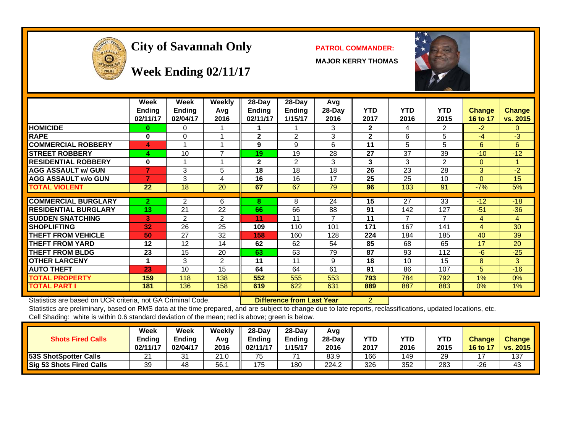

# City of Savannah Only **PATROL COMMANDER:**

**MAJOR KERRY THOMAS**



#### **Week Ending 02/11/17**

|                             | Week<br><b>Ending</b><br>02/11/17 | Week<br><b>Endina</b><br>02/04/17 | <b>Weekly</b><br>Avg<br>2016 | 28-Day<br><b>Ending</b><br>02/11/17 | $28$ -Day<br>Ending<br>1/15/17 | Avg<br>$28-Day$<br>2016 | <b>YTD</b><br>2017 | <b>YTD</b><br>2016 | <b>YTD</b><br>2015 | <b>Change</b><br>16 to 17 | <b>Change</b><br>vs. 2015 |
|-----------------------------|-----------------------------------|-----------------------------------|------------------------------|-------------------------------------|--------------------------------|-------------------------|--------------------|--------------------|--------------------|---------------------------|---------------------------|
| <b>HOMICIDE</b>             | $\Omega$                          | 0                                 |                              |                                     |                                | 3                       | $\mathbf{2}$       | 4                  | 2                  | $-2$                      | $\Omega$                  |
| <b>RAPE</b>                 | 0                                 | $\Omega$                          |                              | $\mathbf{2}$                        | 2                              | 3                       | $\mathbf{2}$       | 6                  | 5                  | -4                        | -3                        |
| <b>COMMERCIAL ROBBERY</b>   | 4                                 |                                   |                              | 9                                   | 9                              | 6                       | 11                 | 5                  | 5                  | 6                         | 6                         |
| <b>STREET ROBBERY</b>       | 4                                 | 10                                | $\overline{7}$               | 19                                  | 19                             | 28                      | 27                 | 37                 | 39                 | $-10$                     | $-12$                     |
| <b>RESIDENTIAL ROBBERY</b>  | $\bf{0}$                          |                                   |                              | $\mathbf{2}$                        | $\overline{2}$                 | 3                       | 3                  | 3                  | $\overline{2}$     | $\Omega$                  |                           |
| <b>AGG ASSAULT w/ GUN</b>   | 7                                 | 3                                 | 5                            | 18                                  | 18                             | 18                      | 26                 | 23                 | 28                 | 3                         | $-2$                      |
| <b>AGG ASSAULT w/o GUN</b>  | 7                                 | 3                                 | 4                            | 16                                  | 16                             | 17                      | 25                 | 25                 | 10                 | $\Omega$                  | 15                        |
| <b>TOTAL VIOLENT</b>        | 22                                | 18                                | 20                           | 67                                  | 67                             | 79                      | 96                 | 103                | 91                 | $-7%$                     | 5%                        |
|                             |                                   |                                   |                              |                                     |                                |                         |                    |                    |                    |                           |                           |
| <b>ICOMMERCIAL BURGLARY</b> | $\overline{2}$                    | 2                                 | 6                            | 8                                   | 8                              | 24                      | 15                 | 27                 | 33                 | $-12$                     | $-18$                     |
| <b>RESIDENTIAL BURGLARY</b> | 13                                | 21                                | 22                           | 66                                  | 66                             | 88                      | 91                 | 142                | 127                | $-51$                     | $-36$                     |
| <b>SUDDEN SNATCHING</b>     | 3                                 | 2                                 | 2                            | 11                                  | 11                             | $\overline{ }$          | 11                 | $\overline{7}$     | 7                  | 4                         | $\overline{4}$            |
| <b>ISHOPLIFTING</b>         | 32                                | 26                                | 25                           | 109                                 | 110                            | 101                     | 171                | 167                | 141                | 4                         | 30                        |
| <b>THEFT FROM VEHICLE</b>   | 50                                | 27                                | 32                           | 158                                 | 160                            | 128                     | 224                | 184                | 185                | 40                        | 39                        |
| <b>THEFT FROM YARD</b>      | 12                                | 12                                | 14                           | 62                                  | 62                             | 54                      | 85                 | 68                 | 65                 | 17                        | 20                        |
| <b>THEFT FROM BLDG</b>      | 23                                | 15                                | 20                           | 63                                  | 63                             | 79                      | 87                 | 93                 | 112                | $-6$                      | $-25$                     |
| <b>OTHER LARCENY</b>        | 1                                 | 3                                 | 2                            | 11                                  | 11                             | 9                       | 18                 | 10                 | 15                 | 8                         | 3                         |
| <b>AUTO THEFT</b>           | 23                                | 10                                | 15                           | 64                                  | 64                             | 61                      | 91                 | 86                 | 107                | 5                         | $-16$                     |
| <b>TOTAL PROPERTY</b>       | 159                               | 118                               | 138                          | 552                                 | 555                            | 553                     | 793                | 784                | 792                | 1%                        | 0%                        |
| <b>TOTAL PART I</b>         | 181                               | 136                               | 158                          | 619                                 | 622                            | 631                     | 889                | 887                | 883                | $0\%$                     | 1%                        |

Statistics are based on UCR criteria, not GA Criminal Code. **Difference from Last Year** 2

Statistics are preliminary, based on RMS data at the time prepared, and are subject to change due to late reports, reclassifications, updated locations, etc. Cell Shading: white is within 0.6 standard deviation of the mean; red is above; green is below.

| <b>Shots Fired Calls</b>        | Week<br>Ending<br>02/11/17 | Week<br><b>Ending</b><br>02/04/17 | Weekly<br>Avg<br>2016 | 28-Dav<br><b>Endina</b><br>02/11/17 | $28-Dav$<br><b>Endina</b><br>1/15/17 | Avg<br>28-Dav<br>2016 | YTD<br>2017 | YTD<br>2016 | <b>YTD</b><br>2015 | <b>Change</b><br>$16$ to $17$ | <b>Change</b><br>vs. 2015 |
|---------------------------------|----------------------------|-----------------------------------|-----------------------|-------------------------------------|--------------------------------------|-----------------------|-------------|-------------|--------------------|-------------------------------|---------------------------|
| <b>53S ShotSpotter Calls</b>    | 21                         | 31                                | 21.0                  | 75                                  | 74                                   | 83.9                  | 166         | 149         | 29                 |                               | 137                       |
| <b>Sig 53 Shots Fired Calls</b> | 39                         | 48                                | 56.7                  | 175                                 | 180                                  | 224.2                 | 326         | 352         | 283                | -26                           | 43                        |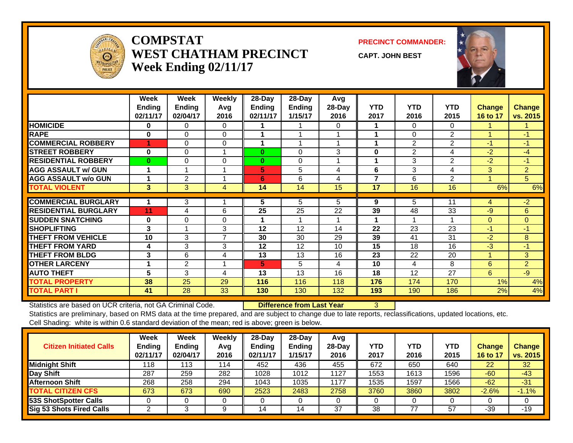

#### **COMPSTATWEST CHATHAM PRECINCTWeek Ending 02/11/17**

**PRECINCT COMMANDER:**

**CAPT. JOHN BEST**



|                             | Week<br><b>Ending</b><br>02/11/17 | Week<br><b>Ending</b><br>02/04/17 | Weekly<br>Avq<br>2016 | $28-Day$<br>Ending<br>02/11/17 | 28-Day<br>Ending<br>1/15/17 | Avg<br>28-Day<br>2016 | <b>YTD</b><br>2017 | <b>YTD</b><br>2016 | <b>YTD</b><br>2015 | <b>Change</b><br>16 to 17 | <b>Change</b><br>vs. 2015 |
|-----------------------------|-----------------------------------|-----------------------------------|-----------------------|--------------------------------|-----------------------------|-----------------------|--------------------|--------------------|--------------------|---------------------------|---------------------------|
| <b>HOMICIDE</b>             | 0                                 | 0                                 | $\Omega$              |                                |                             | 0                     |                    | 0                  | 0                  |                           |                           |
| <b>RAPE</b>                 | $\bf{0}$                          | $\Omega$                          | $\Omega$              |                                |                             |                       |                    | 0                  | $\overline{2}$     |                           | $-1$                      |
| <b>COMMERCIAL ROBBERY</b>   |                                   | $\Omega$                          | $\Omega$              |                                |                             |                       | 4                  | 2                  | $\overline{2}$     | $-1$                      | $-1$                      |
| <b>STREET ROBBERY</b>       | $\bf{0}$                          | $\Omega$                          |                       | $\bf{0}$                       | $\Omega$                    | 3                     | $\bf{0}$           | $\overline{2}$     | 4                  | $-2$                      | $-4$                      |
| <b>RESIDENTIAL ROBBERY</b>  | $\bf{0}$                          | $\Omega$                          | $\Omega$              | $\bf{0}$                       | $\Omega$                    |                       |                    | 3                  | $\overline{2}$     | $-2$                      | $-1$                      |
| <b>AGG ASSAULT w/ GUN</b>   |                                   |                                   |                       | 5                              | 5                           | 4                     | 6                  | 3                  | 4                  | 3                         | $\overline{2}$            |
| <b>AGG ASSAULT w/o GUN</b>  |                                   | $\overline{2}$                    |                       | 6                              | 6                           | 4                     | 7                  | 6                  | $\overline{2}$     |                           | 5                         |
| <b>TOTAL VIOLENT</b>        | 3                                 | 3                                 | 4                     | 14                             | 14                          | 15                    | 17                 | 16                 | 16                 | 6%                        | 6%                        |
|                             |                                   |                                   |                       |                                |                             |                       |                    |                    |                    |                           |                           |
| <b>COMMERCIAL BURGLARY</b>  |                                   | 3                                 |                       | 5                              | 5                           | 5                     | 9                  | 5                  | 11                 | 4                         | $-2$                      |
| <b>RESIDENTIAL BURGLARY</b> | 11                                | 4                                 | 6                     | 25                             | 25                          | 22                    | 39                 | 48                 | 33                 | $-9$                      | 6                         |
| <b>SUDDEN SNATCHING</b>     | 0                                 | $\Omega$                          | $\Omega$              |                                |                             |                       |                    |                    |                    | $\Omega$                  | $\Omega$                  |
| <b>SHOPLIFTING</b>          | 3                                 |                                   | 3                     | 12                             | 12                          | 14                    | 22                 | 23                 | 23                 | $-1$                      | $-1$                      |
| <b>THEFT FROM VEHICLE</b>   | 10                                | 3                                 | $\overline{ }$        | 30                             | 30                          | 29                    | 39                 | 41                 | 31                 | $-2$                      | 8                         |
| <b>THEFT FROM YARD</b>      | 4                                 | 3                                 | 3                     | 12                             | 12                          | 10                    | 15                 | 18                 | 16                 | $-3$                      | $-1$                      |
| <b>THEFT FROM BLDG</b>      | 3                                 | 6                                 | 4                     | 13                             | 13                          | 16                    | 23                 | 22                 | 20                 |                           | 3                         |
| <b>OTHER LARCENY</b>        | 4                                 | 2                                 |                       | 5                              | 5                           | 4                     | 10                 | 4                  | 8                  | 6                         | $\overline{2}$            |
| <b>AUTO THEFT</b>           | 5                                 | 3                                 | 4                     | 13                             | 13                          | 16                    | 18                 | 12                 | 27                 | 6                         | $-9$                      |
| <b>TOTAL PROPERTY</b>       | 38                                | 25                                | 29                    | 116                            | 116                         | 118                   | 176                | 174                | 170                | 1%                        | 4%                        |
| <b>TOTAL PART I</b>         | 41                                | 28                                | 33                    | 130                            | 130                         | 132                   | 193                | 190                | 186                | 2%                        | 4%                        |

Statistics are based on UCR criteria, not GA Criminal Code. **Difference from Last Year** 3

Statistics are preliminary, based on RMS data at the time prepared, and are subject to change due to late reports, reclassifications, updated locations, etc. Cell Shading: white is within 0.6 standard deviation of the mean; red is above; green is below.

| <b>Citizen Initiated Calls</b>  | <b>Week</b><br><b>Ending</b><br>02/11/17 | <b>Week</b><br><b>Ending</b><br>02/04/17 | Weekly<br>Avg<br>2016 | $28$ -Day<br>Ending<br>02/11/17 | $28-Dav$<br><b>Ending</b><br>1/15/17 | Avg<br>$28-Day$<br>2016 | YTD<br>2017 | <b>YTD</b><br>2016 | YTD<br>2015 | <b>Change</b><br>16 to 17 | <b>Change</b><br>vs. 2015 |
|---------------------------------|------------------------------------------|------------------------------------------|-----------------------|---------------------------------|--------------------------------------|-------------------------|-------------|--------------------|-------------|---------------------------|---------------------------|
| <b>Midnight Shift</b>           | 118                                      | 113                                      | 114                   | 452                             | 436                                  | 455                     | 672         | 650                | 640         | 22                        | 32                        |
| Day Shift                       | 287                                      | 259                                      | 282                   | 1028                            | 1012                                 | 1127                    | 1553        | 1613               | 1596        | $-60$                     | $-43$                     |
| <b>Afternoon Shift</b>          | 268                                      | 258                                      | 294                   | 1043                            | 1035                                 | 1177                    | 1535        | 1597               | 1566        | $-62$                     | $-31$                     |
| <b>TOTAL CITIZEN CFS</b>        | 673                                      | 673                                      | 690                   | 2523                            | 2483                                 | 2758                    | 3760        | 3860               | 3802        | $-2.6%$                   | $-1.1%$                   |
| <b>53S ShotSpotter Calls</b>    |                                          |                                          |                       |                                 |                                      |                         |             |                    |             |                           |                           |
| <b>Sig 53 Shots Fired Calls</b> |                                          | ບ                                        | 9                     | 14                              | 14                                   | 37                      | 38          | 77                 | 57          | $-39$                     | $-19$                     |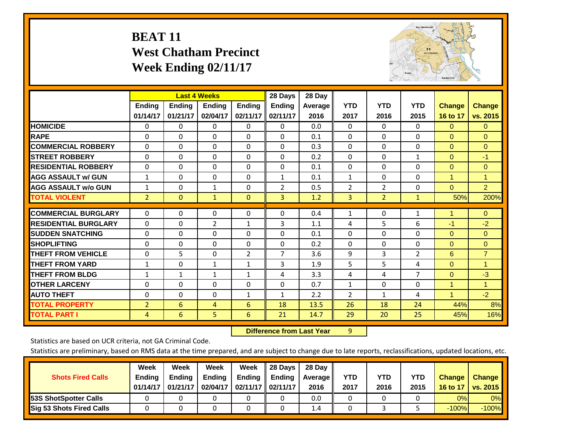# **BEAT 11 West Chatham Precinct Week Ending 02/11/17**



|                             |                | <b>Last 4 Weeks</b> |                |                | 28 Days        | 28 Day  |              |                |                |               |                |
|-----------------------------|----------------|---------------------|----------------|----------------|----------------|---------|--------------|----------------|----------------|---------------|----------------|
|                             | <b>Ending</b>  | <b>Ending</b>       | <b>Endina</b>  | <b>Endina</b>  | Ending         | Average | <b>YTD</b>   | <b>YTD</b>     | <b>YTD</b>     | <b>Change</b> | <b>Change</b>  |
|                             | 01/14/17       | 01/21/17            | 02/04/17       | 02/11/17       | 02/11/17       | 2016    | 2017         | 2016           | 2015           | 16 to 17      | vs. 2015       |
| <b>HOMICIDE</b>             | 0              | $\Omega$            | 0              | 0              | $\Omega$       | 0.0     | $\Omega$     | 0              | 0              | $\Omega$      | 0              |
| <b>RAPE</b>                 | 0              | $\Omega$            | $\Omega$       | 0              | 0              | 0.1     | $\Omega$     | 0              | $\Omega$       | $\Omega$      | $\Omega$       |
| <b>COMMERCIAL ROBBERY</b>   | $\Omega$       | $\Omega$            | $\mathbf{0}$   | $\Omega$       | $\Omega$       | 0.3     | $\mathbf{0}$ | $\Omega$       | 0              | $\mathbf{0}$  | $\Omega$       |
| <b>ISTREET ROBBERY</b>      | $\Omega$       | $\Omega$            | $\Omega$       | $\Omega$       | $\Omega$       | 0.2     | $\mathbf{0}$ | $\Omega$       | $\mathbf{1}$   | $\mathbf{0}$  | $-1$           |
| <b>RESIDENTIAL ROBBERY</b>  | $\Omega$       | $\Omega$            | $\mathbf{0}$   | $\Omega$       | 0              | 0.1     | $\Omega$     | $\Omega$       | 0              | $\mathbf{0}$  | $\Omega$       |
| <b>AGG ASSAULT w/ GUN</b>   | $\mathbf{1}$   | $\Omega$            | $\Omega$       | 0              | $\mathbf{1}$   | 0.1     | $\mathbf{1}$ | 0              | $\Omega$       | 1             | $\mathbf{1}$   |
| <b>AGG ASSAULT w/o GUN</b>  | $\mathbf{1}$   | 0                   | 1              | $\Omega$       | 2              | 0.5     | 2            | $\overline{2}$ | 0              | $\mathbf{0}$  | $\overline{2}$ |
| <b>TOTAL VIOLENT</b>        | $\overline{2}$ | 0                   | $\mathbf{1}$   | $\Omega$       | 3              | 1.2     | 3            | $\overline{2}$ | $\mathbf{1}$   | 50%           | 200%           |
|                             |                |                     |                |                |                |         |              |                |                |               |                |
| <b>COMMERCIAL BURGLARY</b>  | $\Omega$       | $\Omega$            | $\mathbf{0}$   | 0              | $\Omega$       | 0.4     | 1            | 0              | 1              | 1             | $\mathbf{0}$   |
| <b>RESIDENTIAL BURGLARY</b> | $\Omega$       | 0                   | 2              | 1              | 3              | 1.1     | 4            | 5              | 6              | $-1$          | $-2$           |
| <b>SUDDEN SNATCHING</b>     | $\Omega$       | 0                   | $\Omega$       | 0              | $\Omega$       | 0.1     | $\Omega$     | 0              | $\Omega$       | $\Omega$      | $\Omega$       |
| <b>SHOPLIFTING</b>          | $\Omega$       | $\Omega$            | $\Omega$       | $\Omega$       | $\Omega$       | 0.2     | $\Omega$     | $\Omega$       | $\Omega$       | $\mathbf{0}$  | $\Omega$       |
| <b>THEFT FROM VEHICLE</b>   | $\Omega$       | 5                   | $\Omega$       | $\overline{2}$ | $\overline{7}$ | 3.6     | 9            | 3              | $\overline{2}$ | 6             | $\overline{7}$ |
| <b>THEFT FROM YARD</b>      | $\mathbf{1}$   | $\Omega$            | $\mathbf{1}$   | $\mathbf{1}$   | 3              | 1.9     | 5            | 5.             | 4              | $\mathbf{0}$  | $\mathbf{1}$   |
| <b>THEFT FROM BLDG</b>      | 1              | $\mathbf{1}$        | $\mathbf{1}$   | 1              | 4              | 3.3     | 4            | 4              | $\overline{7}$ | $\Omega$      | $-3$           |
| <b>OTHER LARCENY</b>        | 0              | $\Omega$            | $\Omega$       | 0              | 0              | 0.7     | 1            | 0              | 0              | 1             | $\mathbf{1}$   |
| <b>AUTO THEFT</b>           | 0              | 0                   | 0              | 1              | $\mathbf{1}$   | 2.2     | 2            | 1              | 4              | $\mathbf{1}$  | $-2$           |
| <b>TOTAL PROPERTY</b>       | $\overline{2}$ | 6                   | $\overline{4}$ | 6              | 18             | 13.5    | 26           | 18             | 24             | 44%           | 8%             |
| <b>TOTAL PART I</b>         | 4              | 6                   | 5.             | 6              | 21             | 14.7    | 29           | 20             | 25             | 45%           | 16%            |

 **Difference from Last Year**r 9

Statistics are based on UCR criteria, not GA Criminal Code.

|                                 | Week          | Week     | Week          | Week                 | 28 Days       | 28 Day            |      |      |            |               |               |
|---------------------------------|---------------|----------|---------------|----------------------|---------------|-------------------|------|------|------------|---------------|---------------|
| <b>Shots Fired Calls</b>        | <b>Ending</b> | Ending   | <b>Ending</b> | Ending               | <b>Ending</b> | <b>Average</b> II | YTD  | YTD  | <b>YTD</b> | <b>Change</b> | <b>Change</b> |
|                                 | 01/14/17      | 01/21/17 | 02/04/17      | 02/11/17    02/11/17 |               | 2016              | 2017 | 2016 | 2015       | 16 to 17      | vs. 2015      |
| <b>153S ShotSpotter Calls</b>   |               |          |               |                      |               | 0.0               |      |      |            | 0%            | 0%            |
| <b>Sig 53 Shots Fired Calls</b> |               |          |               |                      |               | 1.4               |      |      |            | $-100%$       | $-100\%$      |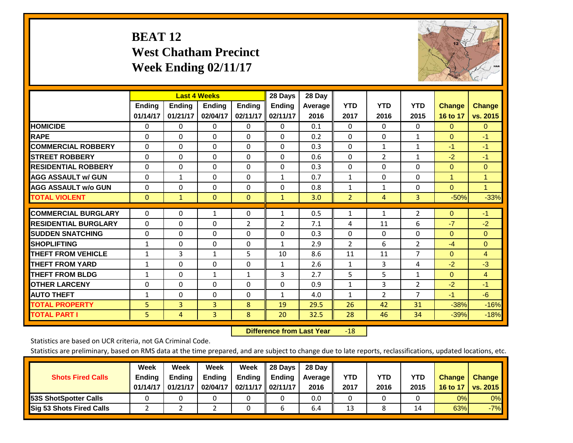# **BEAT 12 West Chatham Precinct Week Ending 02/11/17**



|                             |              | <b>Last 4 Weeks</b> |                |                | 28 Days        | 28 Day  |                |                |                |               |                |
|-----------------------------|--------------|---------------------|----------------|----------------|----------------|---------|----------------|----------------|----------------|---------------|----------------|
|                             | Ending       | Ending              | <b>Ending</b>  | <b>Ending</b>  | <b>Ending</b>  | Average | <b>YTD</b>     | <b>YTD</b>     | <b>YTD</b>     | <b>Change</b> | <b>Change</b>  |
|                             | 01/14/17     | 01/21/17            | 02/04/17       | 02/11/17       | 02/11/17       | 2016    | 2017           | 2016           | 2015           | 16 to 17      | vs. 2015       |
| <b>HOMICIDE</b>             | $\Omega$     | $\Omega$            | $\Omega$       | $\Omega$       | 0              | 0.1     | $\Omega$       | $\mathbf{0}$   | 0              | $\Omega$      | $\overline{0}$ |
| <b>RAPE</b>                 | $\Omega$     | $\Omega$            | $\Omega$       | 0              | $\Omega$       | 0.2     | $\Omega$       | $\Omega$       | 1              | $\Omega$      | $-1$           |
| <b>COMMERCIAL ROBBERY</b>   | $\Omega$     | $\Omega$            | $\Omega$       | $\Omega$       | $\Omega$       | 0.3     | $\mathbf{0}$   | 1              | $\mathbf{1}$   | $-1$          | $-1$           |
| <b>ISTREET ROBBERY</b>      | $\Omega$     | $\Omega$            | $\Omega$       | $\Omega$       | $\Omega$       | 0.6     | $\mathbf{0}$   | $\overline{2}$ | $\mathbf{1}$   | $-2$          | $-1$           |
| <b>RESIDENTIAL ROBBERY</b>  | $\Omega$     | $\Omega$            | $\mathbf{0}$   | $\Omega$       | $\Omega$       | 0.3     | $\mathbf{0}$   | 0              | 0              | $\Omega$      | $\overline{0}$ |
| <b>AGG ASSAULT w/ GUN</b>   | $\Omega$     | $\mathbf{1}$        | $\Omega$       | $\Omega$       | $\mathbf{1}$   | 0.7     | 1              | $\Omega$       | 0              | 1             | 1              |
| <b>AGG ASSAULT w/o GUN</b>  | $\Omega$     | $\Omega$            | $\Omega$       | $\Omega$       | $\Omega$       | 0.8     | $\mathbf{1}$   | $\mathbf{1}$   | 0              | $\Omega$      | $\mathbf{1}$   |
| <b>TOTAL VIOLENT</b>        | $\mathbf{0}$ | $\mathbf{1}$        | $\overline{0}$ | $\mathbf{0}$   | $\mathbf{1}$   | 3.0     | $\overline{2}$ | 4              | 3              | $-50%$        | $-33%$         |
|                             |              |                     |                |                |                |         |                |                |                |               |                |
| <b>COMMERCIAL BURGLARY</b>  | $\mathbf 0$  | $\Omega$            | 1              | 0              | 1              | 0.5     | 1              | 1              | 2              | $\mathbf{0}$  | $-1$           |
| <b>RESIDENTIAL BURGLARY</b> | $\Omega$     | $\Omega$            | $\mathbf{0}$   | $\overline{2}$ | $\overline{2}$ | 7.1     | 4              | 11             | 6              | $-7$          | $-2$           |
| <b>SUDDEN SNATCHING</b>     | $\Omega$     | 0                   | $\Omega$       | $\Omega$       | $\Omega$       | 0.3     | $\Omega$       | 0              | 0              | $\Omega$      | $\Omega$       |
| <b>SHOPLIFTING</b>          | $\mathbf{1}$ | $\Omega$            | $\Omega$       | 0              | $\mathbf{1}$   | 2.9     | $\overline{2}$ | 6              | $\overline{2}$ | $-4$          | $\mathbf{0}$   |
| <b>THEFT FROM VEHICLE</b>   | 1            | 3                   | $\mathbf{1}$   | 5              | 10             | 8.6     | 11             | 11             | $\overline{7}$ | $\Omega$      | 4              |
| <b>THEFT FROM YARD</b>      | $\mathbf{1}$ | $\Omega$            | $\Omega$       | $\Omega$       | $\mathbf{1}$   | 2.6     | 1              | 3              | 4              | $-2$          | $-3$           |
| <b>THEFT FROM BLDG</b>      | 1            | $\Omega$            | $\mathbf{1}$   | $\mathbf{1}$   | 3              | 2.7     | 5              | 5              | $\mathbf{1}$   | $\Omega$      | $\overline{4}$ |
| <b>OTHER LARCENY</b>        | $\Omega$     | $\Omega$            | $\Omega$       | 0              | 0              | 0.9     | $\mathbf{1}$   | 3              | $\overline{2}$ | $-2$          | $-1$           |
| <b>AUTO THEFT</b>           | $\mathbf{1}$ | $\Omega$            | $\Omega$       | $\Omega$       | 1              | 4.0     | $\mathbf{1}$   | 2              | $\overline{7}$ | $-1$          | $-6$           |
| <b>TOTAL PROPERTY</b>       | 5            | 3                   | 3              | 8              | 19             | 29.5    | 26             | 42             | 31             | $-38%$        | $-16%$         |
| <b>TOTAL PART I</b>         | 5            | 4                   | $\overline{3}$ | 8              | 20             | 32.5    | 28             | 46             | 34             | $-39%$        | $-18%$         |

 **Difference from Last Year**r -18

Statistics are based on UCR criteria, not GA Criminal Code.

|                                 | Week          | Week     | Week          | Week                 | 28 Days       | 28 Day            |      |      |            |               |               |
|---------------------------------|---------------|----------|---------------|----------------------|---------------|-------------------|------|------|------------|---------------|---------------|
| <b>Shots Fired Calls</b>        | <b>Ending</b> | Ending   | <b>Ending</b> | Ending               | <b>Ending</b> | <b>Average</b> II | YTD  | YTD  | <b>YTD</b> | <b>Change</b> | <b>Change</b> |
|                                 | 01/14/17      | 01/21/17 | 02/04/17      | 02/11/17    02/11/17 |               | 2016              | 2017 | 2016 | 2015       | 16 to 17      | vs. 2015      |
| <b>153S ShotSpotter Calls</b>   |               |          |               |                      |               | 0.0               |      |      |            | 0%            | 0%            |
| <b>Sig 53 Shots Fired Calls</b> |               |          |               |                      |               | 6.4               | 13   |      |            | 63%           | $-7%$         |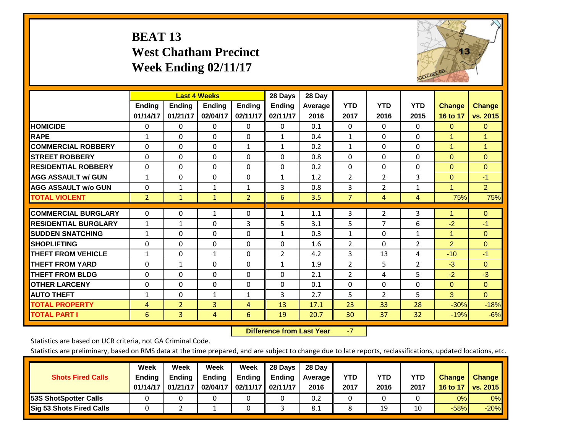# **BEAT 13 West Chatham Precinct Week Ending 02/11/17**



|                              |                |                | <b>Last 4 Weeks</b> |                | 28 Days        | 28 Day  |                |                |                |               |                |
|------------------------------|----------------|----------------|---------------------|----------------|----------------|---------|----------------|----------------|----------------|---------------|----------------|
|                              | <b>Ending</b>  | Ending         | <b>Endina</b>       | <b>Endina</b>  | Ending         | Average | <b>YTD</b>     | <b>YTD</b>     | <b>YTD</b>     | <b>Change</b> | <b>Change</b>  |
|                              | 01/14/17       | 01/21/17       | 02/04/17            | 02/11/17       | 02/11/17       | 2016    | 2017           | 2016           | 2015           | 16 to 17      | vs. 2015       |
| <b>HOMICIDE</b>              | 0              | $\Omega$       | $\Omega$            | 0              | $\Omega$       | 0.1     | $\Omega$       | 0              | 0              | $\Omega$      | 0              |
| <b>RAPE</b>                  | $\mathbf{1}$   | $\Omega$       | $\Omega$            | $\Omega$       | $\mathbf{1}$   | 0.4     | $\mathbf{1}$   | $\Omega$       | $\Omega$       | 1             | $\mathbf{1}$   |
| <b>COMMERCIAL ROBBERY</b>    | $\Omega$       | $\Omega$       | $\Omega$            | $\mathbf{1}$   | $\mathbf{1}$   | 0.2     | $\mathbf{1}$   | $\Omega$       | $\Omega$       | 1             | $\mathbf{1}$   |
| <b>ISTREET ROBBERY</b>       | $\Omega$       | $\Omega$       | $\Omega$            | 0              | $\Omega$       | 0.8     | $\mathbf{0}$   | 0              | $\Omega$       | $\mathbf{0}$  | $\Omega$       |
| <b>RESIDENTIAL ROBBERY</b>   | 0              | $\Omega$       | $\mathbf{0}$        | $\Omega$       | 0              | 0.2     | $\Omega$       | 0              | 0              | $\mathbf{0}$  | $\Omega$       |
| <b>AGG ASSAULT w/ GUN</b>    | $\mathbf{1}$   | $\Omega$       | $\Omega$            | $\Omega$       | $\mathbf{1}$   | 1.2     | 2              | $\overline{2}$ | 3              | $\mathbf{0}$  | $-1$           |
| <b>AGG ASSAULT w/o GUN</b>   | $\Omega$       | 1              | 1                   | 1              | 3              | 0.8     | 3              | $\overline{2}$ | 1              | 1             | $\overline{2}$ |
| <b>TOTAL VIOLENT</b>         | $\overline{2}$ | $\mathbf{1}$   | $\mathbf{1}$        | $\overline{2}$ | 6              | 3.5     | 7              | 4              | 4              | 75%           | 75%            |
|                              |                |                |                     |                |                |         |                |                |                |               |                |
| <b>COMMERCIAL BURGLARY</b>   | $\Omega$       | $\Omega$       | 1                   | $\Omega$       | 1              | 1.1     | 3              | $\overline{2}$ | 3              | 1             | $\Omega$       |
| <b>IRESIDENTIAL BURGLARY</b> | 1              | 1              | $\Omega$            | 3              | 5              | 3.1     | 5              | 7              | 6              | $-2$          | $-1$           |
| <b>SUDDEN SNATCHING</b>      | $\mathbf{1}$   | $\Omega$       | $\Omega$            | $\Omega$       | $\mathbf{1}$   | 0.3     | 1              | 0              | 1              | 1             | $\Omega$       |
| <b>SHOPLIFTING</b>           | 0              | $\Omega$       | $\Omega$            | 0              | 0              | 1.6     | $\overline{2}$ | 0              | $\overline{2}$ | 2             | $\Omega$       |
| <b>THEFT FROM VEHICLE</b>    | $\mathbf{1}$   | $\Omega$       | $\mathbf{1}$        | $\Omega$       | $\overline{2}$ | 4.2     | 3              | 13             | 4              | $-10$         | $-1$           |
| <b>THEFT FROM YARD</b>       | $\Omega$       | $\mathbf{1}$   | $\Omega$            | 0              | $\mathbf{1}$   | 1.9     | $\overline{2}$ | 5              | $\overline{2}$ | $-3$          | $\Omega$       |
| <b>THEFT FROM BLDG</b>       | 0              | $\Omega$       | $\Omega$            | 0              | 0              | 2.1     | $\overline{2}$ | 4              | 5              | $-2$          | $-3$           |
| <b>OTHER LARCENY</b>         | $\Omega$       | 0              | $\Omega$            | $\Omega$       | $\Omega$       | 0.1     | $\Omega$       | $\Omega$       | $\Omega$       | $\Omega$      | $\Omega$       |
| <b>AUTO THEFT</b>            | 1              | 0              | $\mathbf{1}$        | 1              | 3              | 2.7     | 5              | $\overline{2}$ | 5              | 3             | $\Omega$       |
| <b>TOTAL PROPERTY</b>        | 4              | $\overline{2}$ | 3                   | 4              | 13             | 17.1    | 23             | 33             | 28             | $-30%$        | $-18%$         |
| <b>TOTAL PART I</b>          | 6              | 3              | $\overline{4}$      | 6              | 19             | 20.7    | 30             | 37             | 32             | $-19%$        | $-6%$          |

 **Difference from Last Year**‐7

Statistics are based on UCR criteria, not GA Criminal Code.

|                                 | Week          | Week     | Week     | Week                 | 28 Days       | 28 Day            |      |      |            |               |               |
|---------------------------------|---------------|----------|----------|----------------------|---------------|-------------------|------|------|------------|---------------|---------------|
| <b>Shots Fired Calls</b>        | <b>Ending</b> | Ending   | Ending   | Ending               | <b>Ending</b> | <b>Average</b> II | YTD  | YTD  | <b>YTD</b> | <b>Change</b> | <b>Change</b> |
|                                 | 01/14/17      | 01/21/17 | 02/04/17 | 02/11/17    02/11/17 |               | 2016              | 2017 | 2016 | 2017       | 16 to 17      | vs. 2015      |
| <b>153S ShotSpotter Calls</b>   |               |          |          |                      |               | 0.2               |      |      |            | 0%            | 0%            |
| <b>Sig 53 Shots Fired Calls</b> |               |          |          |                      |               | 8.1               |      | 19   |            | $-58%$        | $-20%$        |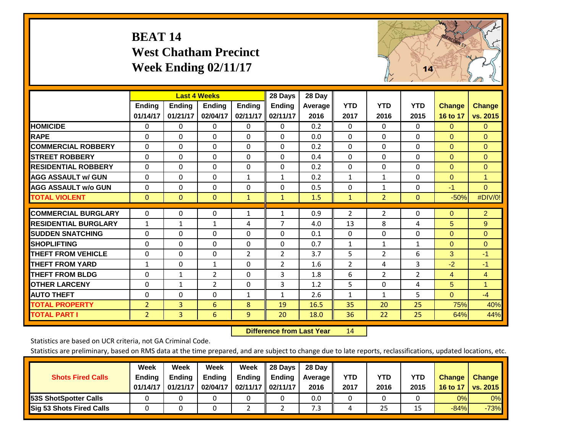# **BEAT 14 West Chatham Precinct Week Ending 02/11/17**



|                             |                |                | <b>Last 4 Weeks</b> |                | 28 Days       | 28 Day         |                |                |            |               |                |
|-----------------------------|----------------|----------------|---------------------|----------------|---------------|----------------|----------------|----------------|------------|---------------|----------------|
|                             | <b>Ending</b>  | Ending         | <b>Endina</b>       | <b>Ending</b>  | <b>Endina</b> | <b>Average</b> | <b>YTD</b>     | <b>YTD</b>     | <b>YTD</b> | <b>Change</b> | <b>Change</b>  |
|                             | 01/14/17       | 01/21/17       | 02/04/17            | 02/11/17       | 02/11/17      | 2016           | 2017           | 2016           | 2015       | 16 to 17      | vs. 2015       |
| <b>HOMICIDE</b>             | 0              | 0              | $\mathbf{0}$        | 0              | 0             | 0.2            | $\Omega$       | 0              | 0          | $\Omega$      | 0              |
| <b>RAPE</b>                 | $\Omega$       | 0              | $\Omega$            | 0              | $\Omega$      | 0.0            | $\Omega$       | 0              | $\Omega$   | $\Omega$      | $\Omega$       |
| <b>COMMERCIAL ROBBERY</b>   | $\Omega$       | $\Omega$       | $\Omega$            | $\Omega$       | $\Omega$      | 0.2            | $\mathbf{0}$   | $\Omega$       | $\Omega$   | $\Omega$      | $\Omega$       |
| <b>STREET ROBBERY</b>       | $\Omega$       | $\Omega$       | $\Omega$            | $\Omega$       | $\Omega$      | 0.4            | $\Omega$       | $\Omega$       | $\Omega$   | $\mathbf{0}$  | $\Omega$       |
| <b>RESIDENTIAL ROBBERY</b>  | $\Omega$       | 0              | 0                   | $\Omega$       | $\Omega$      | 0.2            | $\mathbf{0}$   | 0              | 0          | $\mathbf{0}$  | $\Omega$       |
| <b>AGG ASSAULT w/ GUN</b>   | $\Omega$       | $\Omega$       | $\mathbf{0}$        | $\mathbf{1}$   | $\mathbf{1}$  | 0.2            | $\mathbf{1}$   | $\mathbf{1}$   | $\Omega$   | $\Omega$      | $\mathbf{1}$   |
| <b>AGG ASSAULT w/o GUN</b>  | $\Omega$       | 0              | $\mathbf{0}$        | $\Omega$       | $\Omega$      | 0.5            | $\Omega$       | $\mathbf{1}$   | $\Omega$   | $-1$          | $\Omega$       |
| <b>TOTAL VIOLENT</b>        | $\Omega$       | $\mathbf{0}$   | $\overline{0}$      | $\mathbf{1}$   | $\mathbf{1}$  | 1.5            | $\mathbf{1}$   | $\overline{2}$ | $\Omega$   | $-50%$        | #DIV/0!        |
|                             |                |                |                     |                |               |                |                |                |            |               |                |
| <b>COMMERCIAL BURGLARY</b>  | $\Omega$       | $\Omega$       | 0                   | 1              | 1             | 0.9            | 2              | 2              | 0          | $\Omega$      | $\overline{2}$ |
| <b>RESIDENTIAL BURGLARY</b> | $\mathbf{1}$   | 1              | 1                   | 4              | 7             | 4.0            | 13             | 8              | 4          | 5             | 9              |
| <b>SUDDEN SNATCHING</b>     | $\Omega$       | 0              | $\Omega$            | $\Omega$       | $\Omega$      | 0.1            | $\Omega$       | 0              | $\Omega$   | $\Omega$      | $\Omega$       |
| <b>SHOPLIFTING</b>          | $\Omega$       | 0              | 0                   | 0              | $\Omega$      | 0.7            | 1              | 1              | 1          | $\Omega$      | $\Omega$       |
| <b>THEFT FROM VEHICLE</b>   | $\Omega$       | $\Omega$       | $\mathbf{0}$        | $\overline{2}$ | 2             | 3.7            | 5              | $\overline{2}$ | 6          | 3             | $-1$           |
| <b>THEFT FROM YARD</b>      | $\mathbf{1}$   | $\Omega$       | 1                   | $\Omega$       | 2             | 1.6            | $\overline{2}$ | 4              | 3          | $-2$          | $-1$           |
| <b>THEFT FROM BLDG</b>      | $\Omega$       | $\mathbf{1}$   | 2                   | $\Omega$       | 3             | 1.8            | 6              | 2              | 2          | 4             | $\overline{4}$ |
| <b>OTHER LARCENY</b>        | $\Omega$       | 1              | $\overline{2}$      | $\Omega$       | 3             | 1.2            | 5              | 0              | 4          | 5             | 1              |
| <b>AUTO THEFT</b>           | 0              | $\Omega$       | $\Omega$            | 1              | 1             | 2.6            | $\mathbf{1}$   | 1              | 5          | $\Omega$      | $-4$           |
| <b>TOTAL PROPERTY</b>       | $\overline{2}$ | $\overline{3}$ | 6                   | 8              | 19            | 16.5           | 35             | 20             | 25         | 75%           | 40%            |
| <b>TOTAL PART I</b>         | $\overline{2}$ | $\overline{3}$ | 6                   | 9              | 20            | 18.0           | 36             | 22             | 25         | 64%           | 44%            |

 **Difference from Last Year**r 14

Statistics are based on UCR criteria, not GA Criminal Code.

|                                 | Week          | Week     | Week          | Week                 | 28 Days       | 28 Day            |      |      |            |               |               |
|---------------------------------|---------------|----------|---------------|----------------------|---------------|-------------------|------|------|------------|---------------|---------------|
| <b>Shots Fired Calls</b>        | <b>Ending</b> | Ending   | <b>Ending</b> | Ending               | <b>Ending</b> | <b>Average</b> II | YTD  | YTD  | <b>YTD</b> | <b>Change</b> | <b>Change</b> |
|                                 | 01/14/17      | 01/21/17 | 02/04/17      | 02/11/17    02/11/17 |               | 2016              | 2017 | 2016 | 2015       | 16 to 17      | vs. 2015      |
| <b>153S ShotSpotter Calls</b>   |               |          |               |                      |               | 0.0               |      |      |            | 0%            | 0%            |
| <b>Sig 53 Shots Fired Calls</b> |               |          |               |                      |               | 7.3               |      | 25   |            | $-84%$        | $-73%$        |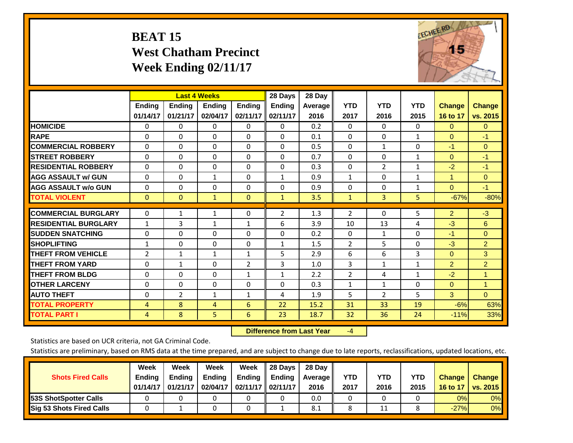# **BEAT 15 West Chatham Precinct Week Ending 02/11/17**



|                             |                | <b>Last 4 Weeks</b> |               |                | 28 Days        | 28 Day  |                |                |              |                |                |
|-----------------------------|----------------|---------------------|---------------|----------------|----------------|---------|----------------|----------------|--------------|----------------|----------------|
|                             | <b>Ending</b>  | <b>Ending</b>       | <b>Endina</b> | <b>Endina</b>  | <b>Ending</b>  | Average | <b>YTD</b>     | <b>YTD</b>     | <b>YTD</b>   | <b>Change</b>  | <b>Change</b>  |
|                             | 01/14/17       | 01/21/17            | 02/04/17      | 02/11/17       | 02/11/17       | 2016    | 2017           | 2016           | 2015         | 16 to 17       | vs. 2015       |
| <b>HOMICIDE</b>             | $\mathbf{0}$   | 0                   | 0             | $\Omega$       | 0              | 0.2     | $\Omega$       | $\Omega$       | 0            | $\Omega$       | $\overline{0}$ |
| <b>RAPE</b>                 | $\Omega$       | $\Omega$            | $\Omega$      | $\Omega$       | $\Omega$       | 0.1     | $\Omega$       | $\Omega$       | $\mathbf{1}$ | $\Omega$       | -1             |
| <b>COMMERCIAL ROBBERY</b>   | $\Omega$       | $\Omega$            | $\Omega$      | $\Omega$       | 0              | 0.5     | $\mathbf{0}$   | $\mathbf{1}$   | 0            | $-1$           | $\mathbf{0}$   |
| <b>ISTREET ROBBERY</b>      | $\Omega$       | $\Omega$            | $\Omega$      | $\Omega$       | $\Omega$       | 0.7     | $\Omega$       | $\Omega$       | $\mathbf{1}$ | $\Omega$       | $-1$           |
| <b>RESIDENTIAL ROBBERY</b>  | $\Omega$       | $\Omega$            | $\Omega$      | $\Omega$       | $\Omega$       | 0.3     | $\mathbf{0}$   | 2              | $\mathbf{1}$ | $-2$           | $-1$           |
| <b>AGG ASSAULT w/ GUN</b>   | $\Omega$       | $\Omega$            | 1             | $\Omega$       | $\mathbf{1}$   | 0.9     | $\mathbf{1}$   | 0              | $\mathbf{1}$ | 1              | $\mathbf{0}$   |
| <b>AGG ASSAULT w/o GUN</b>  | $\Omega$       | $\Omega$            | $\Omega$      | $\Omega$       | $\Omega$       | 0.9     | $\mathbf{0}$   | $\Omega$       | $\mathbf{1}$ | $\Omega$       | $-1$           |
| <b>TOTAL VIOLENT</b>        | $\mathbf{0}$   | $\mathbf{0}$        | $\mathbf{1}$  | $\mathbf{0}$   | $\mathbf{1}$   | 3.5     | $\mathbf{1}$   | 3              | 5            | $-67%$         | $-80%$         |
|                             |                |                     |               |                |                |         |                |                |              |                |                |
| <b>COMMERCIAL BURGLARY</b>  | 0              | 1                   | 1             | $\Omega$       | $\overline{2}$ | 1.3     | $\overline{2}$ | $\Omega$       | 5            | $\overline{2}$ | $-3$           |
| <b>RESIDENTIAL BURGLARY</b> | $\mathbf{1}$   | 3                   | 1             | $\mathbf{1}$   | 6              | 3.9     | 10             | 13             | 4            | $-3$           | 6              |
| <b>SUDDEN SNATCHING</b>     | 0              | $\Omega$            | $\Omega$      | $\Omega$       | 0              | 0.2     | $\mathbf{0}$   | $\mathbf{1}$   | 0            | $-1$           | $\Omega$       |
| <b>SHOPLIFTING</b>          | $\mathbf{1}$   | $\Omega$            | $\Omega$      | 0              | $\mathbf{1}$   | 1.5     | 2              | 5.             | 0            | $-3$           | $\overline{2}$ |
| <b>THEFT FROM VEHICLE</b>   | 2              | $\mathbf{1}$        | $\mathbf{1}$  | $\mathbf{1}$   | 5              | 2.9     | 6              | 6              | 3            | $\Omega$       | 3              |
| <b>THEFT FROM YARD</b>      | $\Omega$       | $\mathbf{1}$        | $\Omega$      | $\overline{2}$ | $\overline{3}$ | 1.0     | 3              | $\mathbf{1}$   | $\mathbf{1}$ | $\overline{2}$ | $\overline{2}$ |
| <b>THEFT FROM BLDG</b>      | $\Omega$       | $\Omega$            | $\Omega$      | $\mathbf{1}$   | $\mathbf{1}$   | 2.2     | $\overline{2}$ | 4              | 1            | $-2$           | 1              |
| <b>OTHER LARCENY</b>        | $\Omega$       | $\Omega$            | $\Omega$      | $\Omega$       | $\Omega$       | 0.3     | $\mathbf{1}$   | $\mathbf{1}$   | 0            | $\Omega$       | $\mathbf{1}$   |
| <b>AUTO THEFT</b>           | $\Omega$       | $\overline{2}$      | $\mathbf{1}$  | $\mathbf{1}$   | 4              | 1.9     | 5              | $\overline{2}$ | 5.           | 3              | $\Omega$       |
| <b>TOTAL PROPERTY</b>       | 4              | 8                   | 4             | 6              | 22             | 15.2    | 31             | 33             | 19           | $-6%$          | 63%            |
| <b>TOTAL PART I</b>         | $\overline{4}$ | 8                   | 5.            | 6              | 23             | 18.7    | 32             | 36             | 24           | $-11%$         | 33%            |

 **Difference from Last Year**‐4

Statistics are based on UCR criteria, not GA Criminal Code.

|                                 | Week          | Week     | Week          | Week                 | 28 Days       | 28 Day            |      |      |            |               |                 |
|---------------------------------|---------------|----------|---------------|----------------------|---------------|-------------------|------|------|------------|---------------|-----------------|
| <b>Shots Fired Calls</b>        | <b>Ending</b> | Ending   | <b>Ending</b> | Ending               | <b>Ending</b> | <b>Average</b> II | YTD  | YTD  | <b>YTD</b> | <b>Change</b> | <b>Change</b>   |
|                                 | 01/14/17      | 01/21/17 | 02/04/17      | 02/11/17    02/11/17 |               | 2016              | 2017 | 2016 | 2015       | 16 to 17      | <b>vs. 2015</b> |
| <b>153S ShotSpotter Calls</b>   |               |          |               |                      |               | 0.0               |      |      |            | 0%            | 0%              |
| <b>Sig 53 Shots Fired Calls</b> |               |          |               |                      |               | 8.1               |      | 11   |            | $-27%$        | 0%              |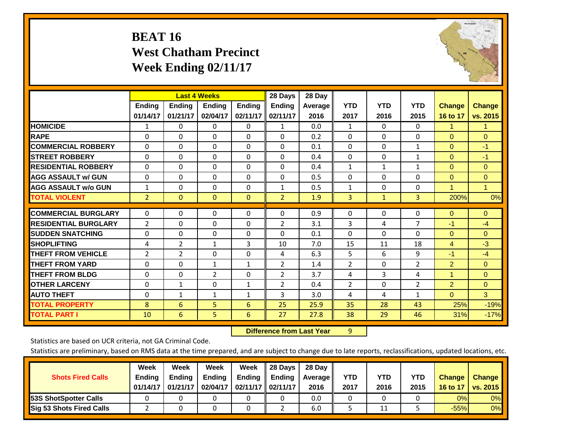# **BEAT 16 West Chatham Precinct Week Ending 02/11/17**



|                              |                |                | <b>Last 4 Weeks</b> |               | 28 Days        | 28 Day  |                |              |                |                |               |
|------------------------------|----------------|----------------|---------------------|---------------|----------------|---------|----------------|--------------|----------------|----------------|---------------|
|                              | <b>Ending</b>  | Ending         | <b>Endina</b>       | <b>Endina</b> | Ending         | Average | <b>YTD</b>     | <b>YTD</b>   | <b>YTD</b>     | <b>Change</b>  | <b>Change</b> |
|                              | 01/14/17       | 01/21/17       | 02/04/17            | 02/11/17      | 02/11/17       | 2016    | 2017           | 2016         | 2015           | 16 to 17       | vs. 2015      |
| <b>HOMICIDE</b>              | 1              | 0              | 0                   | 0             | $\mathbf{1}$   | 0.0     | 1              | 0            | 0              | 1.             | 1.            |
| <b>RAPE</b>                  | $\Omega$       | $\Omega$       | $\Omega$            | $\Omega$      | 0              | 0.2     | $\Omega$       | $\Omega$     | $\Omega$       | $\Omega$       | $\Omega$      |
| <b>COMMERCIAL ROBBERY</b>    | $\Omega$       | $\Omega$       | $\Omega$            | 0             | $\Omega$       | 0.1     | $\mathbf{0}$   | $\Omega$     | $\mathbf{1}$   | $\mathbf{0}$   | $-1$          |
| <b>ISTREET ROBBERY</b>       | $\Omega$       | $\Omega$       | $\Omega$            | 0             | $\Omega$       | 0.4     | $\mathbf{0}$   | $\Omega$     | $\mathbf{1}$   | $\mathbf{0}$   | $-1$          |
| <b>RESIDENTIAL ROBBERY</b>   | $\Omega$       | $\Omega$       | $\Omega$            | $\Omega$      | 0              | 0.4     | $\mathbf{1}$   | 1            | 1              | $\mathbf{0}$   | $\Omega$      |
| <b>AGG ASSAULT w/ GUN</b>    | $\Omega$       | $\Omega$       | $\Omega$            | $\Omega$      | 0              | 0.5     | $\Omega$       | 0            | $\Omega$       | $\mathbf{0}$   | $\Omega$      |
| <b>AGG ASSAULT w/o GUN</b>   | $\mathbf{1}$   | $\Omega$       | $\Omega$            | 0             | $\mathbf{1}$   | 0.5     | 1              | 0            | 0              | 1              | 1             |
| <b>TOTAL VIOLENT</b>         | $\overline{2}$ | $\Omega$       | $\mathbf{0}$        | $\Omega$      | $\overline{2}$ | 1.9     | 3              | $\mathbf{1}$ | 3              | 200%           | 0%            |
| <b>COMMERCIAL BURGLARY</b>   | $\Omega$       | $\Omega$       | $\Omega$            | $\Omega$      | $\Omega$       | 0.9     | $\Omega$       | $\Omega$     |                |                | $\Omega$      |
|                              |                |                |                     |               |                |         |                |              | 0              | $\mathbf{0}$   |               |
| <b>IRESIDENTIAL BURGLARY</b> | 2              | 0              | $\Omega$            | 0             | 2              | 3.1     | 3              | 4            | 7              | $-1$           | $-4$          |
| <b>SUDDEN SNATCHING</b>      | $\Omega$       | 0              | $\Omega$            | 0             | 0              | 0.1     | $\Omega$       | 0            | $\Omega$       | $\mathbf{0}$   | $\Omega$      |
| <b>SHOPLIFTING</b>           | 4              | $\overline{2}$ | 1                   | 3             | 10             | 7.0     | 15             | 11           | 18             | 4              | $-3$          |
| <b>THEFT FROM VEHICLE</b>    | 2              | $\overline{2}$ | $\Omega$            | $\Omega$      | 4              | 6.3     | 5              | 6            | 9              | $-1$           | $-4$          |
| <b>THEFT FROM YARD</b>       | $\Omega$       | $\Omega$       | 1                   | $\mathbf{1}$  | 2              | 1.4     | $\overline{2}$ | $\Omega$     | $\overline{2}$ | $\overline{2}$ | $\Omega$      |
| <b>THEFT FROM BLDG</b>       | 0              | $\Omega$       | $\overline{2}$      | 0             | 2              | 3.7     | 4              | 3            | 4              | 1              | $\Omega$      |
| <b>OTHER LARCENY</b>         | $\Omega$       | 1              | $\Omega$            | $\mathbf{1}$  | $\overline{2}$ | 0.4     | $\overline{2}$ | $\Omega$     | $\overline{2}$ | $\overline{2}$ | $\Omega$      |
| <b>AUTO THEFT</b>            | 0              | $\mathbf{1}$   | 1                   | 1             | 3              | 3.0     | 4              | 4            | 1              | $\mathbf{0}$   | 3             |
| <b>TOTAL PROPERTY</b>        | 8              | 6              | 5                   | 6             | 25             | 25.9    | 35             | 28           | 43             | 25%            | $-19%$        |
| <b>TOTAL PART I</b>          | 10             | 6              | 5.                  | 6             | 27             | 27.8    | 38             | 29           | 46             | 31%            | $-17%$        |

 **Difference from Last Year**r 9

Statistics are based on UCR criteria, not GA Criminal Code.

|                                 | Week          | Week          | Week          | Week                 | 28 Days       | 28 Day            |      |      |            |               |                 |
|---------------------------------|---------------|---------------|---------------|----------------------|---------------|-------------------|------|------|------------|---------------|-----------------|
| <b>Shots Fired Calls</b>        | <b>Ending</b> | <b>Ending</b> | <b>Ending</b> | Ending               | <b>Ending</b> | <b>Average</b> II | YTD  | YTD  | <b>YTD</b> | <b>Change</b> | <b>Change</b>   |
|                                 | 01/14/17      | 01/21/17      | 02/04/17      | 02/11/17    02/11/17 |               | 2016              | 2017 | 2016 | 2015       | 16 to 17      | <b>vs. 2015</b> |
| <b>153S ShotSpotter Calls</b>   |               |               |               |                      |               | 0.0               |      |      |            | 0%            | 0%              |
| <b>Sig 53 Shots Fired Calls</b> |               |               |               |                      |               | 6.0               |      | 11   |            | $-55%$        | 0%              |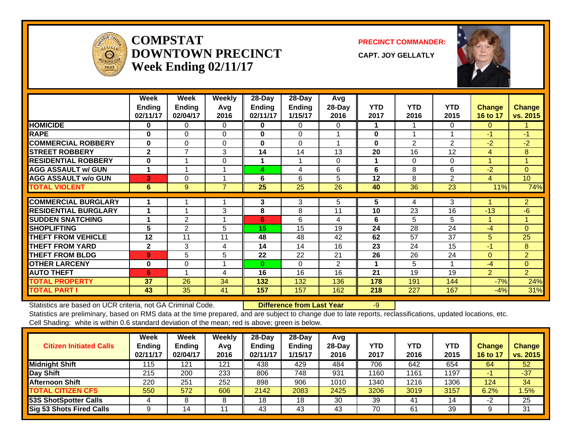

#### **COMPSTATDOWNTOWN PRECINCTWeek Ending 02/11/17**

**PRECINCT COMMANDER:**

**CAPT. JOY GELLATLY**



|                             | Week<br><b>Ending</b><br>02/11/17 | Week<br><b>Ending</b><br>02/04/17 | Weekly<br>Avg<br>2016 | 28-Day<br>Ending<br>02/11/17 | 28-Day<br>Ending<br>1/15/17 | Avg<br>$28-Day$<br>2016 | <b>YTD</b><br>2017 | <b>YTD</b><br>2016 | <b>YTD</b><br>2015 | <b>Change</b><br>16 to 17 | <b>Change</b><br>vs. 2015 |
|-----------------------------|-----------------------------------|-----------------------------------|-----------------------|------------------------------|-----------------------------|-------------------------|--------------------|--------------------|--------------------|---------------------------|---------------------------|
| <b>HOMICIDE</b>             | 0                                 | 0                                 | 0                     | 0                            | 0                           | 0                       |                    |                    | 0                  | $\Omega$                  |                           |
| <b>RAPE</b>                 | $\mathbf{0}$                      | $\Omega$                          | $\Omega$              | $\mathbf{0}$                 | $\Omega$                    |                         | $\bf{0}$           |                    |                    | $-1$                      | $-1$                      |
| <b>COMMERCIAL ROBBERY</b>   | $\mathbf{0}$                      | $\Omega$                          | $\Omega$              | $\mathbf{0}$                 | $\Omega$                    |                         | $\bf{0}$           | $\overline{2}$     | $\overline{2}$     | $-2$                      | $-2$                      |
| <b>STREET ROBBERY</b>       | $\mathbf{2}$                      | $\overline{7}$                    | 3                     | 14                           | 14                          | 13                      | 20                 | 16                 | 12                 | 4                         | 8                         |
| <b>RESIDENTIAL ROBBERY</b>  | $\bf{0}$                          |                                   | $\Omega$              |                              |                             | $\Omega$                | 1                  | $\Omega$           | $\Omega$           |                           |                           |
| <b>AGG ASSAULT w/ GUN</b>   |                                   |                                   |                       | 4                            | 4                           | 6                       | 6                  | 8                  | 6                  | $-2$                      | $\Omega$                  |
| <b>AGG ASSAULT w/o GUN</b>  | 3                                 | 0                                 |                       | 6                            | 6                           | 5                       | 12                 | 8                  | $\overline{2}$     | 4                         | 10 <sup>°</sup>           |
| <b>TOTAL VIOLENT</b>        | 6                                 | 9                                 | 7                     | 25                           | 25                          | 26                      | 40                 | 36                 | 23                 | 11%                       | 74%                       |
|                             |                                   |                                   |                       |                              |                             |                         |                    |                    |                    |                           |                           |
| <b>COMMERCIAL BURGLARY</b>  |                                   |                                   |                       | 3                            | 3                           | 5                       | 5                  | 4                  | 3                  |                           | $\overline{2}$            |
| <b>RESIDENTIAL BURGLARY</b> |                                   |                                   | 3                     | 8                            | 8                           | 11                      | 10                 | 23                 | 16                 | $-13$                     | -6                        |
| <b>SUDDEN SNATCHING</b>     |                                   | 2                                 |                       | 6                            | 6                           | 4                       | 6                  | 5                  | 5                  | 1                         | $\blacktriangleleft$      |
| <b>SHOPLIFTING</b>          | 5                                 | 2                                 | 5                     | 15                           | 15                          | 19                      | 24                 | 28                 | 24                 | $-4$                      | $\Omega$                  |
| <b>THEFT FROM VEHICLE</b>   | 12                                | 11                                | 11                    | 48                           | 48                          | 42                      | 62                 | 57                 | 37                 | 5                         | 25                        |
| <b>THEFT FROM YARD</b>      | $\mathbf{2}$                      | 3                                 | 4                     | 14                           | 14                          | 16                      | 23                 | 24                 | 15                 | $-1$                      | 8                         |
| <b>THEFT FROM BLDG</b>      | 9                                 | 5                                 | 5                     | 22                           | 22                          | 21                      | 26                 | 26                 | 24                 | $\mathbf{0}$              | $\overline{2}$            |
| <b>OTHER LARCENY</b>        | $\mathbf 0$                       | $\mathbf 0$                       |                       | $\bf{0}$                     | $\Omega$                    | $\overline{2}$          | 1                  | 5                  |                    | $-4$                      | $\mathbf{0}$              |
| <b>AUTO THEFT</b>           | 6                                 |                                   | 4                     | 16                           | 16                          | 16                      | 21                 | 19                 | 19                 | $\overline{2}$            | $\overline{2}$            |
| <b>TOTAL PROPERTY</b>       | 37                                | 26                                | 34                    | 132                          | 132                         | 136                     | 178                | 191                | 144                | $-7%$                     | 24%                       |
| <b>TOTAL PART I</b>         | 43                                | 35                                | 41                    | 157                          | 157                         | 162                     | 218                | 227                | 167                | $-4%$                     | 31%                       |

Statistics are based on UCR criteria, not GA Criminal Code. **Difference from Last Year** -9

Statistics are preliminary, based on RMS data at the time prepared, and are subject to change due to late reports, reclassifications, updated locations, etc. Cell Shading: white is within 0.6 standard deviation of the mean; red is above; green is below.

| <b>Citizen Initiated Calls</b>  | <b>Week</b><br><b>Ending</b><br>02/11/17 | Week<br><b>Ending</b><br>02/04/17 | Weekly<br>Avg<br>2016 | $28$ -Day<br>Ending<br>02/11/17 | 28-Day<br>Ending<br>1/15/17 | Avg<br>$28$ -Day<br>2016 | YTD<br>2017 | <b>YTD</b><br>2016 | <b>YTD</b><br>2015 | <b>Change</b><br>16 to 17 | <b>Change</b><br>vs. 2015 |
|---------------------------------|------------------------------------------|-----------------------------------|-----------------------|---------------------------------|-----------------------------|--------------------------|-------------|--------------------|--------------------|---------------------------|---------------------------|
| Midnight Shift                  | 115                                      | 121                               | 121                   | 438                             | 429                         | 484                      | 706         | 642                | 654                | 64                        | 52                        |
| Day Shift                       | 215                                      | 200                               | 233                   | 806                             | 748                         | 931                      | 1160        | 1161               | 197                | нq                        | $-37$                     |
| <b>Afternoon Shift</b>          | 220                                      | 251                               | 252                   | 898                             | 906                         | 1010                     | 1340        | 1216               | 1306               | 124                       | 34                        |
| <b>TOTAL CITIZEN CFS</b>        | 550                                      | 572                               | 606                   | 2142                            | 2083                        | 2425                     | 3206        | 3019               | 3157               | 6.2%                      | 1.5%                      |
| <b>53S ShotSpotter Calls</b>    |                                          |                                   | 8                     | 18                              | 18                          | 30                       | 39          | 41                 | 14                 | -2                        | 25                        |
| <b>Sig 53 Shots Fired Calls</b> |                                          | 14                                |                       | 43                              | 43                          | 43                       | 70          | 61                 | 39                 |                           | 31                        |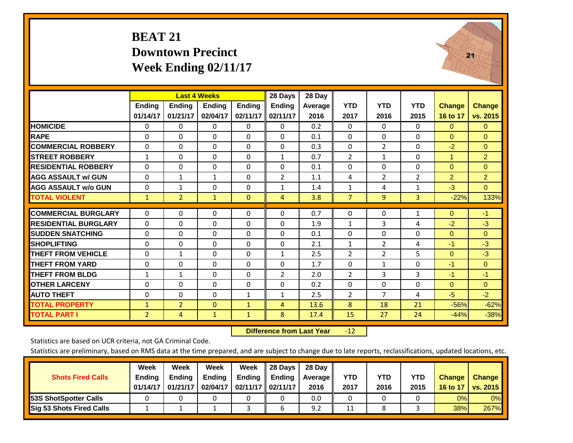#### **BEAT 21 Downtown Precinct Week Ending 02/11/17**



|                             |                |                | <b>Last 4 Weeks</b> |               | 28 Days        | 28 Day  |                |                |            |                |                |
|-----------------------------|----------------|----------------|---------------------|---------------|----------------|---------|----------------|----------------|------------|----------------|----------------|
|                             | Ending         | <b>Ending</b>  | <b>Ending</b>       | <b>Ending</b> | <b>Ending</b>  | Average | <b>YTD</b>     | <b>YTD</b>     | <b>YTD</b> | <b>Change</b>  | <b>Change</b>  |
|                             | 01/14/17       | 01/21/17       | 02/04/17            | 02/11/17      | 02/11/17       | 2016    | 2017           | 2016           | 2015       | 16 to 17       | vs. 2015       |
| <b>HOMICIDE</b>             | $\Omega$       | $\Omega$       | 0                   | 0             | 0              | 0.2     | 0              | $\Omega$       | 0          | $\Omega$       | $\overline{0}$ |
| <b>RAPE</b>                 | 0              | 0              | $\Omega$            | $\Omega$      | 0              | 0.1     | $\Omega$       | $\Omega$       | $\Omega$   | $\Omega$       | $\mathbf{0}$   |
| <b>COMMERCIAL ROBBERY</b>   | $\Omega$       | $\Omega$       | $\Omega$            | $\Omega$      | $\Omega$       | 0.3     | $\Omega$       | 2              | 0          | $-2$           | $\Omega$       |
| <b>STREET ROBBERY</b>       | $\mathbf{1}$   | 0              | $\Omega$            | $\Omega$      | $\mathbf{1}$   | 0.7     | 2              | $\mathbf{1}$   | $\Omega$   | 1              | $\overline{2}$ |
| <b>RESIDENTIAL ROBBERY</b>  | 0              | $\Omega$       | 0                   | $\mathbf 0$   | $\Omega$       | 0.1     | $\Omega$       | $\Omega$       | 0          | $\mathbf{0}$   | $\Omega$       |
| <b>AGG ASSAULT w/ GUN</b>   | $\Omega$       | $\mathbf{1}$   | $\mathbf{1}$        | $\Omega$      | $\overline{2}$ | 1.1     | 4              | $\overline{2}$ | 2          | $\overline{2}$ | $\overline{2}$ |
| <b>AGG ASSAULT w/o GUN</b>  | $\mathbf 0$    | 1              | $\Omega$            | $\Omega$      | $\mathbf{1}$   | 1.4     | $\mathbf{1}$   | 4              | 1          | $-3$           | $\Omega$       |
| <b>TOTAL VIOLENT</b>        | $\mathbf{1}$   | $\overline{2}$ | $\mathbf{1}$        | $\mathbf{0}$  | 4              | 3.8     | $\overline{7}$ | 9              | 3          | $-22%$         | 133%           |
|                             |                |                |                     |               |                |         |                |                |            |                |                |
| <b>COMMERCIAL BURGLARY</b>  | $\mathbf{0}$   | 0              | 0                   | $\mathbf 0$   | 0              | 0.7     | 0              | $\Omega$       | 1          | $\mathbf{0}$   | $-1$           |
| <b>RESIDENTIAL BURGLARY</b> | $\Omega$       | $\Omega$       | $\Omega$            | $\Omega$      | $\Omega$       | 1.9     | $\mathbf{1}$   | 3              | 4          | $-2$           | $-3$           |
| <b>ISUDDEN SNATCHING</b>    | $\Omega$       | $\Omega$       | $\Omega$            | $\Omega$      | $\Omega$       | 0.1     | $\Omega$       | $\Omega$       | $\Omega$   | $\Omega$       | $\Omega$       |
| <b>SHOPLIFTING</b>          | $\Omega$       | $\Omega$       | $\Omega$            | $\Omega$      | 0              | 2.1     | $\mathbf{1}$   | $\overline{2}$ | 4          | $-1$           | $-3$           |
| <b>THEFT FROM VEHICLE</b>   | 0              | $\mathbf{1}$   | $\Omega$            | $\Omega$      | $\mathbf{1}$   | 2.5     | $\overline{2}$ | $\overline{2}$ | 5          | $\mathbf{0}$   | $-3$           |
| <b>THEFT FROM YARD</b>      | 0              | 0              | $\Omega$            | $\Omega$      | $\Omega$       | 1.7     | $\Omega$       | $\mathbf{1}$   | $\Omega$   | $-1$           | $\overline{0}$ |
| <b>THEFT FROM BLDG</b>      | $\mathbf{1}$   | 1              | 0                   | $\Omega$      | 2              | 2.0     | $\overline{2}$ | 3              | 3          | $-1$           | $-1$           |
| <b>OTHER LARCENY</b>        | $\Omega$       | 0              | $\Omega$            | $\Omega$      | 0              | 0.2     | $\Omega$       | $\Omega$       | 0          | $\Omega$       | $\mathbf{0}$   |
| <b>AUTO THEFT</b>           | 0              | $\Omega$       | $\Omega$            | $\mathbf{1}$  | $\mathbf{1}$   | 2.5     | 2              | 7              | 4          | $-5$           | $-2$           |
| <b>TOTAL PROPERTY</b>       | $\mathbf{1}$   | $\overline{2}$ | $\Omega$            | $\mathbf{1}$  | 4              | 13.6    | 8              | 18             | 21         | $-56%$         | $-62%$         |
| <b>TOTAL PART I</b>         | $\overline{2}$ | $\overline{4}$ | $\mathbf{1}$        | $\mathbf{1}$  | 8              | 17.4    | 15             | 27             | 24         | $-44%$         | $-38%$         |

 **Difference from Last Year**r -12

Statistics are based on UCR criteria, not GA Criminal Code.

|                                 | Week          | Week     | Week     | Week                | 28 Days       | 28 Day     |      |      |            |               |                 |
|---------------------------------|---------------|----------|----------|---------------------|---------------|------------|------|------|------------|---------------|-----------------|
| <b>Shots Fired Calls</b>        | <b>Ending</b> | Ending   | Ending   | Ending              | <b>Ending</b> | Average II | YTD  | YTD  | <b>YTD</b> | <b>Change</b> | <b>Change</b>   |
|                                 | 01/14/17      | 01/21/17 | 02/04/17 | $02/11/17$ 02/11/17 |               | 2016       | 2017 | 2016 | 2015       | 16 to 17      | <b>VS. 2015</b> |
| <b>153S ShotSpotter Calls</b>   |               |          |          |                     |               | 0.0        |      |      |            | 0%            | 0%              |
| <b>Sig 53 Shots Fired Calls</b> |               |          |          |                     |               | 9.2        | 11   |      |            | 38%           | 267%            |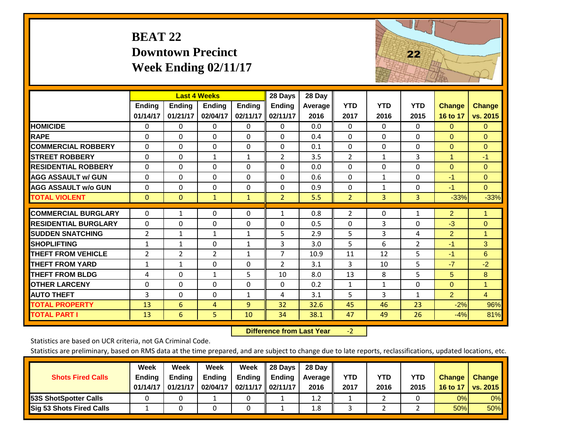| <b>BEAT 22</b>              |
|-----------------------------|
| <b>Downtown Precinct</b>    |
| <b>Week Ending 02/11/17</b> |



|                             |                | <b>Last 4 Weeks</b> |               |               | 28 Days        | 28 Day  |                |              |                |                |                |
|-----------------------------|----------------|---------------------|---------------|---------------|----------------|---------|----------------|--------------|----------------|----------------|----------------|
|                             | <b>Ending</b>  | <b>Ending</b>       | <b>Ending</b> | <b>Ending</b> | <b>Ending</b>  | Average | <b>YTD</b>     | <b>YTD</b>   | <b>YTD</b>     | <b>Change</b>  | <b>Change</b>  |
|                             | 01/14/17       | 01/21/17            | 02/04/17      | 02/11/17      | 02/11/17       | 2016    | 2017           | 2016         | 2015           | 16 to 17       | vs. 2015       |
| <b>HOMICIDE</b>             | $\Omega$       | $\Omega$            | 0             | $\mathbf{0}$  | $\Omega$       | 0.0     | $\Omega$       | $\Omega$     | $\Omega$       | $\mathbf{0}$   | $\Omega$       |
| <b>RAPE</b>                 | $\Omega$       | $\Omega$            | $\Omega$      | $\Omega$      | $\Omega$       | 0.4     | $\mathbf{0}$   | $\Omega$     | 0              | $\mathbf{0}$   | $\Omega$       |
| <b>COMMERCIAL ROBBERY</b>   | $\Omega$       | $\Omega$            | $\Omega$      | $\Omega$      | $\Omega$       | 0.1     | $\mathbf{0}$   | $\Omega$     | 0              | $\Omega$       | $\mathbf{0}$   |
| <b>ISTREET ROBBERY</b>      | $\Omega$       | $\Omega$            | $\mathbf{1}$  | $\mathbf{1}$  | $\overline{2}$ | 3.5     | 2              | $\mathbf{1}$ | 3              | $\mathbf{1}$   | $-1$           |
| <b>RESIDENTIAL ROBBERY</b>  | 0              | $\Omega$            | $\Omega$      | $\Omega$      | $\Omega$       | 0.0     | $\mathbf{0}$   | $\Omega$     | 0              | $\mathbf{0}$   | $\mathbf{0}$   |
| <b>AGG ASSAULT w/ GUN</b>   | $\Omega$       | $\Omega$            | $\Omega$      | $\Omega$      | $\Omega$       | 0.6     | $\Omega$       | $\mathbf{1}$ | 0              | $-1$           | $\Omega$       |
| <b>AGG ASSAULT w/o GUN</b>  | $\Omega$       | $\Omega$            | $\Omega$      | $\Omega$      | 0              | 0.9     | $\mathbf{0}$   | $\mathbf{1}$ | 0              | $-1$           | $\Omega$       |
| <b>TOTAL VIOLENT</b>        | $\mathbf{0}$   | $\mathbf{0}$        | $\mathbf{1}$  | $\mathbf{1}$  | $\overline{2}$ | 5.5     | $\overline{2}$ | 3            | 3              | $-33%$         | $-33%$         |
| <b>COMMERCIAL BURGLARY</b>  | 0              | 1                   | 0             | 0             | $\mathbf{1}$   | 0.8     | $\overline{2}$ | $\Omega$     | 1              | $\overline{2}$ | $\mathbf{1}$   |
| <b>RESIDENTIAL BURGLARY</b> | $\Omega$       | $\Omega$            | $\Omega$      | 0             | $\Omega$       | 0.5     | $\Omega$       | 3            | 0              | $-3$           | $\Omega$       |
| <b>ISUDDEN SNATCHING</b>    | $\overline{2}$ | 1                   | 1             | 1             | 5              | 2.9     | 5              | 3            | 4              | $\overline{2}$ | 1              |
| <b>SHOPLIFTING</b>          | 1              | $\mathbf{1}$        | $\Omega$      | $\mathbf{1}$  | 3              | 3.0     | 5              | 6            | $\overline{2}$ | $-1$           | 3              |
| <b>THEFT FROM VEHICLE</b>   | $\overline{2}$ | 2                   | 2             | $\mathbf{1}$  | $\overline{7}$ | 10.9    | 11             | 12           | 5              | $-1$           | 6              |
| <b>THEFT FROM YARD</b>      | $\mathbf{1}$   | $\mathbf{1}$        | $\Omega$      | $\Omega$      | $\overline{2}$ | 3.1     | 3              | 10           | 5              | $-7$           | $-2$           |
| <b>THEFT FROM BLDG</b>      | 4              | $\Omega$            | 1             | 5             | 10             | 8.0     | 13             | 8            | 5              | 5              | 8              |
| <b>OTHER LARCENY</b>        | $\Omega$       | $\Omega$            | $\Omega$      | $\Omega$      | $\Omega$       | 0.2     | $\mathbf{1}$   | $\mathbf{1}$ | 0              | $\Omega$       | $\mathbf{1}$   |
| <b>AUTO THEFT</b>           | 3              | 0                   | 0             | $\mathbf{1}$  | 4              | 3.1     | 5              | 3            | $\mathbf{1}$   | $\overline{2}$ | $\overline{4}$ |
| <b>TOTAL PROPERTY</b>       | 13             | 6                   | 4             | 9             | 32             | 32.6    | 45             | 46           | 23             | $-2%$          | 96%            |
| <b>TOTAL PART I</b>         | 13             | 6                   | 5             | 10            | 34             | 38.1    | 47             | 49           | 26             | $-4%$          | 81%            |

 **Difference from Last Year**r -2

Statistics are based on UCR criteria, not GA Criminal Code.

|                                 | Week                      | Week                      | Week               | Week                        | 28 Days       | 28 Day                    |             |             |                    |                           |                                  |
|---------------------------------|---------------------------|---------------------------|--------------------|-----------------------------|---------------|---------------------------|-------------|-------------|--------------------|---------------------------|----------------------------------|
| <b>Shots Fired Calls</b>        | <b>Ending</b><br>01/14/17 | <b>Ending</b><br>01/21/17 | Ending<br>02/04/17 | Ending<br>02/11/17 02/11/17 | <b>Ending</b> | <b>Average</b> II<br>2016 | YTD<br>2017 | YTD<br>2016 | <b>YTD</b><br>2015 | <b>Change</b><br>16 to 17 | <b>Change</b><br><b>vs. 2015</b> |
| <b>53S ShotSpotter Calls</b>    |                           |                           |                    |                             |               | 1.2                       |             |             |                    | 0%                        | 0%                               |
| <b>Sig 53 Shots Fired Calls</b> |                           |                           |                    |                             |               | 1.8                       |             |             |                    | 50%                       | 50%                              |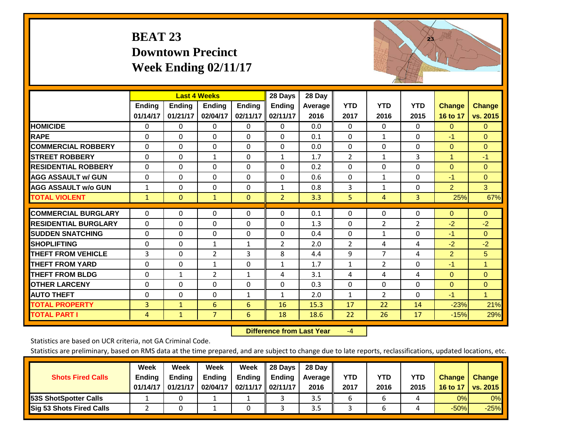#### **BEAT 23 Downtown Precinct Week Ending 02/11/17**



|                             |              | <b>Last 4 Weeks</b> |                |               | 28 Days        | 28 Day         |                |                |                |                |                |
|-----------------------------|--------------|---------------------|----------------|---------------|----------------|----------------|----------------|----------------|----------------|----------------|----------------|
|                             | Ending       | Ending              | <b>Endina</b>  | <b>Ending</b> | <b>Ending</b>  | <b>Average</b> | <b>YTD</b>     | <b>YTD</b>     | <b>YTD</b>     | <b>Change</b>  | <b>Change</b>  |
|                             | 01/14/17     | 01/21/17            | 02/04/17       | 02/11/17      | 02/11/17       | 2016           | 2017           | 2016           | 2015           | 16 to 17       | vs. 2015       |
| <b>HOMICIDE</b>             | 0            | 0                   | 0              | $\Omega$      | 0              | 0.0            | $\Omega$       | $\Omega$       | 0              | $\Omega$       | $\mathbf{0}$   |
| <b>RAPE</b>                 | $\Omega$     | 0                   | $\mathbf{0}$   | $\Omega$      | $\Omega$       | 0.1            | 0              | 1              | $\Omega$       | $-1$           | $\Omega$       |
| <b>COMMERCIAL ROBBERY</b>   | $\Omega$     | $\Omega$            | 0              | $\Omega$      | $\Omega$       | 0.0            | 0              | 0              | $\Omega$       | $\Omega$       | $\Omega$       |
| <b>STREET ROBBERY</b>       | 0            | $\Omega$            | $\mathbf{1}$   | 0             | $\mathbf{1}$   | 1.7            | $\overline{2}$ | $\mathbf{1}$   | 3              | $\overline{1}$ | $-1$           |
| <b>RESIDENTIAL ROBBERY</b>  | $\Omega$     | $\Omega$            | $\mathbf 0$    | $\Omega$      | $\Omega$       | 0.2            | $\mathbf{0}$   | 0              | $\Omega$       | $\Omega$       | $\Omega$       |
| <b>AGG ASSAULT w/ GUN</b>   | 0            | 0                   | 0              | $\Omega$      | $\Omega$       | 0.6            | $\Omega$       | 1              | 0              | $-1$           | $\Omega$       |
| <b>AGG ASSAULT w/o GUN</b>  | $\mathbf{1}$ | 0                   | $\mathbf 0$    | $\Omega$      | 1              | 0.8            | 3              | 1              | $\Omega$       | $\overline{2}$ | 3              |
| <b>TOTAL VIOLENT</b>        | $\mathbf{1}$ | $\overline{0}$      | $\mathbf{1}$   | $\mathbf{0}$  | $\overline{2}$ | 3.3            | 5              | 4              | 3              | 25%            | 67%            |
| <b>COMMERCIAL BURGLARY</b>  | 0            | 0                   | $\mathbf 0$    | 0             | $\Omega$       | 0.1            | 0              | 0              | 0              | $\mathbf{0}$   | $\overline{0}$ |
|                             |              |                     |                |               |                |                |                |                |                |                |                |
| <b>RESIDENTIAL BURGLARY</b> | $\Omega$     | 0                   | $\mathbf{0}$   | $\Omega$      | $\Omega$       | 1.3            | $\mathbf{0}$   | $\overline{2}$ | $\overline{2}$ | $-2$           | $-2$           |
| <b>ISUDDEN SNATCHING</b>    | $\Omega$     | $\Omega$            | $\Omega$       | $\Omega$      | $\Omega$       | 0.4            | $\mathbf{0}$   | $\mathbf{1}$   | $\Omega$       | $-1$           | $\Omega$       |
| <b>SHOPLIFTING</b>          | $\Omega$     | 0                   | $\mathbf{1}$   | 1             | $\overline{2}$ | 2.0            | $\overline{2}$ | 4              | 4              | $-2$           | $-2$           |
| <b>THEFT FROM VEHICLE</b>   | 3            | $\Omega$            | $\overline{2}$ | 3             | 8              | 4.4            | 9              | $\overline{7}$ | 4              | $\overline{2}$ | 5              |
| <b>THEFT FROM YARD</b>      | 0            | $\Omega$            | 1              | $\Omega$      | $\mathbf{1}$   | 1.7            | $\mathbf{1}$   | 2              | $\Omega$       | $-1$           | 1              |
| <b>THEFT FROM BLDG</b>      | 0            | $\mathbf{1}$        | $\overline{2}$ | $\mathbf{1}$  | 4              | 3.1            | 4              | 4              | 4              | $\Omega$       | $\Omega$       |
| <b>OTHER LARCENY</b>        | $\Omega$     | 0                   | $\mathbf{0}$   | $\Omega$      | $\Omega$       | 0.3            | 0              | 0              | $\Omega$       | $\Omega$       | $\Omega$       |
| <b>AUTO THEFT</b>           | 0            | $\Omega$            | 0              | $\mathbf{1}$  | $\mathbf{1}$   | 2.0            | $\mathbf{1}$   | $\overline{2}$ | $\Omega$       | $-1$           | $\mathbf{1}$   |
| <b>TOTAL PROPERTY</b>       | 3            | $\mathbf{1}$        | 6              | 6             | 16             | 15.3           | 17             | 22             | 14             | $-23%$         | 21%            |
| <b>TOTAL PART I</b>         | 4            | $\mathbf{1}$        | $\overline{7}$ | 6             | 18             | 18.6           | 22             | 26             | 17             | $-15%$         | 29%            |

 **Difference from Last Year**‐4

Statistics are based on UCR criteria, not GA Criminal Code.

| <b>Shots Fired Calls</b>        | Week                      | Week                      | Week                      | Week                           | 28 Days       | 28 Day                    | YTD  | YTD  | <b>YTD</b> |                           |                                  |
|---------------------------------|---------------------------|---------------------------|---------------------------|--------------------------------|---------------|---------------------------|------|------|------------|---------------------------|----------------------------------|
|                                 | <b>Ending</b><br>01/14/17 | <b>Ending</b><br>01/21/17 | <b>Ending</b><br>02/04/17 | Ending<br>02/11/17    02/11/17 | <b>Ending</b> | <b>Average</b> II<br>2016 | 2017 | 2016 | 2015       | <b>Change</b><br>16 to 17 | <b>Change</b><br><b>vs. 2015</b> |
| <b>53S ShotSpotter Calls</b>    |                           |                           |                           |                                |               | 3.5                       |      |      |            | 0%                        | 0%                               |
| <b>Sig 53 Shots Fired Calls</b> |                           |                           |                           |                                |               | 3.5                       |      |      |            | $-50%$                    | $-25%$                           |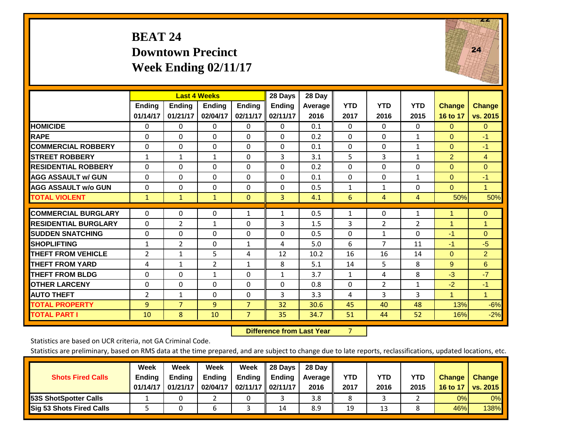#### **BEAT 24 Downtown Precinct Week Ending 02/11/17**



|                             |                |                | <b>Last 4 Weeks</b> |                | 28 Days      | 28 Day  |              |                |                |               |                |
|-----------------------------|----------------|----------------|---------------------|----------------|--------------|---------|--------------|----------------|----------------|---------------|----------------|
|                             | <b>Ending</b>  | <b>Ending</b>  | Ending              | <b>Ending</b>  | Ending       | Average | <b>YTD</b>   | <b>YTD</b>     | <b>YTD</b>     | <b>Change</b> | <b>Change</b>  |
|                             | 01/14/17       | 01/21/17       | 02/04/17            | 02/11/17       | 02/11/17     | 2016    | 2017         | 2016           | 2015           | 16 to 17      | vs. 2015       |
| <b>HOMICIDE</b>             | $\mathbf{0}$   | $\mathbf{0}$   | $\Omega$            | $\Omega$       | 0            | 0.1     | $\Omega$     | 0              | $\Omega$       | $\Omega$      | $\mathbf{0}$   |
| <b>RAPE</b>                 | $\Omega$       | $\Omega$       | $\Omega$            | $\Omega$       | $\Omega$     | 0.2     | $\Omega$     | $\Omega$       | $\mathbf{1}$   | $\mathbf{0}$  | $-1$           |
| <b>COMMERCIAL ROBBERY</b>   | $\Omega$       | $\Omega$       | $\Omega$            | $\mathbf{0}$   | $\Omega$     | 0.1     | $\mathbf{0}$ | $\Omega$       | $\mathbf{1}$   | $\mathbf{0}$  | $-1$           |
| <b>STREET ROBBERY</b>       | $\mathbf{1}$   | $\mathbf{1}$   | 1                   | $\Omega$       | 3            | 3.1     | 5            | 3              | 1              | 2             | $\overline{4}$ |
| <b>RESIDENTIAL ROBBERY</b>  | $\Omega$       | 0              | $\Omega$            | $\Omega$       | $\Omega$     | 0.2     | $\Omega$     | $\Omega$       | 0              | $\Omega$      | $\Omega$       |
| <b>AGG ASSAULT w/ GUN</b>   | 0              | 0              | $\Omega$            | $\Omega$       | 0            | 0.1     | $\Omega$     | 0              | $\mathbf{1}$   | $\mathbf{0}$  | $-1$           |
| <b>AGG ASSAULT w/o GUN</b>  | $\Omega$       | $\Omega$       | $\mathbf 0$         | $\Omega$       | $\Omega$     | 0.5     | $\mathbf{1}$ | $\mathbf{1}$   | 0              | $\mathbf{0}$  | $\mathbf{1}$   |
| <b>TOTAL VIOLENT</b>        | $\mathbf{1}$   | $\mathbf{1}$   | $\mathbf{1}$        | $\Omega$       | 3            | 4.1     | 6            | 4              | 4              | 50%           | 50%            |
|                             |                |                |                     |                |              |         |              |                |                |               |                |
| <b>COMMERCIAL BURGLARY</b>  | $\Omega$       | $\Omega$       | $\Omega$            | 1              | $\mathbf{1}$ | 0.5     | 1            | $\Omega$       | 1              | 1             | $\overline{0}$ |
| <b>RESIDENTIAL BURGLARY</b> | $\Omega$       | 2              | $\mathbf{1}$        | $\Omega$       | 3            | 1.5     | 3            | 2              | $\overline{2}$ | 4             | 1              |
| <b>ISUDDEN SNATCHING</b>    | 0              | 0              | $\Omega$            | $\Omega$       | 0            | 0.5     | $\Omega$     | $\mathbf{1}$   | $\Omega$       | $-1$          | $\Omega$       |
| <b>SHOPLIFTING</b>          | $\mathbf{1}$   | $\overline{2}$ | $\Omega$            | $\mathbf{1}$   | 4            | 5.0     | 6            | $\overline{7}$ | 11             | $-1$          | $-5$           |
| <b>THEFT FROM VEHICLE</b>   | $\overline{2}$ | $\mathbf{1}$   | 5                   | 4              | 12           | 10.2    | 16           | 16             | 14             | $\mathbf{0}$  | $\overline{2}$ |
| <b>THEFT FROM YARD</b>      | 4              | $\mathbf{1}$   | 2                   | $\mathbf{1}$   | 8            | 5.1     | 14           | 5              | 8              | 9             | 6              |
| <b>THEFT FROM BLDG</b>      | 0              | $\Omega$       | $\mathbf{1}$        | $\Omega$       | $\mathbf{1}$ | 3.7     | $\mathbf{1}$ | 4              | 8              | $-3$          | $-7$           |
| <b>OTHER LARCENY</b>        | 0              | 0              | $\Omega$            | $\Omega$       | 0            | 0.8     | $\Omega$     | $\overline{2}$ | $\mathbf{1}$   | $-2$          | $-1$           |
| <b>AUTO THEFT</b>           | 2              | $\mathbf{1}$   | $\Omega$            | $\Omega$       | 3            | 3.3     | 4            | 3              | 3              | 1             | $\mathbf{1}$   |
| <b>TOTAL PROPERTY</b>       | 9              | $\overline{7}$ | 9                   | $\overline{7}$ | 32           | 30.6    | 45           | 40             | 48             | 13%           | $-6%$          |
| <b>TOTAL PART I</b>         | 10             | 8              | 10                  | 7              | 35           | 34.7    | 51           | 44             | 52             | 16%           | $-2%$          |

 **Difference from Last Year**r 7

Statistics are based on UCR criteria, not GA Criminal Code.

|                                 | Week          | Week          | Week          | Week                | 28 Days               | 28 Day         |      |      |            |               |                 |
|---------------------------------|---------------|---------------|---------------|---------------------|-----------------------|----------------|------|------|------------|---------------|-----------------|
| <b>Shots Fired Calls</b>        | <b>Ending</b> | <b>Ending</b> | <b>Ending</b> | Ending              | $\blacksquare$ Ending | <b>Average</b> | YTD  | YTD  | <b>YTD</b> | <b>Change</b> | <b>Change</b>   |
|                                 | 01/14/17      | 01/21/17      | 02/04/17      | $02/11/17$ 02/11/17 |                       | 2016           | 2017 | 2016 | 2015       | 16 to 17      | <b>vs. 2015</b> |
| <b>153S ShotSpotter Calls</b>   |               |               |               |                     |                       | 3.8            |      |      |            | 0%            | 0%              |
| <b>Sig 53 Shots Fired Calls</b> |               |               |               |                     | 14                    | 8.9            | 19   | 13   |            | 46%           | <b>138%</b>     |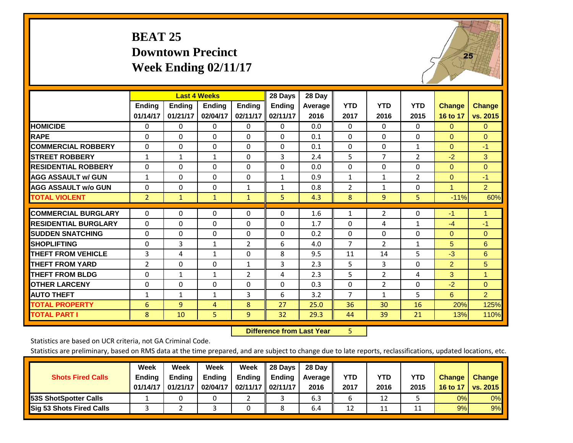#### **BEAT 25 Downtown Precinct Week Ending 02/11/17**



|                             |                | <b>Last 4 Weeks</b> |                |                | 28 Days       | 28 Day  |                |                |                |                |                      |
|-----------------------------|----------------|---------------------|----------------|----------------|---------------|---------|----------------|----------------|----------------|----------------|----------------------|
|                             | <b>Ending</b>  | <b>Ending</b>       | <b>Endina</b>  | <b>Endina</b>  | <b>Endina</b> | Average | <b>YTD</b>     | <b>YTD</b>     | <b>YTD</b>     | <b>Change</b>  | <b>Change</b>        |
|                             | 01/14/17       | 01/21/17            | 02/04/17       | 02/11/17       | 02/11/17      | 2016    | 2017           | 2016           | 2015           | 16 to 17       | vs. 2015             |
| <b>HOMICIDE</b>             | 0              | 0                   | 0              | 0              | 0             | 0.0     | $\mathbf{0}$   | $\Omega$       | 0              | $\mathbf{0}$   | $\Omega$             |
| <b>RAPE</b>                 | 0              | 0                   | $\Omega$       | $\Omega$       | 0             | 0.1     | $\Omega$       | $\Omega$       | 0              | $\Omega$       | $\Omega$             |
| <b>COMMERCIAL ROBBERY</b>   | $\Omega$       | $\Omega$            | $\Omega$       | 0              | $\Omega$      | 0.1     | $\mathbf{0}$   | $\Omega$       | $\mathbf{1}$   | $\Omega$       | $-1$                 |
| <b>STREET ROBBERY</b>       | 1              | 1                   | $\mathbf{1}$   | $\Omega$       | 3             | 2.4     | 5              | $\overline{7}$ | $\overline{2}$ | $-2$           | 3                    |
| <b>RESIDENTIAL ROBBERY</b>  | $\Omega$       | $\Omega$            | $\mathbf{0}$   | $\Omega$       | $\Omega$      | 0.0     | $\Omega$       | $\Omega$       | 0              | $\Omega$       | $\mathbf{0}$         |
| <b>AGG ASSAULT w/ GUN</b>   | $\mathbf{1}$   | $\Omega$            | $\Omega$       | $\Omega$       | $\mathbf{1}$  | 0.9     | $\mathbf{1}$   | $\mathbf{1}$   | $\overline{2}$ | $\Omega$       | $-1$                 |
| <b>AGG ASSAULT w/o GUN</b>  | $\Omega$       | $\Omega$            | $\Omega$       | $\mathbf{1}$   | $\mathbf{1}$  | 0.8     | $\overline{2}$ | 1              | $\Omega$       | 1              | $\overline{2}$       |
| <b>TOTAL VIOLENT</b>        | $\overline{2}$ | $\mathbf{1}$        | $\mathbf{1}$   | 1              | 5             | 4.3     | 8              | 9              | 5              | $-11%$         | 60%                  |
| <b>COMMERCIAL BURGLARY</b>  | $\mathbf 0$    | $\Omega$            | $\mathbf{0}$   | 0              | $\Omega$      | 1.6     |                | $\overline{2}$ | $\Omega$       | $-1$           | $\mathbf{1}$         |
|                             |                |                     |                |                |               |         | 1              |                |                |                |                      |
| <b>RESIDENTIAL BURGLARY</b> | $\Omega$       | $\Omega$            | $\Omega$       | $\Omega$       | $\Omega$      | 1.7     | $\Omega$       | 4              | $\mathbf{1}$   | $-4$           | $-1$                 |
| <b>SUDDEN SNATCHING</b>     | 0              | $\Omega$            | $\mathbf{0}$   | $\Omega$       | 0             | 0.2     | $\mathbf{0}$   | 0              | $\Omega$       | $\mathbf{0}$   | $\Omega$             |
| <b>SHOPLIFTING</b>          | $\Omega$       | 3                   | $\mathbf{1}$   | 2              | 6             | 4.0     | $\overline{7}$ | $\overline{2}$ | $\mathbf{1}$   | 5              | 6                    |
| <b>THEFT FROM VEHICLE</b>   | 3              | 4                   | $\mathbf{1}$   | $\Omega$       | 8             | 9.5     | 11             | 14             | 5              | $-3$           | 6                    |
| <b>THEFT FROM YARD</b>      | 2              | $\Omega$            | $\Omega$       | $\mathbf{1}$   | 3             | 2.3     | 5              | 3              | 0              | $\overline{2}$ | 5                    |
| <b>THEFT FROM BLDG</b>      | 0              | $\mathbf{1}$        | 1              | $\overline{2}$ | 4             | 2.3     | 5              | $\overline{2}$ | 4              | 3              | $\blacktriangleleft$ |
| <b>OTHER LARCENY</b>        | 0              | $\Omega$            | $\Omega$       | $\Omega$       | 0             | 0.3     | $\mathbf{0}$   | $\overline{2}$ | 0              | $-2$           | $\mathbf{0}$         |
| <b>AUTO THEFT</b>           | $\mathbf{1}$   | 1                   | $\mathbf{1}$   | 3              | 6             | 3.2     | $\overline{7}$ | 1              | 5              | 6              | $\overline{2}$       |
| <b>TOTAL PROPERTY</b>       | 6              | 9                   | $\overline{4}$ | 8              | 27            | 25.0    | 36             | 30             | 16             | 20%            | 125%                 |
| <b>TOTAL PART I</b>         | 8              | 10                  | 5              | 9              | 32            | 29.3    | 44             | 39             | 21             | 13%            | 110%                 |

 **Difference from Last Year**r 5

Statistics are based on UCR criteria, not GA Criminal Code.

|                                 | Week          | Week     | Week     | Week                 | 28 Days       | 28 Day            |      |      |            |               |               |
|---------------------------------|---------------|----------|----------|----------------------|---------------|-------------------|------|------|------------|---------------|---------------|
| <b>Shots Fired Calls</b>        | <b>Ending</b> | Ending   | Ending   | Ending               | <b>Ending</b> | <b>Average</b> II | YTD  | YTD  | <b>YTD</b> | <b>Change</b> | <b>Change</b> |
|                                 | 01/14/17      | 01/21/17 | 02/04/17 | 02/11/17    02/11/17 |               | 2016              | 2017 | 2016 | 2015       | 16 to 17      | vs. 2015      |
| <b>153S ShotSpotter Calls</b>   |               |          |          |                      |               | 6.3               |      | 12   |            | 0%            | 0%            |
| <b>Sig 53 Shots Fired Calls</b> |               |          |          |                      |               | 6.4               | 12   | 11   |            | 9%            | 9%            |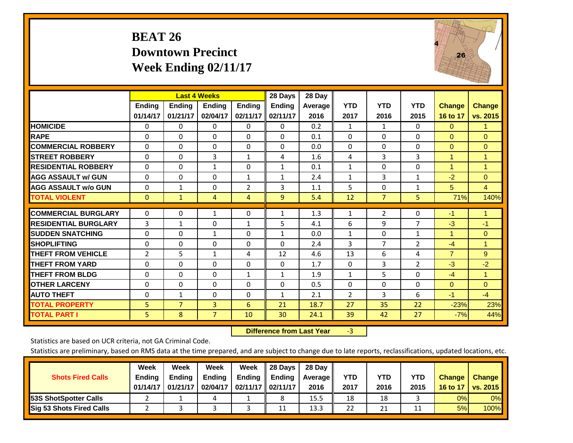#### **BEAT 26 Downtown Precinct Week Ending 02/11/17**



|                             |                | <b>Last 4 Weeks</b> |                |                | 28 Days       | 28 Day  |                |                |                |                |                |
|-----------------------------|----------------|---------------------|----------------|----------------|---------------|---------|----------------|----------------|----------------|----------------|----------------|
|                             | Ending         | Ending              | <b>Ending</b>  | <b>Ending</b>  | <b>Ending</b> | Average | <b>YTD</b>     | <b>YTD</b>     | <b>YTD</b>     | <b>Change</b>  | <b>Change</b>  |
|                             | 01/14/17       | 01/21/17            | 02/04/17       | 02/11/17       | 02/11/17      | 2016    | 2017           | 2016           | 2015           | 16 to 17       | vs. 2015       |
| <b>HOMICIDE</b>             | 0              | 0                   | 0              | $\Omega$       | $\Omega$      | 0.2     | 1              | $\mathbf{1}$   | 0              | $\Omega$       | 1.             |
| <b>RAPE</b>                 | 0              | $\Omega$            | $\Omega$       | $\Omega$       | $\Omega$      | 0.1     | $\Omega$       | $\Omega$       | $\Omega$       | $\Omega$       | $\Omega$       |
| <b>COMMERCIAL ROBBERY</b>   | $\Omega$       | $\Omega$            | $\mathbf{0}$   | $\Omega$       | $\Omega$      | 0.0     | $\mathbf{0}$   | $\Omega$       | $\Omega$       | $\mathbf{0}$   | $\Omega$       |
| <b>ISTREET ROBBERY</b>      | $\Omega$       | $\Omega$            | 3              | $\mathbf{1}$   | 4             | 1.6     | 4              | 3              | 3              | $\blacksquare$ | $\mathbf{1}$   |
| <b>RESIDENTIAL ROBBERY</b>  | $\Omega$       | $\Omega$            | $\mathbf{1}$   | $\Omega$       | $\mathbf{1}$  | 0.1     | $\mathbf{1}$   | $\Omega$       | $\Omega$       | $\mathbf{1}$   | $\mathbf{1}$   |
| <b>AGG ASSAULT w/ GUN</b>   | $\Omega$       | $\Omega$            | $\Omega$       | $\mathbf{1}$   | $\mathbf{1}$  | 2.4     | 1              | 3              | 1              | $-2$           | $\Omega$       |
| <b>AGG ASSAULT w/o GUN</b>  | $\Omega$       | $\mathbf{1}$        | $\mathbf{0}$   | $\overline{2}$ | 3             | 1.1     | 5              | 0              | $\mathbf{1}$   | 5              | $\overline{4}$ |
| <b>TOTAL VIOLENT</b>        | $\mathbf{0}$   | $\mathbf{1}$        | 4              | 4              | 9             | 5.4     | 12             | $\overline{7}$ | 5              | 71%            | 140%           |
| <b>COMMERCIAL BURGLARY</b>  | 0              | 0                   |                | 0              | $\mathbf{1}$  | 1.3     | 1              | $\overline{2}$ | 0              | $-1$           | 1              |
|                             |                |                     | 1              |                |               |         |                |                |                |                |                |
| <b>RESIDENTIAL BURGLARY</b> | 3              | $\mathbf{1}$        | $\Omega$       | $\mathbf{1}$   | 5             | 4.1     | 6              | 9              | 7              | $-3$           | $-1$           |
| <b>SUDDEN SNATCHING</b>     | $\Omega$       | $\Omega$            | $\mathbf{1}$   | 0              | $\mathbf{1}$  | 0.0     | $\mathbf{1}$   | $\Omega$       | $\mathbf{1}$   | 1              | $\Omega$       |
| <b>SHOPLIFTING</b>          | 0              | $\Omega$            | $\mathbf{0}$   | 0              | $\Omega$      | 2.4     | 3              | $\overline{7}$ | $\overline{2}$ | $-4$           | $\mathbf{1}$   |
| <b>THEFT FROM VEHICLE</b>   | $\overline{2}$ | 5                   | $\mathbf{1}$   | 4              | 12            | 4.6     | 13             | 6              | 4              | $\overline{7}$ | 9              |
| <b>THEFT FROM YARD</b>      | 0              | $\Omega$            | $\mathbf{0}$   | $\Omega$       | $\Omega$      | 1.7     | $\mathbf{0}$   | 3              | $\overline{2}$ | $-3$           | $-2$           |
| <b>THEFT FROM BLDG</b>      | 0              | 0                   | $\Omega$       | 1              | $\mathbf{1}$  | 1.9     | $\mathbf{1}$   | 5              | 0              | $-4$           | $\mathbf{1}$   |
| <b>OTHER LARCENY</b>        | $\Omega$       | $\Omega$            | $\mathbf{0}$   | 0              | $\Omega$      | 0.5     | $\Omega$       | $\Omega$       | 0              | $\mathbf{0}$   | $\Omega$       |
| <b>AUTO THEFT</b>           | 0              | $\mathbf{1}$        | 0              | 0              | $\mathbf{1}$  | 2.1     | $\overline{2}$ | 3              | 6              | $-1$           | $-4$           |
| <b>TOTAL PROPERTY</b>       | 5              | $\overline{7}$      | 3              | 6              | 21            | 18.7    | 27             | 35             | 22             | $-23%$         | 23%            |
| <b>TOTAL PART I</b>         | 5              | 8                   | $\overline{7}$ | 10             | 30            | 24.1    | 39             | 42             | 27             | $-7%$          | 44%            |

 **Difference from Last Year**r -3

Statistics are based on UCR criteria, not GA Criminal Code.

|                                 | Week          | Week          | Week     | Week                 | 28 Days       | 28 Day     |      |      |            |               |               |
|---------------------------------|---------------|---------------|----------|----------------------|---------------|------------|------|------|------------|---------------|---------------|
| <b>Shots Fired Calls</b>        | <b>Ending</b> | <b>Endina</b> | Ending   | Ending               | <b>Ending</b> | Average II | YTD  | YTD  | <b>YTD</b> | <b>Change</b> | <b>Change</b> |
|                                 | 01/14/17      | 01/21/17      | 02/04/17 | 02/11/17    02/11/17 |               | 2016       | 2017 | 2016 | 2015       | 16 to 17      | vs. 2015      |
| <b>153S ShotSpotter Calls</b>   |               |               |          |                      | 8             | 15.5       | 18   | 18   |            | 0%            | 0%            |
| <b>Sig 53 Shots Fired Calls</b> |               |               |          |                      | 11            | 13.3       | 22   | 21   |            | 5%            | 100%          |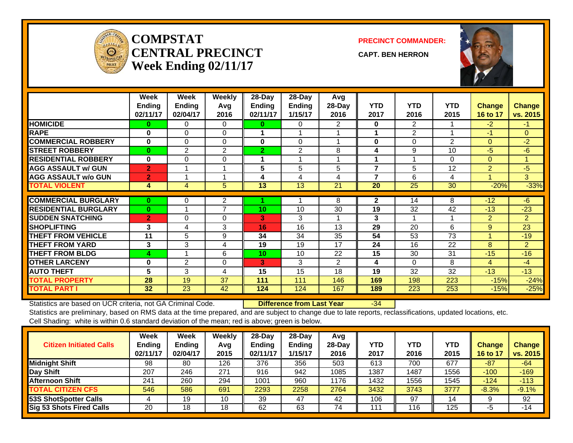

#### **COMPSTATCENTRAL PRECINCTWeek Ending 02/11/17**

**PRECINCT COMMANDER:**

**CAPT. BEN HERRON**



|                             | Week<br><b>Endina</b><br>02/11/17 | Week<br><b>Ending</b><br>02/04/17 | Weekly<br>Avg<br>2016 | 28-Day<br><b>Ending</b><br>02/11/17 | 28-Day<br><b>Ending</b><br>1/15/17 | Avg<br>$28$ -Day<br>2016 | <b>YTD</b><br>2017 | <b>YTD</b><br>2016 | <b>YTD</b><br>2015 | <b>Change</b><br>16 to 17 | <b>Change</b><br>vs. 2015 |
|-----------------------------|-----------------------------------|-----------------------------------|-----------------------|-------------------------------------|------------------------------------|--------------------------|--------------------|--------------------|--------------------|---------------------------|---------------------------|
| <b>HOMICIDE</b>             | 0                                 | 0                                 | $\Omega$              | $\bf{0}$                            | 0                                  | 2                        | $\bf{0}$           | $\overline{2}$     |                    | $-2$                      | $-1$                      |
| <b>RAPE</b>                 | $\bf{0}$                          | $\Omega$                          | $\Omega$              |                                     |                                    |                          |                    | 2                  |                    | $-1$                      | $\Omega$                  |
| <b>COMMERCIAL ROBBERY</b>   | $\bf{0}$                          | $\Omega$                          | $\Omega$              | 0                                   | $\Omega$                           |                          | $\bf{0}$           | $\Omega$           | $\overline{2}$     | $\Omega$                  | $-2$                      |
| <b>STREET ROBBERY</b>       | $\bf{0}$                          | 2                                 | 2                     | $\overline{2}$                      | $\overline{2}$                     | 8                        | 4                  | 9                  | 10                 | $-5$                      | $-6$                      |
| <b>RESIDENTIAL ROBBERY</b>  | $\bf{0}$                          | $\Omega$                          | $\Omega$              |                                     |                                    |                          | $\mathbf 1$        |                    | $\Omega$           | $\Omega$                  | 1                         |
| <b>AGG ASSAULT w/ GUN</b>   | $\overline{2}$                    |                                   |                       | 5                                   | 5                                  | 5                        | $\overline{7}$     | 5                  | 12                 | $\overline{2}$            | $-5$                      |
| <b>AGG ASSAULT w/o GUN</b>  | $\overline{2}$                    |                                   |                       | 4                                   | 4                                  | 4                        | 7                  | 6                  | 4                  |                           | 3                         |
| <b>TOTAL VIOLENT</b>        | 4                                 | 4                                 | 5                     | 13                                  | 13                                 | 21                       | 20                 | 25                 | 30                 | $-20%$                    | $-33%$                    |
|                             |                                   |                                   |                       |                                     |                                    |                          |                    |                    |                    |                           |                           |
| <b>COMMERCIAL BURGLARY</b>  | $\bf{0}$                          | 0                                 | $\overline{2}$        |                                     |                                    | 8                        | $\mathbf{2}$       | 14                 | 8                  | $-12$                     | $-6$                      |
| <b>RESIDENTIAL BURGLARY</b> | $\bf{0}$                          |                                   | $\overline{7}$        | 10                                  | 10                                 | 30                       | 19                 | 32                 | 42                 | $-13$                     | $-23$                     |
| <b>SUDDEN SNATCHING</b>     | $\overline{2}$                    | $\Omega$                          | $\Omega$              | 3                                   | 3                                  |                          | 3                  |                    |                    | $\overline{2}$            | $\overline{2}$            |
| <b>SHOPLIFTING</b>          | 3                                 | 4                                 | 3                     | 16                                  | 16                                 | 13                       | 29                 | 20                 | 6                  | 9                         | 23                        |
| <b>THEFT FROM VEHICLE</b>   | 11                                | 5                                 | 9                     | 34                                  | 34                                 | 35                       | 54                 | 53                 | 73                 | 4                         | $-19$                     |
| <b>THEFT FROM YARD</b>      | 3                                 | 3                                 | 4                     | 19                                  | 19                                 | 17                       | 24                 | 16                 | 22                 | 8                         | $\overline{2}$            |
| <b>THEFT FROM BLDG</b>      | 4                                 |                                   | 6                     | 10                                  | 10                                 | 22                       | 15                 | 30                 | 31                 | $-15$                     | $-16$                     |
| <b>OTHER LARCENY</b>        | $\bf{0}$                          | 2                                 | $\Omega$              | 3                                   | 3                                  | $\overline{2}$           | 4                  | $\Omega$           | 8                  | 4                         | $-4$                      |
| <b>AUTO THEFT</b>           | 5                                 | 3                                 | 4                     | 15                                  | 15                                 | 18                       | 19                 | 32                 | 32                 | $-13$                     | $-13$                     |
| <b>TOTAL PROPERTY</b>       | 28                                | 19                                | 37                    | 111                                 | 111                                | 146                      | 169                | 198                | 223                | $-15%$                    | $-24%$                    |
| <b>TOTAL PART I</b>         | 32                                | 23                                | 42                    | 124                                 | 124                                | 167                      | 189                | 223                | 253                | $-15%$                    | $-25%$                    |

Statistics are based on UCR criteria, not GA Criminal Code. **Difference from Last Year** -34

Statistics are preliminary, based on RMS data at the time prepared, and are subject to change due to late reports, reclassifications, updated locations, etc. Cell Shading: white is within 0.6 standard deviation of the mean; red is above; green is below.

| <b>Citizen Initiated Calls</b>  | Week<br><b>Ending</b><br>02/11/17 | <b>Week</b><br><b>Ending</b><br>02/04/17 | Weekly<br>Avg<br>2015 | $28-Dav$<br><b>Ending</b><br>02/11/17 | 28-Dav<br>Ending<br>1/15/17 | Avg<br>28-Dav<br>2016 | YTD<br>2017 | <b>YTD</b><br>2016 | YTD<br>2015 | <b>Change</b><br>16 to 17 | <b>Change</b><br>vs. 2015 |
|---------------------------------|-----------------------------------|------------------------------------------|-----------------------|---------------------------------------|-----------------------------|-----------------------|-------------|--------------------|-------------|---------------------------|---------------------------|
| <b>Midnight Shift</b>           | 98                                | 80                                       | 126                   | 376                                   | 356                         | 503                   | 613         | 700                | 677         | $-87$                     | $-64$                     |
| Day Shift                       | 207                               | 246                                      | 271                   | 916                                   | 942                         | 1085                  | 1387        | 1487               | 1556        | $-100$                    | $-169$                    |
| <b>Afternoon Shift</b>          | 241                               | 260                                      | 294                   | 1001                                  | 960                         | 1176                  | 1432        | 1556               | 1545        | $-124$                    | $-113$                    |
| <b>TOTAL CITIZEN CFS</b>        | 546                               | 586                                      | 691                   | 2293                                  | 2258                        | 2764                  | 3432        | 3743               | 3777        | $-8.3%$                   | $-9.1%$                   |
| <b>53S ShotSpotter Calls</b>    |                                   | 19                                       | 10                    | 39                                    | 47                          | 42                    | 106         | 97                 | 14          |                           | 92                        |
| <b>Sig 53 Shots Fired Calls</b> | 20                                | 18                                       | 18                    | 62                                    | 63                          | 74                    | 111         | 116                | 125         | -5                        | -14                       |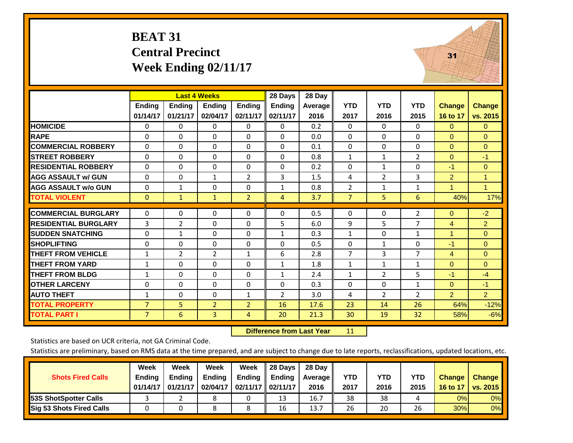#### **BEAT 31 Central Precinct Week Ending 02/11/17**



|                             |                |                | <b>Last 4 Weeks</b> |                | 28 Days        | 28 Day  |                |                |                |                |                      |
|-----------------------------|----------------|----------------|---------------------|----------------|----------------|---------|----------------|----------------|----------------|----------------|----------------------|
|                             | Ending         | <b>Ending</b>  | Ending              | <b>Ending</b>  | <b>Ending</b>  | Average | <b>YTD</b>     | <b>YTD</b>     | <b>YTD</b>     | <b>Change</b>  | <b>Change</b>        |
|                             | 01/14/17       | 01/21/17       | 02/04/17            | 02/11/17       | 02/11/17       | 2016    | 2017           | 2016           | 2015           | 16 to 17       | vs. 2015             |
| <b>HOMICIDE</b>             | 0              | $\Omega$       | 0                   | $\Omega$       | $\mathbf{0}$   | 0.2     | $\Omega$       | $\Omega$       | 0              | $\Omega$       | $\Omega$             |
| <b>RAPE</b>                 | $\Omega$       | $\Omega$       | $\Omega$            | $\Omega$       | $\Omega$       | 0.0     | $\Omega$       | $\Omega$       | $\Omega$       | $\Omega$       | $\Omega$             |
| <b>COMMERCIAL ROBBERY</b>   | $\Omega$       | $\Omega$       | $\Omega$            | $\mathbf{0}$   | $\Omega$       | 0.1     | $\Omega$       | $\Omega$       | 0              | $\Omega$       | $\Omega$             |
| <b>STREET ROBBERY</b>       | $\Omega$       | $\Omega$       | $\Omega$            | $\Omega$       | $\Omega$       | 0.8     | $\mathbf{1}$   | $\mathbf{1}$   | 2              | $\Omega$       | $-1$                 |
| <b>RESIDENTIAL ROBBERY</b>  | $\Omega$       | $\Omega$       | $\Omega$            | $\Omega$       | $\Omega$       | 0.2     | $\Omega$       | $\mathbf{1}$   | $\Omega$       | $-1$           | $\Omega$             |
| <b>AGG ASSAULT w/ GUN</b>   | $\Omega$       | $\mathbf{0}$   | $\mathbf{1}$        | 2              | 3              | 1.5     | 4              | $\overline{2}$ | 3              | $\overline{2}$ | $\overline{1}$       |
| <b>AGG ASSAULT w/o GUN</b>  | $\Omega$       | 1              | $\Omega$            | $\mathbf{0}$   | $\mathbf{1}$   | 0.8     | 2              | 1              | 1              | 1              | $\blacktriangleleft$ |
| <b>TOTAL VIOLENT</b>        | $\mathbf 0$    | $\mathbf{1}$   | $\mathbf{1}$        | $\overline{2}$ | 4              | 3.7     | $\overline{7}$ | 5              | 6              | 40%            | 17%                  |
|                             |                |                |                     |                |                |         |                |                |                |                |                      |
| <b>COMMERCIAL BURGLARY</b>  | $\Omega$       | 0              | 0                   | $\mathbf{0}$   | $\Omega$       | 0.5     | 0              | $\Omega$       | 2              | $\mathbf{0}$   | $-2$                 |
| <b>RESIDENTIAL BURGLARY</b> | 3              | $\overline{2}$ | $\Omega$            | $\mathbf{0}$   | 5              | 6.0     | 9              | 5              | 7              | 4              | $\overline{2}$       |
| <b>SUDDEN SNATCHING</b>     | $\Omega$       | $\mathbf{1}$   | 0                   | $\mathbf{0}$   | $\mathbf{1}$   | 0.3     | $\mathbf{1}$   | $\Omega$       | 1              | 1              | $\Omega$             |
| <b>SHOPLIFTING</b>          | $\Omega$       | $\Omega$       | $\Omega$            | $\Omega$       | $\Omega$       | 0.5     | $\Omega$       | $\mathbf{1}$   | $\Omega$       | $-1$           | $\Omega$             |
| <b>THEFT FROM VEHICLE</b>   | $\mathbf{1}$   | $\overline{2}$ | $\overline{2}$      | $\mathbf{1}$   | 6              | 2.8     | $\overline{7}$ | 3              | $\overline{7}$ | $\overline{4}$ | $\Omega$             |
| <b>THEFT FROM YARD</b>      | $\mathbf{1}$   | $\Omega$       | $\Omega$            | $\Omega$       | $\mathbf{1}$   | 1.8     | $\mathbf{1}$   | $\mathbf{1}$   | $\mathbf{1}$   | $\Omega$       | $\Omega$             |
| <b>THEFT FROM BLDG</b>      | $\mathbf{1}$   | 0              | 0                   | $\mathbf{0}$   | $\mathbf{1}$   | 2.4     | $\mathbf{1}$   | $\overline{2}$ | 5              | $-1$           | $-4$                 |
| <b>OTHER LARCENY</b>        | $\Omega$       | $\Omega$       | $\Omega$            | $\mathbf{0}$   | $\Omega$       | 0.3     | $\Omega$       | $\Omega$       | $\mathbf{1}$   | $\Omega$       | $-1$                 |
| <b>AUTO THEFT</b>           | $\mathbf{1}$   | $\Omega$       | $\Omega$            | 1              | $\overline{2}$ | 3.0     | 4              | $\overline{2}$ | $\overline{2}$ | $\overline{2}$ | $\overline{2}$       |
| <b>TOTAL PROPERTY</b>       | $\overline{7}$ | 5              | $\overline{2}$      | $\overline{2}$ | 16             | 17.6    | 23             | 14             | 26             | 64%            | $-12%$               |
| <b>TOTAL PART I</b>         | $\overline{7}$ | 6              | $\overline{3}$      | 4              | 20             | 21.3    | 30             | 19             | 32             | 58%            | $-6%$                |

 **Difference from Last Year**r 11

Statistics are based on UCR criteria, not GA Criminal Code.

|                                 | Week          | Week          | Week          | Week     | 28 Days       | 28 Dav     |      |      |            |               |                 |
|---------------------------------|---------------|---------------|---------------|----------|---------------|------------|------|------|------------|---------------|-----------------|
| <b>Shots Fired Calls</b>        | <b>Ending</b> | <b>Ending</b> | <b>Ending</b> | Ending   | <b>Ending</b> | Average II | YTD  | YTD  | <b>YTD</b> | <b>Change</b> | <b>Change</b>   |
|                                 | 01/14/17      | 01/21/17      | 02/04/17      | 02/11/17 | 02/11/17      | 2016       | 2017 | 2016 | 2015       | 16 to 17      | <b>vs. 2015</b> |
| 53S ShotSpotter Calls           |               |               | O             |          | 13            | 16.7       | 38   | 38   |            | 0%            | $0\%$           |
| <b>Sig 53 Shots Fired Calls</b> |               |               |               |          | 16            | 13.7       | 26   | 20   | 26         | 30%           | 0%              |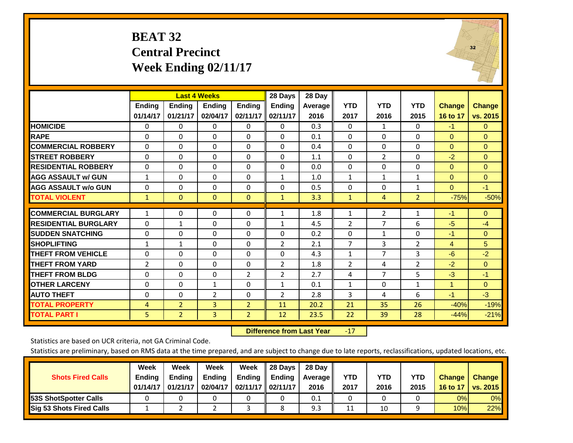#### **BEAT 32 Central Precinct Week Ending 02/11/17**



|                             |              |                | <b>Last 4 Weeks</b> |                | 28 Days        | 28 Day  |                |                |                |                |                |
|-----------------------------|--------------|----------------|---------------------|----------------|----------------|---------|----------------|----------------|----------------|----------------|----------------|
|                             | Ending       | <b>Ending</b>  | <b>Endina</b>       | <b>Ending</b>  | Ending         | Average | <b>YTD</b>     | <b>YTD</b>     | <b>YTD</b>     | <b>Change</b>  | Change         |
|                             | 01/14/17     | 01/21/17       | 02/04/17            | 02/11/17       | 02/11/17       | 2016    | 2017           | 2016           | 2015           | 16 to 17       | vs. 2015       |
| <b>HOMICIDE</b>             | 0            | $\Omega$       | $\Omega$            | $\mathbf{0}$   | $\Omega$       | 0.3     | $\mathbf{0}$   | $\mathbf{1}$   | $\Omega$       | $-1$           | $\Omega$       |
| <b>RAPE</b>                 | 0            | $\Omega$       | $\Omega$            | $\Omega$       | $\Omega$       | 0.1     | $\Omega$       | $\Omega$       | $\Omega$       | $\Omega$       | $\Omega$       |
| <b>COMMERCIAL ROBBERY</b>   | $\Omega$     | $\Omega$       | $\Omega$            | $\mathbf{0}$   | $\Omega$       | 0.4     | $\Omega$       | 0              | $\Omega$       | $\Omega$       | $\mathbf{0}$   |
| <b>STREET ROBBERY</b>       | 0            | $\Omega$       | $\Omega$            | $\mathbf{0}$   | $\Omega$       | 1.1     | $\mathbf{0}$   | $\overline{2}$ | $\Omega$       | $-2$           | $\Omega$       |
| <b>RESIDENTIAL ROBBERY</b>  | $\Omega$     | $\Omega$       | $\Omega$            | $\Omega$       | $\Omega$       | 0.0     | $\Omega$       | $\Omega$       | $\Omega$       | $\Omega$       | $\Omega$       |
| <b>AGG ASSAULT w/ GUN</b>   | $\mathbf{1}$ | $\Omega$       | $\Omega$            | $\Omega$       | $\mathbf{1}$   | 1.0     | $\mathbf{1}$   | $\mathbf{1}$   | $\mathbf{1}$   | $\Omega$       | $\Omega$       |
| <b>AGG ASSAULT w/o GUN</b>  | 0            | $\Omega$       | $\Omega$            | $\Omega$       | $\Omega$       | 0.5     | $\Omega$       | $\Omega$       | $\mathbf{1}$   | $\Omega$       | $-1$           |
| <b>TOTAL VIOLENT</b>        | $\mathbf{1}$ | $\Omega$       | $\mathbf{0}$        | $\mathbf{0}$   | $\mathbf{1}$   | 3.3     | $\mathbf{1}$   | 4              | $\overline{2}$ | $-75%$         | $-50%$         |
| <b>COMMERCIAL BURGLARY</b>  | $\mathbf{1}$ | 0              | 0                   | 0              | $\mathbf{1}$   | 1.8     | 1              | $\overline{2}$ | 1              | $-1$           | $\overline{0}$ |
| <b>RESIDENTIAL BURGLARY</b> | $\Omega$     |                | $\Omega$            | $\Omega$       |                |         | $\overline{2}$ | 7              | 6              | $-5$           |                |
|                             |              | $\mathbf{1}$   |                     |                | $\mathbf{1}$   | 4.5     |                |                |                |                | $-4$           |
| <b>SUDDEN SNATCHING</b>     | 0            | $\Omega$       | $\Omega$            | $\Omega$       | $\Omega$       | 0.2     | $\Omega$       | $\mathbf{1}$   | $\Omega$       | $-1$           | $\mathbf{0}$   |
| <b>SHOPLIFTING</b>          | $\mathbf{1}$ | $\mathbf{1}$   | $\Omega$            | $\Omega$       | $\overline{2}$ | 2.1     | $\overline{7}$ | 3              | $\overline{2}$ | $\overline{4}$ | 5              |
| <b>THEFT FROM VEHICLE</b>   | $\Omega$     | $\Omega$       | $\mathbf{0}$        | $\mathbf{0}$   | $\Omega$       | 4.3     | $\mathbf{1}$   | $\overline{7}$ | 3              | $-6$           | $-2$           |
| <b>THEFT FROM YARD</b>      | 2            | $\Omega$       | $\Omega$            | $\Omega$       | $\overline{2}$ | 1.8     | $\overline{2}$ | 4              | 2              | $-2$           | $\mathbf{0}$   |
| <b>THEFT FROM BLDG</b>      | 0            | $\Omega$       | $\Omega$            | $\overline{2}$ | $\overline{2}$ | 2.7     | 4              | $\overline{7}$ | 5              | $-3$           | $-1$           |
| <b>OTHER LARCENY</b>        | 0            | 0              | $\mathbf{1}$        | 0              | $\mathbf{1}$   | 0.1     | $\mathbf{1}$   | 0              | $\mathbf{1}$   | $\mathbf{1}$   | $\mathbf{0}$   |
| <b>AUTO THEFT</b>           | 0            | $\Omega$       | $\overline{2}$      | $\Omega$       | $\overline{2}$ | 2.8     | 3              | 4              | 6              | $-1$           | $-3$           |
| <b>TOTAL PROPERTY</b>       | 4            | $\overline{2}$ | 3                   | $\overline{2}$ | 11             | 20.2    | 21             | 35             | 26             | $-40%$         | $-19%$         |
| <b>TOTAL PART I</b>         | 5.           | $\overline{2}$ | 3                   | $\overline{2}$ | 12             | 23.5    | 22             | 39             | 28             | $-44%$         | $-21%$         |

 **Difference from Last Year**r -17

Statistics are based on UCR criteria, not GA Criminal Code.

|                                 | Week          | Week          | Week     | Week                | 28 Days       | 28 Day     |      |      |            |               |                 |
|---------------------------------|---------------|---------------|----------|---------------------|---------------|------------|------|------|------------|---------------|-----------------|
| <b>Shots Fired Calls</b>        | <b>Ending</b> | <b>Ending</b> | Ending   | Ending              | <b>Ending</b> | Average II | YTD  | YTD  | <b>YTD</b> | <b>Change</b> | <b>Change</b>   |
|                                 | 01/14/17      | 01/21/17      | 02/04/17 | $02/11/17$ 02/11/17 |               | 2016       | 2017 | 2016 | 2015       | 16 to 17      | <b>VS. 2015</b> |
| <b>153S ShotSpotter Calls</b>   |               |               |          |                     |               | 0.1        |      |      |            | 0%            | 0%              |
| <b>Sig 53 Shots Fired Calls</b> |               |               |          |                     |               | 9.3        | 11   | 10   |            | 10%           | 22%             |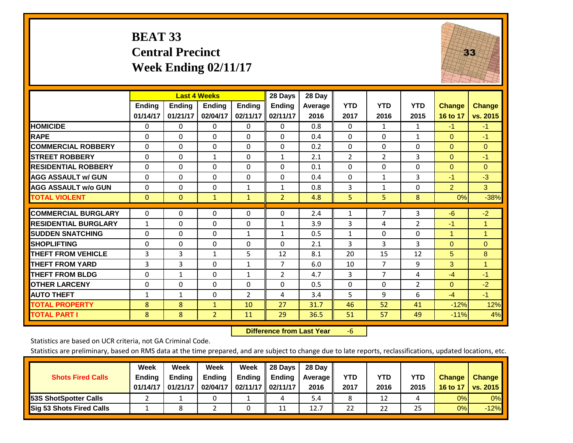#### **BEAT 33 Central Precinct Week Ending 02/11/17**



|                             |               |               | <b>Last 4 Weeks</b> |                | 28 Days        | 28 Day  |                |                |              |                |               |
|-----------------------------|---------------|---------------|---------------------|----------------|----------------|---------|----------------|----------------|--------------|----------------|---------------|
|                             | <b>Ending</b> | <b>Ending</b> | <b>Ending</b>       | <b>Endina</b>  | <b>Ending</b>  | Average | <b>YTD</b>     | <b>YTD</b>     | <b>YTD</b>   | <b>Change</b>  | <b>Change</b> |
|                             | 01/14/17      | 01/21/17      | 02/04/17            | 02/11/17       | 02/11/17       | 2016    | 2017           | 2016           | 2015         | 16 to 17       | vs. 2015      |
| <b>HOMICIDE</b>             | 0             | $\Omega$      | 0                   | $\Omega$       | $\Omega$       | 0.8     | $\mathbf{0}$   | $\mathbf{1}$   | $\mathbf{1}$ | $-1$           | $-1$          |
| <b>RAPE</b>                 | 0             | $\Omega$      | $\Omega$            | $\Omega$       | $\Omega$       | 0.4     | $\mathbf{0}$   | $\Omega$       | 1            | $\mathbf{0}$   | $-1$          |
| <b>COMMERCIAL ROBBERY</b>   | $\Omega$      | $\Omega$      | $\mathbf{0}$        | $\Omega$       | $\Omega$       | 0.2     | $\Omega$       | 0              | 0            | $\mathbf{0}$   | $\mathbf{0}$  |
| <b>STREET ROBBERY</b>       | $\Omega$      | $\Omega$      | 1                   | $\Omega$       | $\mathbf{1}$   | 2.1     | $\overline{2}$ | $\overline{2}$ | 3            | $\mathbf{0}$   | $-1$          |
| <b>RESIDENTIAL ROBBERY</b>  | $\Omega$      | $\Omega$      | $\Omega$            | $\Omega$       | $\Omega$       | 0.1     | $\mathbf{0}$   | 0              | 0            | $\mathbf{0}$   | $\mathbf{0}$  |
| <b>AGG ASSAULT w/ GUN</b>   | $\Omega$      | $\Omega$      | $\Omega$            | $\Omega$       | 0              | 0.4     | $\Omega$       | $\mathbf{1}$   | 3            | $-1$           | $-3$          |
| <b>AGG ASSAULT w/o GUN</b>  | $\Omega$      | $\Omega$      | $\mathbf{0}$        | $\mathbf{1}$   | $\mathbf{1}$   | 0.8     | 3              | $\mathbf{1}$   | 0            | $\overline{2}$ | 3             |
| <b>TOTAL VIOLENT</b>        | $\mathbf{0}$  | $\mathbf{0}$  | $\mathbf{1}$        | $\mathbf{1}$   | $\overline{2}$ | 4.8     | 5              | 5              | 8            | 0%             | $-38%$        |
| <b>COMMERCIAL BURGLARY</b>  | $\Omega$      | $\Omega$      | $\Omega$            | $\Omega$       | 0              | 2.4     | 1              | 7              | 3            | $-6$           | $-2$          |
|                             |               |               |                     |                |                |         |                |                |              |                |               |
| <b>RESIDENTIAL BURGLARY</b> | 1             | $\Omega$      | $\Omega$            | $\Omega$       | 1              | 3.9     | 3              | 4              | 2            | $-1$           | 1             |
| <b>SUDDEN SNATCHING</b>     | $\Omega$      | 0             | $\Omega$            | $\mathbf{1}$   | $\mathbf{1}$   | 0.5     | $\mathbf{1}$   | 0              | $\Omega$     | 1              | 1             |
| <b>SHOPLIFTING</b>          | $\Omega$      | $\Omega$      | $\mathbf{0}$        | $\Omega$       | 0              | 2.1     | 3              | 3              | 3            | $\mathbf{0}$   | $\mathbf{0}$  |
| <b>THEFT FROM VEHICLE</b>   | 3             | 3             | 1                   | 5              | 12             | 8.1     | 20             | 15             | 12           | 5              | 8             |
| <b>THEFT FROM YARD</b>      | 3             | 3             | $\mathbf{0}$        | $\mathbf{1}$   | 7              | 6.0     | 10             | 7              | 9            | 3              | $\mathbf{1}$  |
| <b>THEFT FROM BLDG</b>      | 0             | $\mathbf{1}$  | $\Omega$            | $\mathbf{1}$   | 2              | 4.7     | 3              | $\overline{7}$ | 4            | $-4$           | $-1$          |
| <b>OTHER LARCENY</b>        | $\Omega$      | $\Omega$      | $\Omega$            | 0              | $\Omega$       | 0.5     | $\Omega$       | $\Omega$       | 2            | $\mathbf{0}$   | $-2$          |
| <b>AUTO THEFT</b>           | 1             | $\mathbf{1}$  | $\Omega$            | $\overline{2}$ | 4              | 3.4     | 5              | 9              | 6            | $-4$           | $-1$          |
| <b>TOTAL PROPERTY</b>       | 8             | 8             | $\mathbf{1}$        | 10             | 27             | 31.7    | 46             | 52             | 41           | $-12%$         | 12%           |
| <b>TOTAL PART I</b>         | 8             | 8             | $\overline{2}$      | 11             | 29             | 36.5    | 51             | 57             | 49           | $-11%$         | 4%            |

 **Difference from Last Year**‐6

Statistics are based on UCR criteria, not GA Criminal Code.

|                                 | Week          | Week          | Week          | Week              | 28 Days                   | 28 Dav  |            |            |            |               |                 |
|---------------------------------|---------------|---------------|---------------|-------------------|---------------------------|---------|------------|------------|------------|---------------|-----------------|
| <b>Shots Fired Calls</b>        | <b>Ending</b> | <b>Endina</b> | <b>Ending</b> |                   | Ending $\parallel$ Ending | Average | <b>YTD</b> | <b>YTD</b> | <b>YTD</b> | <b>Change</b> | <b>Change</b>   |
|                                 | 01/14/17      | 01/21/17      | 02/04/17      | 02/11/17 02/11/17 |                           | 2016    | 2017       | 2016       | 2015       | 16 to 17      | <b>vs. 2015</b> |
| <b>153S ShotSpotter Calls</b>   |               |               |               |                   |                           | 5.4     |            | 12         |            | 0%            | $0\%$           |
| <b>Sig 53 Shots Fired Calls</b> |               |               |               |                   | 11                        | 12.7    | 22         | 22         | 25         | 0%            | $-12%$          |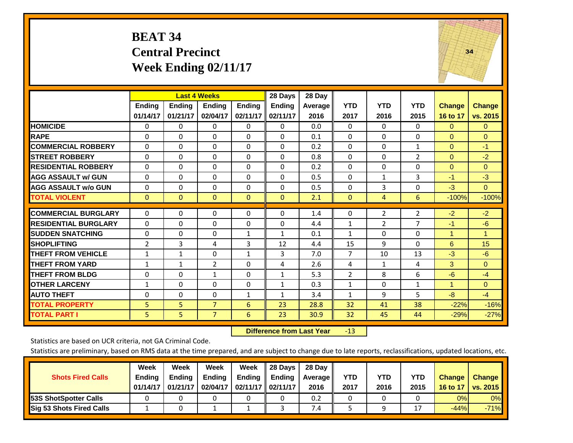#### **BEAT 34 Central Precinct Week Ending 02/11/17**



|                             |              |                | <b>Last 4 Weeks</b> |                 | 28 Days       | 28 Day  |                |                |              |               |               |
|-----------------------------|--------------|----------------|---------------------|-----------------|---------------|---------|----------------|----------------|--------------|---------------|---------------|
|                             | Ending       | <b>Ending</b>  | Ending              | <b>Ending</b>   | <b>Ending</b> | Average | <b>YTD</b>     | <b>YTD</b>     | <b>YTD</b>   | <b>Change</b> | <b>Change</b> |
|                             | 01/14/17     | 01/21/17       | 02/04/17            | 02/11/17        | 02/11/17      | 2016    | 2017           | 2016           | 2015         | 16 to 17      | vs. 2015      |
| <b>HOMICIDE</b>             | 0            | 0              | 0                   | $\Omega$        | 0             | 0.0     | $\Omega$       | $\Omega$       | 0            | $\Omega$      | $\mathbf{0}$  |
| <b>RAPE</b>                 | 0            | $\Omega$       | $\Omega$            | $\Omega$        | $\Omega$      | 0.1     | $\Omega$       | $\Omega$       | 0            | $\Omega$      | $\Omega$      |
| <b>COMMERCIAL ROBBERY</b>   | $\Omega$     | $\Omega$       | $\Omega$            | $\mathbf{0}$    | $\Omega$      | 0.2     | $\mathbf{0}$   | $\Omega$       | 1            | $\Omega$      | $-1$          |
| <b>ISTREET ROBBERY</b>      | $\Omega$     | $\Omega$       | $\Omega$            | $\Omega$        | $\Omega$      | 0.8     | $\mathbf{0}$   | $\Omega$       | 2            | $\Omega$      | $-2$          |
| <b>RESIDENTIAL ROBBERY</b>  | $\Omega$     | 0              | 0                   | $\Omega$        | $\Omega$      | 0.2     | $\mathbf{0}$   | $\Omega$       | 0            | $\Omega$      | $\Omega$      |
| <b>AGG ASSAULT w/ GUN</b>   | $\Omega$     | 0              | 0                   | $\mathbf{0}$    | 0             | 0.5     | 0              | $\mathbf{1}$   | 3            | $-1$          | $-3$          |
| <b>AGG ASSAULT w/o GUN</b>  | $\Omega$     | $\Omega$       | $\Omega$            | $\mathbf{0}$    | $\Omega$      | 0.5     | $\Omega$       | 3              | 0            | $-3$          | $\Omega$      |
| <b>TOTAL VIOLENT</b>        | $\mathbf{0}$ | $\overline{0}$ | $\mathbf{0}$        | $\mathbf{0}$    | $\mathbf{0}$  | 2.1     | $\mathbf{0}$   | 4              | 6            | $-100%$       | $-100%$       |
| <b>COMMERCIAL BURGLARY</b>  | $\Omega$     | 0              | 0                   | $\mathbf 0$     | $\Omega$      | 1.4     | 0              | $\overline{2}$ | 2            | $-2$          | $-2$          |
|                             |              |                |                     |                 |               |         |                |                |              |               |               |
| <b>RESIDENTIAL BURGLARY</b> | $\Omega$     | 0              | $\Omega$            | $\Omega$        | $\Omega$      | 4.4     | 1              | $\overline{2}$ | 7            | $-1$          | $-6$          |
| <b>SUDDEN SNATCHING</b>     | $\Omega$     | 0              | $\Omega$            | $\mathbf{1}$    | 1             | 0.1     | $\mathbf{1}$   | $\Omega$       | 0            | 1             | 1             |
| <b>SHOPLIFTING</b>          | 2            | 3              | 4                   | 3               | 12            | 4.4     | 15             | 9              | $\Omega$     | 6             | 15            |
| <b>THEFT FROM VEHICLE</b>   | $\mathbf{1}$ | 1              | $\Omega$            | $\mathbf{1}$    | 3             | 7.0     | $\overline{7}$ | 10             | 13           | $-3$          | $-6$          |
| <b>THEFT FROM YARD</b>      | $\mathbf{1}$ | 1              | $\overline{2}$      | $\Omega$        | 4             | 2.6     | 4              | $\mathbf{1}$   | 4            | 3             | $\Omega$      |
| <b>THEFT FROM BLDG</b>      | $\Omega$     | 0              | $\mathbf{1}$        | $\mathbf{0}$    | 1             | 5.3     | $\overline{2}$ | 8              | 6            | $-6$          | $-4$          |
| <b>OTHER LARCENY</b>        | $\mathbf{1}$ | 0              | $\Omega$            | $\Omega$        | $\mathbf{1}$  | 0.3     | $\mathbf{1}$   | $\Omega$       | $\mathbf{1}$ | 1             | $\Omega$      |
| <b>AUTO THEFT</b>           | $\Omega$     | 0              | $\Omega$            | 1               | $\mathbf{1}$  | 3.4     | 1              | 9              | 5            | $-8$          | $-4$          |
| <b>TOTAL PROPERTY</b>       | 5            | 5              | $\overline{7}$      | $6\phantom{1}6$ | 23            | 28.8    | 32             | 41             | 38           | $-22%$        | $-16%$        |
| <b>TOTAL PART I</b>         | 5            | 5.             | $\overline{7}$      | 6               | 23            | 30.9    | 32             | 45             | 44           | $-29%$        | $-27%$        |

 **Difference from Last Year**r -13

Statistics are based on UCR criteria, not GA Criminal Code.

|                                 | Week          | Week          | Week          | Week              | 28 Days                   | 28 Dav     |            |            |            |               |                 |
|---------------------------------|---------------|---------------|---------------|-------------------|---------------------------|------------|------------|------------|------------|---------------|-----------------|
| <b>Shots Fired Calls</b>        | <b>Ending</b> | <b>Endina</b> | <b>Ending</b> |                   | Ending $\parallel$ Ending | Average II | <b>YTD</b> | <b>YTD</b> | <b>YTD</b> | <b>Change</b> | <b>Change</b>   |
|                                 | 01/14/17      | 01/21/17      | 02/04/17      | 02/11/17 02/11/17 |                           | 2016       | 2017       | 2016       | 2015       | 16 to 17      | <b>vs. 2015</b> |
| <b>153S ShotSpotter Calls</b>   |               |               |               |                   |                           | 0.2        |            |            |            | 0%            | $0\%$           |
| <b>Sig 53 Shots Fired Calls</b> |               |               |               |                   |                           | 7.4        |            |            |            | $-44%$        | $-71%$          |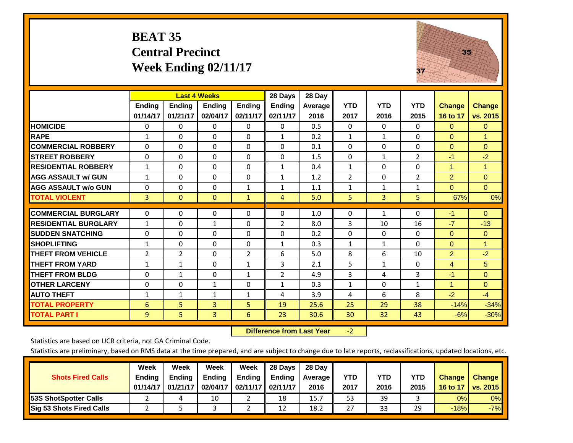#### **BEAT 35 Central Precinct Week Ending 02/11/17**



|                             |                | <b>Last 4 Weeks</b> |                |                | 28 Days        | 28 Day  |                |              |                |                      |                |
|-----------------------------|----------------|---------------------|----------------|----------------|----------------|---------|----------------|--------------|----------------|----------------------|----------------|
|                             | <b>Ending</b>  | <b>Ending</b>       | <b>Endina</b>  | <b>Ending</b>  | <b>Ending</b>  | Average | <b>YTD</b>     | <b>YTD</b>   | <b>YTD</b>     | <b>Change</b>        | <b>Change</b>  |
|                             | 01/14/17       | 01/21/17            | 02/04/17       | 02/11/17       | 02/11/17       | 2016    | 2017           | 2016         | 2015           | 16 to 17             | vs. 2015       |
| <b>HOMICIDE</b>             | 0              | $\mathbf{0}$        | 0              | 0              | 0              | 0.5     | 0              | $\Omega$     | 0              | $\mathbf{0}$         | $\overline{0}$ |
| <b>RAPE</b>                 | 1              | 0                   | $\Omega$       | $\mathbf{0}$   | $\mathbf{1}$   | 0.2     | $\mathbf{1}$   | 1            | 0              | $\Omega$             | 1              |
| <b>COMMERCIAL ROBBERY</b>   | $\Omega$       | 0                   | $\Omega$       | $\Omega$       | $\Omega$       | 0.1     | $\Omega$       | $\Omega$     | 0              | $\mathbf{0}$         | $\Omega$       |
| <b>STREET ROBBERY</b>       | 0              | 0                   | $\Omega$       | 0              | $\Omega$       | 1.5     | 0              | $\mathbf{1}$ | $\overline{2}$ | $-1$                 | $-2$           |
| <b>RESIDENTIAL ROBBERY</b>  | 1              | $\Omega$            | $\Omega$       | 0              | 1              | 0.4     | $\mathbf{1}$   | $\Omega$     | 0              | $\blacktriangleleft$ | 1              |
| <b>AGG ASSAULT w/ GUN</b>   | $\mathbf{1}$   | $\Omega$            | $\Omega$       | $\mathbf 0$    | $\mathbf{1}$   | 1.2     | $\overline{2}$ | $\Omega$     | 2              | $\overline{2}$       | $\overline{0}$ |
| <b>AGG ASSAULT w/o GUN</b>  | 0              | $\Omega$            | $\Omega$       | 1              | 1              | 1.1     | $\mathbf{1}$   | 1            | 1              | $\Omega$             | $\Omega$       |
| <b>TOTAL VIOLENT</b>        | 3              | $\mathbf{0}$        | $\overline{0}$ | $\mathbf{1}$   | 4              | 5.0     | 5              | 3            | 5              | 67%                  | 0%             |
| <b>COMMERCIAL BURGLARY</b>  |                |                     |                |                | $\Omega$       |         |                |              | 0              | $-1$                 | $\mathbf{0}$   |
|                             | $\mathbf 0$    | 0                   | 0              | 0              |                | 1.0     | 0              | 1            |                |                      |                |
| <b>RESIDENTIAL BURGLARY</b> | $\mathbf{1}$   | 0                   | $\mathbf{1}$   | $\Omega$       | $\overline{2}$ | 8.0     | 3              | 10           | 16             | $-7$                 | $-13$          |
| <b>ISUDDEN SNATCHING</b>    | $\Omega$       | 0                   | $\Omega$       | $\mathbf{0}$   | $\Omega$       | 0.2     | $\Omega$       | $\Omega$     | $\Omega$       | $\Omega$             | $\Omega$       |
| <b>SHOPLIFTING</b>          | 1              | 0                   | $\Omega$       | $\Omega$       | 1              | 0.3     | 1              | $\mathbf{1}$ | $\Omega$       | $\Omega$             | 1              |
| <b>THEFT FROM VEHICLE</b>   | $\overline{2}$ | $\overline{2}$      | $\Omega$       | $\overline{2}$ | 6              | 5.0     | 8              | 6            | 10             | $\overline{2}$       | $-2$           |
| <b>THEFT FROM YARD</b>      | $\mathbf{1}$   | $\mathbf{1}$        | $\Omega$       | $\mathbf{1}$   | 3              | 2.1     | 5              | $\mathbf{1}$ | 0              | $\overline{4}$       | 5 <sup>5</sup> |
| <b>THEFT FROM BLDG</b>      | $\Omega$       | 1                   | $\Omega$       | $\mathbf{1}$   | $\overline{2}$ | 4.9     | 3              | 4            | 3              | $-1$                 | $\Omega$       |
| <b>OTHER LARCENY</b>        | 0              | 0                   | 1              | $\Omega$       | 1              | 0.3     | $\mathbf{1}$   | $\Omega$     | 1              | $\blacktriangleleft$ | $\mathbf{0}$   |
| <b>AUTO THEFT</b>           | $\mathbf{1}$   | $\mathbf{1}$        | $\mathbf{1}$   | 1              | 4              | 3.9     | 4              | 6            | 8              | $-2$                 | $-4$           |
| <b>TOTAL PROPERTY</b>       | 6              | 5 <sup>1</sup>      | 3              | 5              | 19             | 25.6    | 25             | 29           | 38             | $-14%$               | $-34%$         |
| <b>TOTAL PART I</b>         | 9              | 5                   | $\overline{3}$ | 6              | 23             | 30.6    | 30             | 32           | 43             | $-6%$                | $-30%$         |

 **Difference from Last Year**r -2

Statistics are based on UCR criteria, not GA Criminal Code.

|                                 | Week          | Week          | Week          | Week     | 28 Days       | 28 Dav     |      |      |            |               |                 |
|---------------------------------|---------------|---------------|---------------|----------|---------------|------------|------|------|------------|---------------|-----------------|
| <b>Shots Fired Calls</b>        | <b>Ending</b> | <b>Ending</b> | <b>Ending</b> | Ending   | <b>Ending</b> | Average II | YTD  | YTD  | <b>YTD</b> | <b>Change</b> | <b>Change</b>   |
|                                 | 01/14/17      | 01/21/17      | 02/04/17      | 02/11/17 | 02/11/17      | 2016       | 2017 | 2016 | 2015       | 16 to 17      | <b>vs. 2015</b> |
| 53S ShotSpotter Calls           |               |               | 10            |          | 18            | 15.7       | 53   | 39   |            | 0%            | $0\%$           |
| <b>Sig 53 Shots Fired Calls</b> |               |               |               |          | 12            | 18.2       | 27   | 33   | 29         | $-18%$        | $-7%$           |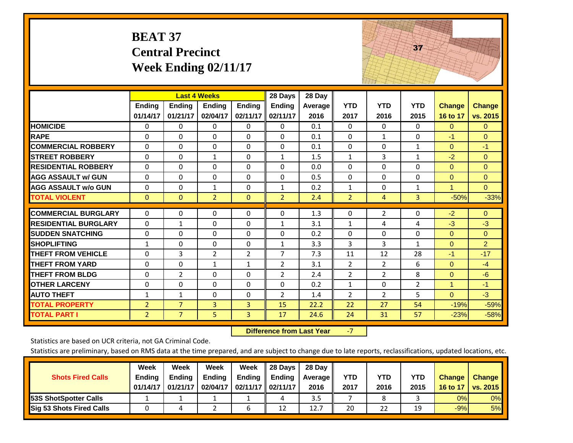|                                              | <b>BEAT 37</b>                   | <b>Central Precinct</b>          | Week Ending $02/11/17$                    |                           |                                      |                           |                    | 37                 |                    |                           |                           |  |
|----------------------------------------------|----------------------------------|----------------------------------|-------------------------------------------|---------------------------|--------------------------------------|---------------------------|--------------------|--------------------|--------------------|---------------------------|---------------------------|--|
|                                              | Ending<br>01/14/17               | Ending<br>01/21/17               | <b>Last 4 Weeks</b><br>Ending<br>02/04/17 | <b>Ending</b><br>02/11/17 | 28 Days<br><b>Ending</b><br>02/11/17 | 28 Day<br>Average<br>2016 | <b>YTD</b><br>2017 | <b>YTD</b><br>2016 | <b>YTD</b><br>2015 | <b>Change</b><br>16 to 17 | <b>Change</b><br>vs. 2015 |  |
| <b>HOMICIDE</b>                              | 0                                | 0                                | $\mathbf 0$                               | 0                         | 0                                    | 0.1                       | $\Omega$           | 0                  | $\mathbf{0}$       | $\mathbf{0}$              | $\overline{0}$            |  |
| <b>RAPE</b>                                  | 0                                | 0                                | $\mathbf 0$                               | $\Omega$                  | $\Omega$                             | 0.1                       | $\Omega$           | $\mathbf{1}$       | $\Omega$           | $-1$                      | $\Omega$                  |  |
| <b>COMMERCIAL ROBBERY</b>                    | 0                                | $\Omega$                         | $\mathbf 0$                               | $\Omega$                  | $\Omega$                             | 0.1                       | $\Omega$           | $\Omega$           | $\mathbf{1}$       | $\Omega$                  | $-1$                      |  |
| <b>STREET ROBBERY</b>                        | $\Omega$                         | $\Omega$                         | $\mathbf{1}$                              | $\Omega$                  | $\mathbf{1}$                         | 1.5                       | $\mathbf{1}$       | 3                  | $\mathbf{1}$       | $-2$                      | $\overline{0}$            |  |
| <b>RESIDENTIAL ROBBERY</b>                   | $\Omega$                         | $\Omega$                         | $\Omega$                                  | $\Omega$                  | $\Omega$                             | 0.0                       | $\mathbf{0}$       | $\Omega$           | $\Omega$           | $\mathbf{0}$              | $\overline{0}$            |  |
| <b>AGG ASSAULT w/ GUN</b>                    | $\Omega$                         | 0                                | $\Omega$                                  | $\Omega$                  | 0                                    | 0.5                       | 0                  | 0                  | $\Omega$           | $\Omega$                  | $\overline{0}$            |  |
| <b>AGG ASSAULT w/o GUN</b>                   | 0                                | $\Omega$                         | $\mathbf{1}$                              | 0                         | $\mathbf{1}$                         | 0.2                       | $\mathbf{1}$       | $\Omega$           | $\mathbf{1}$       | $\mathbf{1}$              | $\overline{0}$            |  |
| <b>TOTAL VIOLENT</b>                         | $\Omega$                         | $\overline{0}$                   | $\overline{2}$                            | $\Omega$                  | $\overline{2}$                       | 2.4                       | $\overline{2}$     | $\overline{4}$     | $\overline{3}$     | $-50%$                    | $-33%$                    |  |
| <b>COMMERCIAL BURGLARY</b>                   | $\Omega$                         | 0                                | $\mathbf{0}$                              | 0                         | 0                                    | 1.3                       | 0                  | $\overline{2}$     | $\Omega$           | $-2$                      | $\Omega$                  |  |
| <b>RESIDENTIAL BURGLARY</b>                  | $\Omega$                         | $\mathbf{1}$                     | $\Omega$                                  | $\Omega$                  | $\mathbf{1}$                         | 3.1                       | $\mathbf{1}$       | 4                  | 4                  | $-3$                      | $-3$                      |  |
| <b>SUDDEN SNATCHING</b>                      | 0                                | 0                                | $\mathbf{0}$                              | 0                         | 0                                    | 0.2                       | $\mathbf{0}$       | 0                  | $\mathbf{0}$       | $\mathbf{0}$              | $\overline{0}$            |  |
| <b>SHOPLIFTING</b>                           | $\mathbf{1}$                     | 0                                | $\mathbf 0$                               | 0                         | $\mathbf{1}$                         | 3.3                       | 3                  | 3                  | $\mathbf{1}$       | $\overline{0}$            | $\overline{2}$            |  |
| <b>THEFT FROM VEHICLE</b>                    | 0                                | 3                                | $\overline{2}$                            | $\overline{2}$            | $\overline{7}$                       | 7.3                       | 11                 | 12                 | 28                 | $-1$                      | $-17$                     |  |
| <b>THEFT FROM YARD</b>                       | 0                                | 0                                | $\mathbf{1}$                              | $\mathbf{1}$              | $\overline{2}$                       | 3.1                       | $\overline{2}$     | $\overline{2}$     | 6                  | $\Omega$                  | $-4$                      |  |
| <b>THEFT FROM BLDG</b>                       | 0                                | $\overline{2}$                   | $\mathbf 0$                               | $\Omega$                  | $\overline{2}$                       | 2.4                       | $\overline{2}$     | $\overline{2}$     | 8                  | $\Omega$                  | $-6$                      |  |
| <b>OTHER LARCENY</b>                         | 0                                | 0                                | 0                                         | 0                         | 0                                    | 0.2                       | 1                  | 0                  | $\overline{2}$     | $\mathbf{1}$              | $-1$                      |  |
| <b>AUTO THEFT</b>                            | $\mathbf{1}$                     | $\mathbf{1}$                     | 0                                         | 0                         | $\overline{2}$                       | 1.4                       | $\overline{2}$     | $\overline{2}$     | 5                  | $\Omega$                  | $-3$                      |  |
| <b>TOTAL PROPERTY</b><br><b>TOTAL PART I</b> | $\overline{2}$<br>$\overline{2}$ | $\overline{7}$<br>$\overline{7}$ | 3<br>5                                    | 3<br>3                    | 15<br>17                             | 22.2<br>24.6              | 22<br>24           | 27<br>31           | 54<br>57           | $-19%$<br>$-23%$          | $-59%$<br>$-58%$          |  |

and the state of the state of the state of

 **Difference from Last Year**‐7

Statistics are based on UCR criteria, not GA Criminal Code.

| <b>Shots Fired Calls</b>        | Week<br><b>Ending</b><br>01/14/17 | Week<br>Ending<br>01/21/17 | Week<br>Ending<br>02/04/17 | Week<br>Ending<br>02/11/17    02/11/17 | 28 Days<br><b>Ending</b> | 28 Day<br><b>Average</b> II<br>2016 | YTD<br>2017 | YTD<br>2016 | <b>YTD</b><br>2015 | <b>Change</b><br>16 to 17 | <b>Change</b><br>vs. 2015 |
|---------------------------------|-----------------------------------|----------------------------|----------------------------|----------------------------------------|--------------------------|-------------------------------------|-------------|-------------|--------------------|---------------------------|---------------------------|
| <b>153S ShotSpotter Calls</b>   |                                   |                            |                            |                                        | 4                        | 3.5                                 |             |             |                    | 0%                        | 0%                        |
| <b>Sig 53 Shots Fired Calls</b> |                                   |                            |                            |                                        | 12                       | 12.7                                | 20          | 22          | 19                 | $-9%$                     | 5%                        |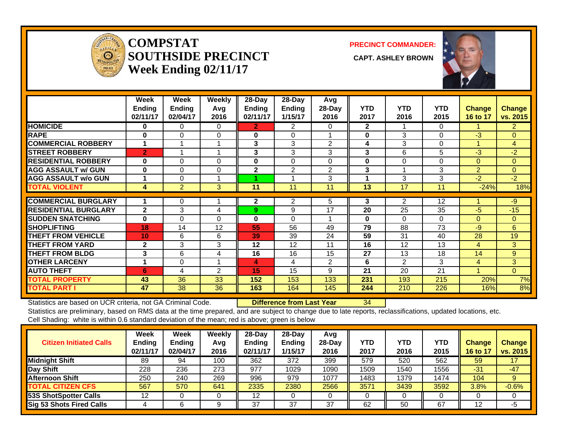

#### **COMPSTATSOUTHSIDE PRECINCT** CAPT. ASHLEY BROWN **Week Ending 02/11/17**

**PRECINCT COMMANDER:**



|                             | Week<br><b>Ending</b><br>02/11/17 | Week<br>Ending<br>02/04/17 | <b>Weekly</b><br>Avg<br>2016 | $28$ -Day<br><b>Ending</b><br>02/11/17 | $28-Day$<br>Ending<br>1/15/17 | Avg<br>28-Day<br>2016 | <b>YTD</b><br>2017 | <b>YTD</b><br>2016 | <b>YTD</b><br>2015 | <b>Change</b><br>16 to 17 | <b>Change</b><br>vs. 2015 |
|-----------------------------|-----------------------------------|----------------------------|------------------------------|----------------------------------------|-------------------------------|-----------------------|--------------------|--------------------|--------------------|---------------------------|---------------------------|
| <b>HOMICIDE</b>             | 0                                 | 0                          | 0                            | 2                                      | 2                             | 0                     | $\mathbf{2}$       |                    | 0                  |                           | $\overline{2}$            |
| <b>RAPE</b>                 | $\bf{0}$                          | $\Omega$                   | 0                            | 0                                      | 0                             |                       | $\bf{0}$           | 3                  | $\Omega$           | $-3$                      | $\mathbf{0}$              |
| <b>COMMERCIAL ROBBERY</b>   | 1                                 | 1                          | и                            | 3                                      | 3                             | 2                     | 4                  | 3                  | 0                  |                           | 4                         |
| <b>STREET ROBBERY</b>       | $\overline{2}$                    |                            |                              | 3                                      | 3                             | 3                     | 3                  | 6                  | 5                  | $-3$                      | $-2$                      |
| <b>RESIDENTIAL ROBBERY</b>  | $\bf{0}$                          | $\Omega$                   | $\Omega$                     | 0                                      | $\Omega$                      | 0                     | $\bf{0}$           | 0                  | $\Omega$           | $\overline{0}$            | $\mathbf{0}$              |
| <b>AGG ASSAULT w/ GUN</b>   | $\bf{0}$                          | 0                          | 0                            | $\mathbf{2}$                           | 2                             | $\overline{2}$        | 3                  | и                  | 3                  | $\overline{2}$            | $\overline{0}$            |
| <b>AGG ASSAULT w/o GUN</b>  | 1                                 | $\Omega$                   |                              |                                        |                               | 3                     |                    | 3                  | 3                  | $-2$                      | $-2$                      |
| <b>TOTAL VIOLENT</b>        | 4                                 | $\overline{2}$             | 3                            | 11                                     | 11                            | 11                    | 13                 | 17                 | 11                 | $-24%$                    | 18%                       |
|                             |                                   |                            |                              |                                        |                               |                       |                    |                    |                    |                           |                           |
| <b>COMMERCIAL BURGLARY</b>  |                                   | 0                          |                              | $\mathbf{2}$                           | 2                             | 5                     | 3                  | 2                  | 12                 |                           | $-9$                      |
| <b>RESIDENTIAL BURGLARY</b> | $\overline{2}$                    | 3                          | 4                            | 9                                      | 9                             | 17                    | 20                 | 25                 | 35                 | $-5$                      | $-15$                     |
| <b>SUDDEN SNATCHING</b>     | $\bf{0}$                          | $\Omega$                   | 0                            | 0                                      | 0                             |                       | $\bf{0}$           | 0                  | $\Omega$           | 0                         | $\mathbf{0}$              |
| <b>SHOPLIFTING</b>          | 18                                | 14                         | 12                           | 55                                     | 56                            | 49                    | 79                 | 88                 | 73                 | $-9$                      | 6                         |
| <b>THEFT FROM VEHICLE</b>   | 10                                | 6                          | 6                            | 39                                     | 39                            | 24                    | 59                 | 31                 | 40                 | 28                        | 19                        |
| <b>THEFT FROM YARD</b>      | $\mathbf{2}$                      | 3                          | 3                            | 12                                     | 12                            | 11                    | 16                 | 12                 | 13                 | 4                         | 3                         |
| <b>THEFT FROM BLDG</b>      | 3                                 | 6                          | 4                            | 16                                     | 16                            | 15                    | 27                 | 13                 | 18                 | 14                        | 9                         |
| <b>OTHER LARCENY</b>        | 1                                 | 0                          | и                            | 4                                      | 4                             | $\overline{2}$        | 6                  | $\overline{2}$     | 3                  | 4                         | 3                         |
| <b>AUTO THEFT</b>           | 6                                 | 4                          | $\overline{2}$               | 15                                     | 15                            | 9                     | 21                 | 20                 | 21                 |                           | $\Omega$                  |
| <b>TOTAL PROPERTY</b>       | 43                                | 36                         | 33                           | 152                                    | 153                           | 133                   | 231                | 193                | 215                | 20%                       | 7%                        |
| <b>TOTAL PART I</b>         | 47                                | 38                         | 36                           | 163                                    | 164                           | 145                   | 244                | 210                | 226                | 16%                       | 8%                        |

Statistics are based on UCR criteria, not GA Criminal Code. **Difference from Last Year** 34

Statistics are preliminary, based on RMS data at the time prepared, and are subject to change due to late reports, reclassifications, updated locations, etc. Cell Shading: white is within 0.6 standard deviation of the mean; red is above; green is below

| <b>Citizen Initiated Calls</b>  | Week<br><b>Ending</b><br>02/11/17 | Week<br>Ending<br>02/04/17 | Weekly<br>Avg<br>2016 | $28$ -Day<br><b>Endina</b><br>02/11/17 | $28-Day$<br><b>Ending</b><br>1/15/17 | Avg<br>$28$ -Day<br>2016 | YTD<br>2017 | <b>YTD</b><br>2016 | YTD<br>2015 | <b>Change</b><br>16 to 17 | <b>Change</b><br>vs. 2015 |
|---------------------------------|-----------------------------------|----------------------------|-----------------------|----------------------------------------|--------------------------------------|--------------------------|-------------|--------------------|-------------|---------------------------|---------------------------|
| <b>Midnight Shift</b>           | 89                                | 94                         | 100                   | 362                                    | 372                                  | 399                      | 579         | 520                | 562         | 59                        | 17                        |
| Day Shift                       | 228                               | 236                        | 273                   | 977                                    | 1029                                 | 1090                     | 1509        | 1540               | 1556        | $-31$                     | $-47$                     |
| <b>Afternoon Shift</b>          | 250                               | 240                        | 269                   | 996                                    | 979                                  | 1077                     | 1483        | 1379               | 1474        | 104                       | 9                         |
| <b>TOTAL CITIZEN CFS</b>        | 567                               | 570                        | 641                   | 2335                                   | 2380                                 | 2566                     | 3571        | 3439               | 3592        | 3.8%                      | $-0.6%$                   |
| 53S ShotSpotter Calls           | 12                                |                            |                       | 12                                     |                                      |                          |             |                    |             |                           |                           |
| <b>Sig 53 Shots Fired Calls</b> |                                   |                            |                       | 37                                     | 37                                   | 37                       | 62          | 50                 | 67          |                           | -5                        |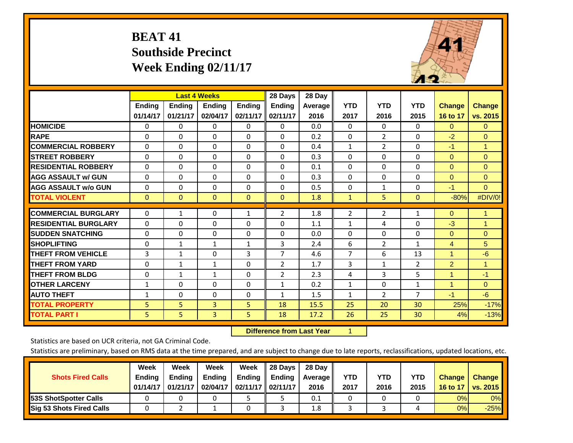## **BEAT 41 Southside Precinct Week Ending 02/11/17**



|                             |               |               | <b>Last 4 Weeks</b> |               | 28 Days        | 28 Day  |                |                |                |                |               |
|-----------------------------|---------------|---------------|---------------------|---------------|----------------|---------|----------------|----------------|----------------|----------------|---------------|
|                             | <b>Ending</b> | <b>Ending</b> | <b>Ending</b>       | <b>Endina</b> | <b>Ending</b>  | Average | <b>YTD</b>     | <b>YTD</b>     | <b>YTD</b>     | <b>Change</b>  | <b>Change</b> |
|                             | 01/14/17      | 01/21/17      | 02/04/17            | 02/11/17      | 02/11/17       | 2016    | 2017           | 2016           | 2015           | 16 to 17       | vs. 2015      |
| <b>HOMICIDE</b>             | 0             | $\Omega$      | 0                   | $\Omega$      | $\Omega$       | 0.0     | $\mathbf{0}$   | $\mathbf{0}$   | 0              | $\Omega$       | $\mathbf{0}$  |
| <b>RAPE</b>                 | 0             | $\Omega$      | $\Omega$            | $\Omega$      | $\Omega$       | 0.2     | $\mathbf{0}$   | $\overline{2}$ | 0              | $-2$           | $\Omega$      |
| <b>COMMERCIAL ROBBERY</b>   | $\Omega$      | $\Omega$      | $\mathbf{0}$        | $\Omega$      | $\Omega$       | 0.4     | $\mathbf{1}$   | $\overline{2}$ | 0              | $-1$           | $\mathbf{1}$  |
| <b>STREET ROBBERY</b>       | $\Omega$      | $\Omega$      | $\Omega$            | $\Omega$      | 0              | 0.3     | $\mathbf{0}$   | $\Omega$       | $\Omega$       | $\mathbf{0}$   | $\Omega$      |
| <b>RESIDENTIAL ROBBERY</b>  | $\Omega$      | $\Omega$      | $\mathbf{0}$        | $\Omega$      | $\Omega$       | 0.1     | $\mathbf{0}$   | 0              | 0              | $\mathbf{0}$   | $\Omega$      |
| <b>AGG ASSAULT w/ GUN</b>   | $\Omega$      | $\Omega$      | $\Omega$            | $\Omega$      | 0              | 0.3     | $\mathbf{0}$   | $\Omega$       | $\Omega$       | $\mathbf{0}$   | $\Omega$      |
| <b>AGG ASSAULT w/o GUN</b>  | $\Omega$      | $\Omega$      | $\mathbf{0}$        | $\Omega$      | $\Omega$       | 0.5     | $\Omega$       | $\mathbf{1}$   | 0              | $-1$           | $\Omega$      |
| <b>TOTAL VIOLENT</b>        | $\mathbf{0}$  | $\mathbf{0}$  | $\mathbf{0}$        | $\mathbf{0}$  | $\overline{0}$ | 1.8     | 1              | 5              | $\mathbf{0}$   | $-80%$         | #DIV/0!       |
| <b>COMMERCIAL BURGLARY</b>  | $\Omega$      | 1             | $\Omega$            | $\mathbf{1}$  | 2              | 1.8     | 2              | $\overline{2}$ |                | $\Omega$       | 1             |
|                             |               |               |                     |               |                |         |                |                | 1              |                |               |
| <b>RESIDENTIAL BURGLARY</b> | $\Omega$      | $\Omega$      | $\Omega$            | $\Omega$      | 0              | 1.1     | 1              | 4              | 0              | $-3$           | 1             |
| <b>SUDDEN SNATCHING</b>     | $\Omega$      | 0             | $\Omega$            | $\Omega$      | 0              | 0.0     | $\Omega$       | 0              | $\Omega$       | $\mathbf{0}$   | $\Omega$      |
| <b>SHOPLIFTING</b>          | $\Omega$      | $\mathbf{1}$  | $\mathbf{1}$        | $\mathbf{1}$  | 3              | 2.4     | 6              | $\overline{2}$ | $\mathbf{1}$   | $\overline{4}$ | 5             |
| <b>THEFT FROM VEHICLE</b>   | 3             | $\mathbf{1}$  | $\Omega$            | 3             | $\overline{7}$ | 4.6     | $\overline{7}$ | 6              | 13             | $\mathbf{1}$   | $-6$          |
| <b>THEFT FROM YARD</b>      | $\Omega$      | $\mathbf{1}$  | $\mathbf{1}$        | $\Omega$      | 2              | 1.7     | 3              | $\mathbf{1}$   | 2              | $\overline{2}$ | $\mathbf{1}$  |
| <b>THEFT FROM BLDG</b>      | 0             | 1             | 1                   | 0             | 2              | 2.3     | 4              | 3              | 5              | 1              | $-1$          |
| <b>OTHER LARCENY</b>        | $\mathbf{1}$  | $\Omega$      | $\mathbf{0}$        | 0             | $\mathbf{1}$   | 0.2     | $\mathbf{1}$   | 0              | $\mathbf{1}$   | 1              | $\Omega$      |
| <b>AUTO THEFT</b>           | 1             | $\Omega$      | $\Omega$            | $\Omega$      | $\mathbf{1}$   | 1.5     | $\mathbf{1}$   | $\overline{2}$ | $\overline{7}$ | $-1$           | $-6$          |
| <b>TOTAL PROPERTY</b>       | 5             | 5             | 3                   | 5             | 18             | 15.5    | 25             | 20             | 30             | 25%            | $-17%$        |
| <b>TOTAL PART I</b>         | 5             | 5.            | 3                   | 5.            | 18             | 17.2    | 26             | 25             | 30             | 4%             | $-13%$        |

 **Difference from Last Year**r <u>1</u>

Statistics are based on UCR criteria, not GA Criminal Code.

| <b>Shots Fired Calls</b>        | Week<br><b>Ending</b><br>01/14/17 | Week<br><b>Endina</b><br>01/21/17 | <b>Week</b><br>Ending<br>02/04/17 | Week<br>Ending | 28 Days<br><b>Ending</b><br>02/11/17    02/11/17 | 28 Day<br><b>Average II</b><br>2016 | YTD<br>2017 | YTD<br>2016 | <b>YTD</b><br>2015 | <b>Change</b><br>16 to 17 | <b>Change</b><br>vs. 2015 |
|---------------------------------|-----------------------------------|-----------------------------------|-----------------------------------|----------------|--------------------------------------------------|-------------------------------------|-------------|-------------|--------------------|---------------------------|---------------------------|
| <b>53S ShotSpotter Calls</b>    |                                   |                                   |                                   |                |                                                  | 0.1                                 |             |             |                    | 0%                        | 0%                        |
| <b>Sig 53 Shots Fired Calls</b> |                                   |                                   |                                   |                |                                                  | 1.8                                 |             |             |                    | 0%                        | $-25%$                    |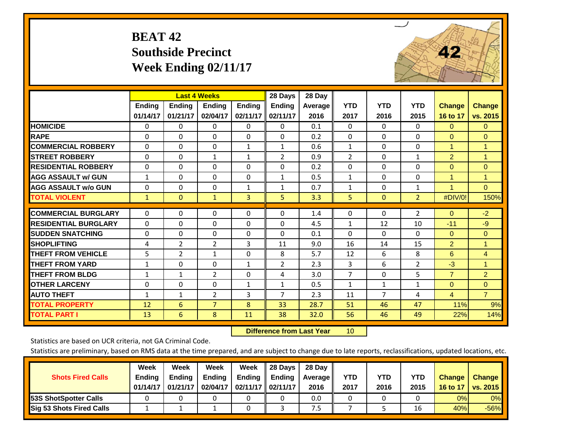# **BEAT 42 Southside Precinct Week Ending 02/11/17**



|                             |              | <b>Last 4 Weeks</b> |                |               | 28 Days        | 28 Day  |                |                |                |                |                      |
|-----------------------------|--------------|---------------------|----------------|---------------|----------------|---------|----------------|----------------|----------------|----------------|----------------------|
|                             | Ending       | <b>Ending</b>       | <b>Ending</b>  | <b>Ending</b> | <b>Ending</b>  | Average | <b>YTD</b>     | <b>YTD</b>     | <b>YTD</b>     | <b>Change</b>  | <b>Change</b>        |
|                             | 01/14/17     | 01/21/17            | 02/04/17       | 02/11/17      | 02/11/17       | 2016    | 2017           | 2016           | 2015           | 16 to 17       | vs. 2015             |
| <b>HOMICIDE</b>             | $\mathbf{0}$ | 0                   | 0              | 0             | $\Omega$       | 0.1     | $\Omega$       | 0              | $\Omega$       | $\Omega$       | $\Omega$             |
| <b>RAPE</b>                 | $\Omega$     | $\Omega$            | $\Omega$       | 0             | $\Omega$       | 0.2     | $\Omega$       | $\Omega$       | 0              | $\Omega$       | $\Omega$             |
| <b>COMMERCIAL ROBBERY</b>   | $\Omega$     | $\Omega$            | $\Omega$       | $\mathbf{1}$  | $\mathbf{1}$   | 0.6     | $\mathbf{1}$   | $\Omega$       | $\Omega$       | $\overline{1}$ | 1                    |
| <b>STREET ROBBERY</b>       | $\Omega$     | $\Omega$            | $\mathbf{1}$   | $\mathbf{1}$  | $\overline{2}$ | 0.9     | 2              | $\Omega$       | $\mathbf{1}$   | $\overline{2}$ | $\blacktriangleleft$ |
| <b>RESIDENTIAL ROBBERY</b>  | 0            | $\Omega$            | $\Omega$       | $\Omega$      | $\Omega$       | 0.2     | $\mathbf{0}$   | $\Omega$       | 0              | $\Omega$       | $\overline{0}$       |
| <b>AGG ASSAULT w/ GUN</b>   | $\mathbf{1}$ | $\Omega$            | $\Omega$       | $\Omega$      | $\mathbf{1}$   | 0.5     | 1              | 0              | 0              | 1              | 1                    |
| <b>AGG ASSAULT w/o GUN</b>  | $\Omega$     | $\Omega$            | $\Omega$       | $\mathbf{1}$  | $\mathbf{1}$   | 0.7     | $\mathbf{1}$   | $\Omega$       | $\mathbf{1}$   | $\overline{1}$ | $\Omega$             |
| <b>TOTAL VIOLENT</b>        | 1            | $\mathbf{0}$        | $\mathbf{1}$   | 3             | 5              | 3.3     | 5              | $\overline{0}$ | $\overline{2}$ | #DIV/0!        | 150%                 |
|                             |              |                     |                |               |                |         |                |                |                |                |                      |
| <b>COMMERCIAL BURGLARY</b>  | $\mathbf 0$  | $\Omega$            | 0              | 0             | $\Omega$       | 1.4     | 0              | $\Omega$       | 2              | $\mathbf{0}$   | $-2$                 |
| <b>RESIDENTIAL BURGLARY</b> | $\Omega$     | $\Omega$            | $\Omega$       | $\Omega$      | $\Omega$       | 4.5     | $\mathbf{1}$   | 12             | 10             | $-11$          | $-9$                 |
| <b>ISUDDEN SNATCHING</b>    | $\Omega$     | $\Omega$            | $\Omega$       | $\Omega$      | $\Omega$       | 0.1     | $\Omega$       | 0              | 0              | $\Omega$       | $\Omega$             |
| <b>SHOPLIFTING</b>          | 4            | 2                   | $\overline{2}$ | 3             | 11             | 9.0     | 16             | 14             | 15             | $\overline{2}$ | 1                    |
| <b>THEFT FROM VEHICLE</b>   | 5            | $\overline{2}$      | 1              | $\Omega$      | 8              | 5.7     | 12             | 6              | 8              | 6              | 4                    |
| <b>THEFT FROM YARD</b>      | $\mathbf{1}$ | $\Omega$            | $\Omega$       | $\mathbf{1}$  | $\overline{2}$ | 2.3     | 3              | 6              | $\overline{2}$ | $-3$           | $\blacktriangleleft$ |
| <b>THEFT FROM BLDG</b>      | $\mathbf{1}$ | $\mathbf{1}$        | $\overline{2}$ | $\Omega$      | 4              | 3.0     | $\overline{7}$ | 0              | 5              | $\overline{7}$ | $\overline{2}$       |
| <b>OTHER LARCENY</b>        | 0            | $\Omega$            | $\Omega$       | $\mathbf{1}$  | $\mathbf{1}$   | 0.5     | $\mathbf{1}$   | $\mathbf{1}$   | $\mathbf{1}$   | $\Omega$       | $\mathbf{0}$         |
| <b>AUTO THEFT</b>           | $\mathbf{1}$ | 1                   | 2              | 3             | $\overline{7}$ | 2.3     | 11             | 7              | 4              | $\overline{4}$ | $\overline{7}$       |
| <b>TOTAL PROPERTY</b>       | 12           | 6                   | $\overline{7}$ | 8             | 33             | 28.7    | 51             | 46             | 47             | 11%            | 9%                   |
| <b>TOTAL PART I</b>         | 13           | 6                   | 8              | 11            | 38             | 32.0    | 56             | 46             | 49             | 22%            | 14%                  |

 **Difference from Last Year**r 10

Statistics are based on UCR criteria, not GA Criminal Code.

| <b>Shots Fired Calls</b>        | Week<br><b>Ending</b> | Week<br>Ending | Week<br><b>Ending</b> | Week<br>Ending | 28 Days<br><b>Ending</b> | 28 Day<br><b>Average</b> II | YTD  | YTD  | <b>YTD</b> | <b>Change</b> | <b>Change</b>   |
|---------------------------------|-----------------------|----------------|-----------------------|----------------|--------------------------|-----------------------------|------|------|------------|---------------|-----------------|
|                                 | 01/14/17              | 01/21/17       | 02/04/17              |                | 02/11/17    02/11/17     | 2016                        | 2017 | 2016 | 2015       | 16 to 17      | <b>VS. 2015</b> |
| <b>153S ShotSpotter Calls</b>   |                       |                |                       |                |                          | 0.0                         |      |      |            | 0%            | 0%              |
| <b>Sig 53 Shots Fired Calls</b> |                       |                |                       |                |                          | /.5                         |      |      | 16         | 40%           | $-56%$          |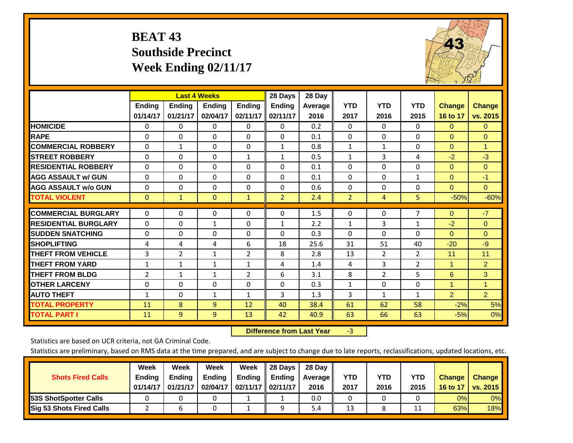## **BEAT 43 Southside Precinct Week Ending 02/11/17**



|                             |              |                | <b>Last 4 Weeks</b> |                | 28 Days        | 28 Day  |                |                |                |                |                      |
|-----------------------------|--------------|----------------|---------------------|----------------|----------------|---------|----------------|----------------|----------------|----------------|----------------------|
|                             | Ending       | Ending         | <b>Ending</b>       | <b>Ending</b>  | <b>Ending</b>  | Average | <b>YTD</b>     | <b>YTD</b>     | <b>YTD</b>     | <b>Change</b>  | <b>Change</b>        |
|                             | 01/14/17     | 01/21/17       | 02/04/17            | 02/11/17       | 02/11/17       | 2016    | 2017           | 2016           | 2015           | 16 to 17       | vs. 2015             |
| <b>HOMICIDE</b>             | $\Omega$     | 0              | $\Omega$            | $\Omega$       | 0              | 0.2     | $\Omega$       | $\Omega$       | 0              | $\Omega$       | $\overline{0}$       |
| <b>RAPE</b>                 | 0            | 0              | $\Omega$            | 0              | 0              | 0.1     | $\Omega$       | $\Omega$       | 0              | $\Omega$       | $\mathbf{0}$         |
| <b>COMMERCIAL ROBBERY</b>   | $\Omega$     | $\mathbf{1}$   | $\Omega$            | $\Omega$       | $\mathbf{1}$   | 0.8     | 1              | 1              | 0              | $\Omega$       | $\blacktriangleleft$ |
| <b>ISTREET ROBBERY</b>      | $\Omega$     | $\Omega$       | $\Omega$            | $\mathbf{1}$   | $\mathbf{1}$   | 0.5     | $\mathbf{1}$   | 3              | 4              | $-2$           | $-3$                 |
| <b>RESIDENTIAL ROBBERY</b>  | 0            | $\Omega$       | $\mathbf 0$         | 0              | $\Omega$       | 0.1     | $\mathbf{0}$   | $\mathbf{0}$   | 0              | $\Omega$       | $\Omega$             |
| <b>AGG ASSAULT w/ GUN</b>   | $\Omega$     | $\Omega$       | $\Omega$            | $\Omega$       | $\Omega$       | 0.1     | $\mathbf{0}$   | $\Omega$       | 1              | $\Omega$       | $-1$                 |
| <b>AGG ASSAULT w/o GUN</b>  | $\Omega$     | $\Omega$       | $\Omega$            | $\Omega$       | $\Omega$       | 0.6     | $\Omega$       | $\Omega$       | 0              | $\Omega$       | $\Omega$             |
| <b>TOTAL VIOLENT</b>        | $\mathbf{0}$ | $\mathbf{1}$   | $\mathbf{0}$        | $\mathbf{1}$   | $\overline{2}$ | 2.4     | $\overline{2}$ | 4              | 5              | $-50%$         | $-60%$               |
|                             |              |                |                     |                |                |         |                |                |                |                |                      |
| <b>COMMERCIAL BURGLARY</b>  | $\Omega$     | $\Omega$       | $\Omega$            | 0              | 0              | 1.5     | $\mathbf 0$    | $\Omega$       | 7              | $\mathbf{0}$   | $-7$                 |
| <b>RESIDENTIAL BURGLARY</b> | $\Omega$     | $\Omega$       | $\mathbf{1}$        | $\Omega$       | $\mathbf{1}$   | 2.2     | $\mathbf{1}$   | 3              | $\mathbf{1}$   | $-2$           | $\Omega$             |
| <b>ISUDDEN SNATCHING</b>    | $\Omega$     | $\Omega$       | $\Omega$            | $\Omega$       | $\Omega$       | 0.3     | $\Omega$       | $\Omega$       | $\Omega$       | $\Omega$       | $\Omega$             |
| <b>ISHOPLIFTING</b>         | 4            | 4              | 4                   | 6              | 18             | 25.6    | 31             | 51             | 40             | $-20$          | $-9$                 |
| <b>THEFT FROM VEHICLE</b>   | 3            | $\overline{2}$ | $\mathbf{1}$        | $\overline{2}$ | 8              | 2.8     | 13             | 2              | $\overline{2}$ | 11             | 11                   |
| <b>THEFT FROM YARD</b>      | 1            | $\mathbf{1}$   | $\mathbf{1}$        | 1              | 4              | 1.4     | 4              | 3              | $\overline{2}$ | $\mathbf{1}$   | $\overline{2}$       |
| <b>THEFT FROM BLDG</b>      | 2            | $\mathbf{1}$   | $\mathbf{1}$        | $\overline{2}$ | 6              | 3.1     | 8              | $\overline{2}$ | 5              | 6              | 3                    |
| <b>OTHER LARCENY</b>        | 0            | $\Omega$       | $\Omega$            | $\Omega$       | 0              | 0.3     | $\mathbf{1}$   | $\Omega$       | 0              | 1              | $\mathbf{1}$         |
| <b>AUTO THEFT</b>           | $\mathbf{1}$ | $\Omega$       | $\mathbf{1}$        | 1              | 3              | 1.3     | $\overline{3}$ | $\mathbf{1}$   | $\mathbf{1}$   | $\overline{2}$ | $\overline{2}$       |
| <b>TOTAL PROPERTY</b>       | 11           | 8              | 9                   | 12             | 40             | 38.4    | 61             | 62             | 58             | $-2%$          | 5%                   |
| <b>TOTAL PART I</b>         | 11           | 9              | 9                   | 13             | 42             | 40.9    | 63             | 66             | 63             | $-5%$          | 0%                   |

 **Difference from Last Year**r -3

Statistics are based on UCR criteria, not GA Criminal Code.

|                                 | Week          | Week     | Week          | Week                 | 28 Days       | 28 Day            |      |      |            |               |               |
|---------------------------------|---------------|----------|---------------|----------------------|---------------|-------------------|------|------|------------|---------------|---------------|
| <b>Shots Fired Calls</b>        | <b>Ending</b> | Ending   | <b>Ending</b> | Ending               | <b>Ending</b> | <b>Average</b> II | YTD  | YTD  | <b>YTD</b> | <b>Change</b> | <b>Change</b> |
|                                 | 01/14/17      | 01/21/17 | 02/04/17      | 02/11/17    02/11/17 |               | 2016              | 2017 | 2016 | 2015       | 16 to 17      | vs. 2015      |
| <b>153S ShotSpotter Calls</b>   |               |          |               |                      |               | 0.0               |      |      |            | 0%            | 0%            |
| <b>Sig 53 Shots Fired Calls</b> |               |          |               |                      |               | 5.4               | 13   |      |            | 63%           | 18%           |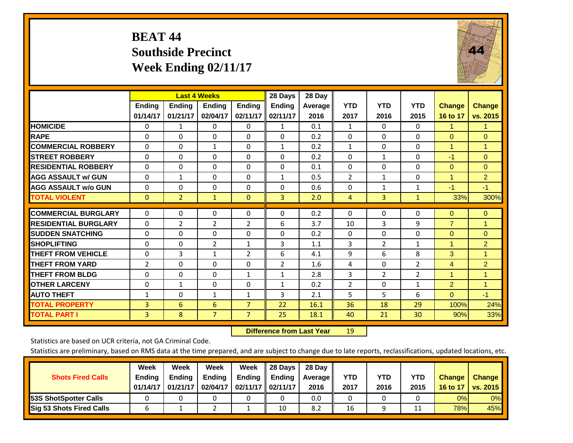### **BEAT 44 Southside Precinct Week Ending 02/11/17**



|                             |               |                | <b>Last 4 Weeks</b> |                | 28 Days        | 28 Day  |                |                |                |                |                |
|-----------------------------|---------------|----------------|---------------------|----------------|----------------|---------|----------------|----------------|----------------|----------------|----------------|
|                             | <b>Ending</b> | <b>Ending</b>  | <b>Endina</b>       | <b>Ending</b>  | <b>Ending</b>  | Average | <b>YTD</b>     | <b>YTD</b>     | <b>YTD</b>     | <b>Change</b>  | <b>Change</b>  |
|                             | 01/14/17      | 01/21/17       | 02/04/17            | 02/11/17       | 02/11/17       | 2016    | 2017           | 2016           | 2015           | 16 to 17       | vs. 2015       |
| <b>HOMICIDE</b>             | 0             | 1              | $\Omega$            | 0              | 1              | 0.1     | 1              | $\Omega$       | 0              | 1.             | $\mathbf{1}$   |
| <b>RAPE</b>                 | 0             | $\Omega$       | $\Omega$            | $\Omega$       | $\Omega$       | 0.2     | $\Omega$       | $\Omega$       | $\Omega$       | $\Omega$       | $\Omega$       |
| <b>COMMERCIAL ROBBERY</b>   | $\Omega$      | 0              | 1                   | $\mathbf 0$    | $\mathbf{1}$   | 0.2     | $\mathbf{1}$   | $\Omega$       | $\Omega$       | $\mathbf{1}$   | 1              |
| <b>STREET ROBBERY</b>       | $\Omega$      | $\Omega$       | $\Omega$            | $\Omega$       | $\Omega$       | 0.2     | $\Omega$       | $\mathbf{1}$   | $\Omega$       | $-1$           | $\Omega$       |
| <b>RESIDENTIAL ROBBERY</b>  | $\Omega$      | $\Omega$       | $\Omega$            | $\mathbf{0}$   | $\Omega$       | 0.1     | $\Omega$       | $\Omega$       | $\Omega$       | $\mathbf{0}$   | $\Omega$       |
| <b>AGG ASSAULT w/ GUN</b>   | $\Omega$      | 1              | $\Omega$            | $\Omega$       | $\mathbf{1}$   | 0.5     | $\overline{2}$ | $\mathbf{1}$   | $\Omega$       | $\mathbf{1}$   | $\overline{2}$ |
| <b>AGG ASSAULT w/o GUN</b>  | $\Omega$      | $\Omega$       | $\Omega$            | $\Omega$       | $\Omega$       | 0.6     | $\Omega$       | 1              | 1              | $-1$           | $-1$           |
| <b>TOTAL VIOLENT</b>        | $\mathbf{0}$  | $\overline{2}$ | $\mathbf{1}$        | $\mathbf{0}$   | 3              | 2.0     | $\overline{4}$ | 3              | $\mathbf{1}$   | 33%            | 300%           |
|                             |               |                |                     |                |                |         |                |                |                |                |                |
| <b>COMMERCIAL BURGLARY</b>  | $\Omega$      | 0              | $\Omega$            | $\mathbf{0}$   | $\Omega$       | 0.2     | $\Omega$       | $\Omega$       | 0              | $\mathbf{0}$   | $\mathbf{0}$   |
| <b>RESIDENTIAL BURGLARY</b> | 0             | 2              | 2                   | 2              | 6              | 3.7     | 10             | 3              | 9              | $\overline{7}$ | 1              |
| <b>SUDDEN SNATCHING</b>     | $\Omega$      | $\Omega$       | $\Omega$            | $\Omega$       | $\Omega$       | 0.2     | $\Omega$       | $\Omega$       | $\Omega$       | $\mathbf{0}$   | $\Omega$       |
| <b>SHOPLIFTING</b>          | $\Omega$      | $\Omega$       | $\overline{2}$      | 1              | 3              | 1.1     | 3              | 2              | $\mathbf{1}$   | 1              | $\overline{2}$ |
| <b>THEFT FROM VEHICLE</b>   | $\Omega$      | 3              | $\mathbf{1}$        | $\overline{2}$ | 6              | 4.1     | 9              | 6              | 8              | 3              | 1              |
| <b>THEFT FROM YARD</b>      | 2             | $\Omega$       | $\Omega$            | $\mathbf{0}$   | $\overline{2}$ | 1.6     | 4              | $\Omega$       | $\overline{2}$ | $\overline{4}$ | $\overline{2}$ |
| <b>THEFT FROM BLDG</b>      | 0             | $\Omega$       | $\Omega$            | 1              | $\mathbf{1}$   | 2.8     | 3              | $\overline{2}$ | $\overline{2}$ | 1              | 1              |
| <b>OTHER LARCENY</b>        | 0             | $\mathbf{1}$   | $\Omega$            | $\Omega$       | $\mathbf{1}$   | 0.2     | 2              | 0              | $\mathbf{1}$   | $\overline{2}$ | $\mathbf{1}$   |
| <b>AUTO THEFT</b>           | $\mathbf{1}$  | 0              | 1                   | 1              | 3              | 2.1     | 5              | 5              | 6              | $\mathbf{0}$   | $-1$           |
| <b>TOTAL PROPERTY</b>       | 3             | 6              | 6                   | $\overline{7}$ | 22             | 16.1    | 36             | 18             | 29             | 100%           | 24%            |
| <b>TOTAL PART I</b>         | 3             | 8              | $\overline{7}$      | $\overline{7}$ | 25             | 18.1    | 40             | 21             | 30             | 90%            | 33%            |

 **Difference from Last Year**r 19

Statistics are based on UCR criteria, not GA Criminal Code.

|                                 | Week          | Week     | Week          | Week                 | 28 Days       | 28 Day            |      |      |            |               |               |
|---------------------------------|---------------|----------|---------------|----------------------|---------------|-------------------|------|------|------------|---------------|---------------|
| <b>Shots Fired Calls</b>        | <b>Ending</b> | Ending   | <b>Ending</b> | Ending               | <b>Ending</b> | <b>Average</b> II | YTD  | YTD  | <b>YTD</b> | <b>Change</b> | <b>Change</b> |
|                                 | 01/14/17      | 01/21/17 | 02/04/17      | 02/11/17    02/11/17 |               | 2016              | 2017 | 2016 | 2015       | 16 to 17      | vs. 2015      |
| <b>153S ShotSpotter Calls</b>   |               |          |               |                      |               | 0.0               |      |      |            | 0%            | 0%            |
| <b>Sig 53 Shots Fired Calls</b> |               |          |               |                      | 10            | 8.2               | 16   |      |            | 78%           | 45%           |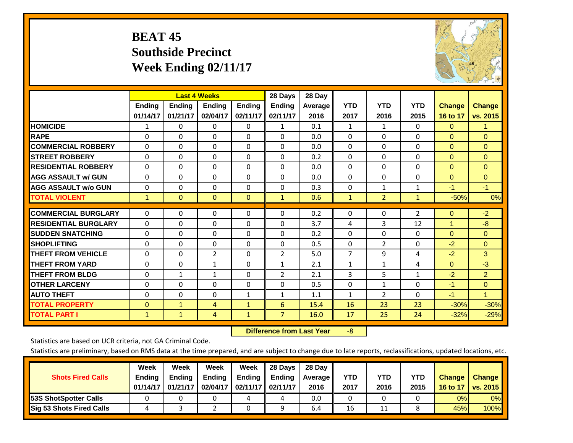# **BEAT 45 Southside Precinct Week Ending 02/11/17**



|                             |              |               | <b>Last 4 Weeks</b> |               | 28 Days        | 28 Day  |                |                |                |                      |                |
|-----------------------------|--------------|---------------|---------------------|---------------|----------------|---------|----------------|----------------|----------------|----------------------|----------------|
|                             | Ending       | <b>Ending</b> | <b>Ending</b>       | <b>Ending</b> | <b>Ending</b>  | Average | <b>YTD</b>     | <b>YTD</b>     | <b>YTD</b>     | <b>Change</b>        | <b>Change</b>  |
|                             | 01/14/17     | 01/21/17      | 02/04/17            | 02/11/17      | 02/11/17       | 2016    | 2017           | 2016           | 2015           | 16 to 17             | vs. 2015       |
| <b>HOMICIDE</b>             | 1            | $\mathbf{0}$  | 0                   | 0             | 1              | 0.1     | 1              | $\mathbf{1}$   | 0              | $\Omega$             | 1.             |
| <b>RAPE</b>                 | 0            | $\Omega$      | $\Omega$            | $\Omega$      | $\Omega$       | 0.0     | $\Omega$       | $\Omega$       | $\Omega$       | $\Omega$             | $\Omega$       |
| <b>COMMERCIAL ROBBERY</b>   | $\Omega$     | $\Omega$      | 0                   | $\Omega$      | $\Omega$       | 0.0     | $\mathbf{0}$   | $\Omega$       | 0              | $\Omega$             | $\mathbf{0}$   |
| <b>STREET ROBBERY</b>       | $\Omega$     | $\Omega$      | $\Omega$            | $\Omega$      | 0              | 0.2     | $\Omega$       | $\Omega$       | $\Omega$       | $\Omega$             | $\overline{0}$ |
| <b>RESIDENTIAL ROBBERY</b>  | $\Omega$     | $\Omega$      | $\Omega$            | $\Omega$      | $\Omega$       | 0.0     | $\Omega$       | $\Omega$       | 0              | $\Omega$             | $\overline{0}$ |
| <b>AGG ASSAULT w/ GUN</b>   | $\Omega$     | $\Omega$      | $\Omega$            | $\Omega$      | 0              | 0.0     | $\Omega$       | $\Omega$       | 0              | $\mathbf{0}$         | $\mathbf{0}$   |
| <b>AGG ASSAULT w/o GUN</b>  | $\Omega$     | $\Omega$      | $\Omega$            | $\Omega$      | $\Omega$       | 0.3     | $\mathbf{0}$   | $\mathbf{1}$   | $\mathbf{1}$   | $-1$                 | $-1$           |
| <b>TOTAL VIOLENT</b>        | $\mathbf{1}$ | $\mathbf{0}$  | $\mathbf{0}$        | $\mathbf{0}$  | $\mathbf{1}$   | 0.6     | $\mathbf{1}$   | $\overline{2}$ | $\mathbf{1}$   | $-50%$               | 0%             |
| <b>COMMERCIAL BURGLARY</b>  |              | $\Omega$      |                     |               | 0              |         |                | $\Omega$       |                |                      | $-2$           |
|                             | $\mathbf 0$  |               | 0                   | 0             |                | 0.2     | 0              |                | $\overline{2}$ | $\mathbf{0}$         |                |
| <b>RESIDENTIAL BURGLARY</b> | $\Omega$     | $\Omega$      | $\Omega$            | 0             | $\Omega$       | 3.7     | 4              | 3              | 12             | $\blacktriangleleft$ | $-8$           |
| <b>ISUDDEN SNATCHING</b>    | $\Omega$     | $\Omega$      | $\Omega$            | $\Omega$      | 0              | 0.2     | $\Omega$       | $\Omega$       | 0              | $\Omega$             | $\mathbf{0}$   |
| <b>SHOPLIFTING</b>          | 0            | $\Omega$      | $\Omega$            | 0             | 0              | 0.5     | $\Omega$       | $\overline{2}$ | 0              | $-2$                 | $\mathbf{0}$   |
| <b>THEFT FROM VEHICLE</b>   | $\Omega$     | $\Omega$      | $\overline{2}$      | $\Omega$      | $\overline{2}$ | 5.0     | $\overline{7}$ | 9              | 4              | $-2$                 | 3              |
| <b>THEFT FROM YARD</b>      | $\mathbf 0$  | $\Omega$      | 1                   | $\Omega$      | $\mathbf{1}$   | 2.1     | $\mathbf{1}$   | 1              | 4              | $\Omega$             | $-3$           |
| <b>THEFT FROM BLDG</b>      | 0            | $\mathbf{1}$  | 1                   | 0             | 2              | 2.1     | 3              | 5              | 1              | $-2$                 | $\overline{2}$ |
| <b>OTHER LARCENY</b>        | $\Omega$     | $\Omega$      | $\Omega$            | 0             | 0              | 0.5     | $\Omega$       | $\mathbf{1}$   | 0              | $-1$                 | $\mathbf{0}$   |
| <b>AUTO THEFT</b>           | $\mathbf 0$  | $\Omega$      | 0                   | $\mathbf{1}$  | $\mathbf{1}$   | 1.1     | $\mathbf{1}$   | 2              | $\Omega$       | $-1$                 | $\mathbf{1}$   |
| <b>TOTAL PROPERTY</b>       | $\mathbf{0}$ | $\mathbf{1}$  | 4                   | $\mathbf{1}$  | 6              | 15.4    | 16             | 23             | 23             | $-30%$               | $-30%$         |
| <b>TOTAL PART I</b>         | $\mathbf{1}$ | $\mathbf{1}$  | 4                   | $\mathbf{1}$  | $\overline{7}$ | 16.0    | 17             | 25             | 24             | $-32%$               | $-29%$         |

 **Difference from Last Year**‐8

Statistics are based on UCR criteria, not GA Criminal Code.

|                                 | Week          | Week          | Week     | Week                 | 28 Days       | 28 Day            |      |      |            |               |               |
|---------------------------------|---------------|---------------|----------|----------------------|---------------|-------------------|------|------|------------|---------------|---------------|
| <b>Shots Fired Calls</b>        | <b>Ending</b> | <b>Endina</b> | Ending   | Ending               | <b>Ending</b> | <b>Average</b> II | YTD  | YTD  | <b>YTD</b> | <b>Change</b> | <b>Change</b> |
|                                 | 01/14/17      | 01/21/17      | 02/04/17 | 02/11/17    02/11/17 |               | 2016              | 2017 | 2016 | 2015       | 16 to 17      | vs. 2015      |
| <b>153S ShotSpotter Calls</b>   |               |               |          | 4                    | 4             | 0.0               |      |      |            | 0%            | 0%            |
| <b>Sig 53 Shots Fired Calls</b> |               |               |          |                      |               | 6.4               | 16   | 11   |            | 45%l          | 100%          |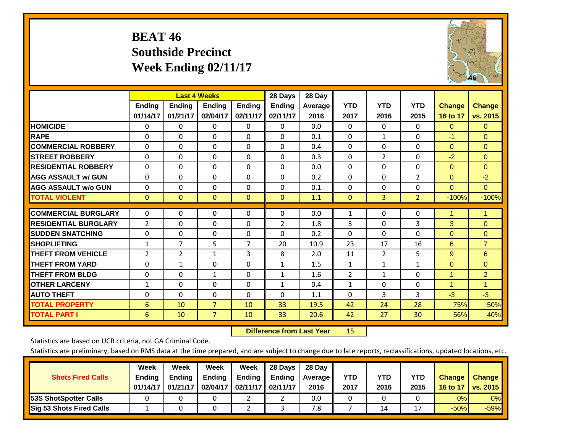# **BEAT 46 Southside Precinct Week Ending 02/11/17**



|                             |                |                | <b>Last 4 Weeks</b> |                | 28 Days       | 28 Day  |              |                |                |                      |                |
|-----------------------------|----------------|----------------|---------------------|----------------|---------------|---------|--------------|----------------|----------------|----------------------|----------------|
|                             | Ending         | <b>Ending</b>  | Ending              | <b>Ending</b>  | <b>Endina</b> | Average | <b>YTD</b>   | <b>YTD</b>     | <b>YTD</b>     | <b>Change</b>        | <b>Change</b>  |
|                             | 01/14/17       | 01/21/17       | 02/04/17            | 02/11/17       | 02/11/17      | 2016    | 2017         | 2016           | 2015           | 16 to 17             | vs. 2015       |
| <b>HOMICIDE</b>             | $\Omega$       | 0              | 0                   | $\Omega$       | 0             | 0.0     | $\Omega$     | 0              | 0              | $\Omega$             | $\mathbf{0}$   |
| <b>RAPE</b>                 | $\Omega$       | $\Omega$       | $\Omega$            | $\Omega$       | $\Omega$      | 0.1     | $\mathbf{0}$ | $\mathbf{1}$   | 0              | $-1$                 | $\overline{0}$ |
| <b>COMMERCIAL ROBBERY</b>   | $\Omega$       | $\Omega$       | $\Omega$            | $\mathbf{0}$   | $\Omega$      | 0.4     | $\mathbf{0}$ | $\Omega$       | 0              | $\Omega$             | $\Omega$       |
| <b>STREET ROBBERY</b>       | $\mathbf{0}$   | $\Omega$       | $\Omega$            | $\mathbf{0}$   | $\Omega$      | 0.3     | $\mathbf{0}$ | $\overline{2}$ | 0              | $-2$                 | $\mathbf{0}$   |
| <b>RESIDENTIAL ROBBERY</b>  | $\Omega$       | 0              | $\Omega$            | $\mathbf{0}$   | $\Omega$      | 0.0     | $\mathbf{0}$ | 0              | 0              | $\Omega$             | $\Omega$       |
| <b>AGG ASSAULT w/ GUN</b>   | $\Omega$       | 0              | $\Omega$            | $\Omega$       | 0             | 0.2     | $\mathbf{0}$ | $\Omega$       | $\overline{2}$ | $\Omega$             | $-2$           |
| <b>AGG ASSAULT w/o GUN</b>  | 0              | $\Omega$       | $\Omega$            | 0              | $\Omega$      | 0.1     | 0            | $\Omega$       | 0              | $\Omega$             | $\mathbf{0}$   |
| <b>TOTAL VIOLENT</b>        | $\mathbf{0}$   | $\mathbf{0}$   | $\mathbf{0}$        | $\mathbf{0}$   | $\mathbf{0}$  | 1.1     | $\mathbf{0}$ | 3              | $\overline{2}$ | $-100%$              | $-100%$        |
|                             |                |                |                     |                |               |         |              |                |                |                      |                |
| <b>COMMERCIAL BURGLARY</b>  | $\Omega$       | $\Omega$       | $\Omega$            | $\mathbf{0}$   | $\Omega$      | 0.0     | $\mathbf{1}$ | $\Omega$       | 0              | $\overline{1}$       | $\mathbf{1}$   |
| <b>RESIDENTIAL BURGLARY</b> | $\overline{2}$ | $\Omega$       | $\Omega$            | $\mathbf{0}$   | 2             | 1.8     | 3            | 0              | 3              | 3                    | $\Omega$       |
| <b>ISUDDEN SNATCHING</b>    | $\Omega$       | $\Omega$       | $\Omega$            | 0              | $\Omega$      | 0.2     | $\mathbf{0}$ | $\Omega$       | 0              | $\Omega$             | $\mathbf{0}$   |
| <b>SHOPLIFTING</b>          | $\mathbf{1}$   | $\overline{7}$ | 5                   | $\overline{7}$ | 20            | 10.9    | 23           | 17             | 16             | 6                    | $\overline{7}$ |
| <b>THEFT FROM VEHICLE</b>   | $\overline{2}$ | $\overline{2}$ | $\mathbf{1}$        | 3              | 8             | 2.0     | 11           | $\overline{2}$ | 5              | 9                    | 6              |
| <b>THEFT FROM YARD</b>      | $\Omega$       | $\mathbf{1}$   | $\Omega$            | $\Omega$       | 1             | 1.5     | $\mathbf{1}$ | 1              | 1              | $\Omega$             | $\Omega$       |
| <b>THEFT FROM BLDG</b>      | 0              | 0              | $\mathbf{1}$        | $\mathbf{0}$   | $\mathbf{1}$  | 1.6     | 2            | $\mathbf{1}$   | 0              | 1                    | $\overline{2}$ |
| <b>IOTHER LARCENY</b>       | $\mathbf{1}$   | 0              | $\Omega$            | $\mathbf{0}$   | 1             | 0.4     | $\mathbf{1}$ | $\Omega$       | 0              | $\blacktriangleleft$ | 1              |
| <b>AUTO THEFT</b>           | $\Omega$       | $\Omega$       | $\Omega$            | $\Omega$       | $\Omega$      | 1.1     | $\Omega$     | 3              | 3              | $-3$                 | $-3$           |
| <b>TOTAL PROPERTY</b>       | 6              | 10             | $\overline{7}$      | 10             | 33            | 19.5    | 42           | 24             | 28             | 75%                  | 50%            |
| <b>TOTAL PART I</b>         | 6              | 10             | $\overline{7}$      | 10             | 33            | 20.6    | 42           | 27             | 30             | 56%                  | 40%            |

 **Difference from Last Year**r 15

Statistics are based on UCR criteria, not GA Criminal Code.

|                                 | Week          | Week     | Week          | Week                 | 28 Days       | 28 Day            |      |      |            |               |               |
|---------------------------------|---------------|----------|---------------|----------------------|---------------|-------------------|------|------|------------|---------------|---------------|
| <b>Shots Fired Calls</b>        | <b>Ending</b> | Ending   | <b>Ending</b> | Ending               | <b>Ending</b> | <b>Average</b> II | YTD  | YTD  | <b>YTD</b> | <b>Change</b> | <b>Change</b> |
|                                 | 01/14/17      | 01/21/17 | 02/04/17      | 02/11/17    02/11/17 |               | 2016              | 2017 | 2016 | 2015       | 16 to 17      | vs. 2015      |
| <b>153S ShotSpotter Calls</b>   |               |          |               |                      |               | 0.0               |      |      |            | 0%            | 0%            |
| <b>Sig 53 Shots Fired Calls</b> |               |          |               |                      |               | 7.8               |      | 14   |            | $-50%$        | $-59%$        |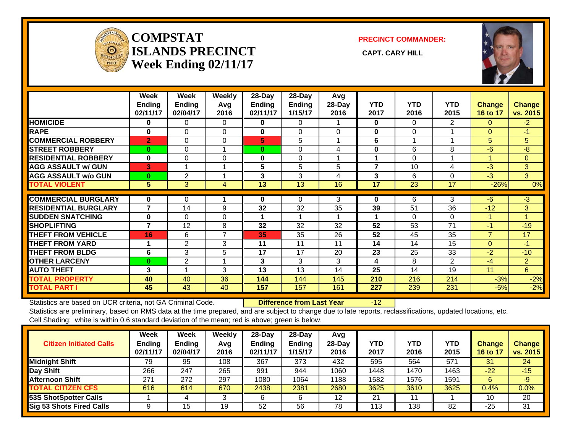

#### **COMPSTATISLANDS PRECINCT** CAPT. CARY HILL **Week Ending 02/11/17**

**PRECINCT COMMANDER:**



|                             | Week<br><b>Ending</b><br>02/11/17 | Week<br><b>Ending</b><br>02/04/17 | Weekly<br>Avg<br>2016 | 28-Day<br><b>Ending</b><br>02/11/17 | $28$ -Day<br><b>Ending</b><br>1/15/17 | Avg<br>28-Day<br>2016 | <b>YTD</b><br>2017 | <b>YTD</b><br>2016 | <b>YTD</b><br>2015 | Change<br>16 to 17 | <b>Change</b><br>vs. 2015 |
|-----------------------------|-----------------------------------|-----------------------------------|-----------------------|-------------------------------------|---------------------------------------|-----------------------|--------------------|--------------------|--------------------|--------------------|---------------------------|
| <b>HOMICIDE</b>             | 0                                 | $\Omega$                          | 0                     | 0                                   | 0                                     |                       | $\bf{0}$           | 0                  | 2                  | 0                  | $-2$                      |
| <b>RAPE</b>                 | $\bf{0}$                          | $\Omega$                          | $\Omega$              | $\bf{0}$                            | $\Omega$                              | $\Omega$              | 0                  | 0                  |                    | $\Omega$           | $-1$                      |
| <b>COMMERCIAL ROBBERY</b>   | $\overline{2}$                    | $\Omega$                          | $\Omega$              | 5                                   | 5                                     | 4                     | 6                  | 1                  |                    | 5                  | 5                         |
| <b>STREET ROBBERY</b>       | $\bf{0}$                          | $\Omega$                          |                       | $\bf{0}$                            | $\Omega$                              | 4                     | $\bf{0}$           | 6                  | 8                  | $-6$               | -8                        |
| <b>RESIDENTIAL ROBBERY</b>  | $\bf{0}$                          | $\Omega$                          | $\Omega$              | $\bf{0}$                            | $\Omega$                              | 1                     | 1                  | $\Omega$           |                    |                    | $\Omega$                  |
| <b>AGG ASSAULT w/ GUN</b>   | 3                                 |                                   |                       | 5                                   | 5                                     | 5                     | $\overline{7}$     | 10                 | 4                  | -3                 | 3                         |
| <b>AGG ASSAULT w/o GUN</b>  | $\mathbf{0}$                      | $\overline{2}$                    |                       | 3                                   | 3                                     | 4                     | 3                  | 6                  | $\Omega$           | $-3$               | 3                         |
| <b>TOTAL VIOLENT</b>        | 5 <sup>5</sup>                    | 3                                 | 4                     | 13                                  | 13                                    | 16                    | 17                 | 23                 | 17                 | $-26%$             | 0%                        |
| <b>COMMERCIAL BURGLARY</b>  | $\bf{0}$                          | $\mathbf 0$                       |                       | $\bf{0}$                            | $\Omega$                              | 3                     | 0                  | 6                  | 3                  | -6                 | $-3$                      |
| <b>RESIDENTIAL BURGLARY</b> | 7                                 | 14                                | 9                     | 32                                  | 32                                    | 35                    | 39                 | 51                 | 36                 | $-12$              | 3                         |
| <b>SUDDEN SNATCHING</b>     | $\bf{0}$                          | $\Omega$                          | $\Omega$              |                                     |                                       |                       | 1                  | $\Omega$           | $\Omega$           |                    | и                         |
| <b>SHOPLIFTING</b>          | 7                                 | 12                                | 8                     | 32                                  | 32                                    | 32                    | 52                 | 53                 | 71                 | $-1$               | $-19$                     |
| <b>THEFT FROM VEHICLE</b>   | 16                                | 6                                 | $\overline{7}$        | 35                                  | 35                                    | 26                    | 52                 | 45                 | 35                 | $\overline{7}$     | 17                        |
| <b>THEFT FROM YARD</b>      |                                   | $\overline{2}$                    | 3                     | 11                                  | 11                                    | 11                    | 14                 | 14                 | 15                 | $\Omega$           | $-1$                      |
| <b>THEFT FROM BLDG</b>      | 6                                 | 3                                 | 5                     | 17                                  | 17                                    | 20                    | 23                 | 25                 | 33                 | $-2$               | $-10$                     |
| <b>OTHER LARCENY</b>        | $\mathbf{0}$                      | 2                                 |                       | 3                                   | 3                                     | 3                     | 4                  | 8                  | 2                  | $-4$               | $\overline{2}$            |
| <b>AUTO THEFT</b>           | 3                                 |                                   | 3                     | 13                                  | 13                                    | 14                    | 25                 | 14                 | 19                 | 11                 | $6^{\circ}$               |
| <b>TOTAL PROPERTY</b>       | 40                                | 40                                | 36                    | 144                                 | 144                                   | 145                   | 210                | 216                | 214                | $-3%$              | $-2%$                     |
| <b>TOTAL PART I</b>         | 45                                | 43                                | 40                    | 157                                 | 157                                   | 161                   | 227                | 239                | 231                | $-5%$              | $-2%$                     |

Statistics are based on UCR criteria, not GA Criminal Code. **Difference from Last Year** -12 Statistics are preliminary, based on RMS data at the time prepared, and are subject to change due to late reports, reclassifications, updated locations, etc. Cell Shading: white is within 0.6 standard deviation of the mean; red is above; green is below.

| <b>Citizen Initiated Calls</b>  | <b>Week</b><br><b>Ending</b><br>02/11/17 | <b>Week</b><br><b>Ending</b><br>02/04/17 | Weekly<br>Avg<br>2016 | $28-Dav$<br><b>Ending</b><br>02/11/17 | 28-Day<br><b>Ending</b><br>1/15/17 | Avg<br>$28-Day$<br>2016 | YTD<br>2017 | <b>YTD</b><br>2016 | YTD<br>2015 | <b>Change</b><br>16 to 17 | <b>Change</b><br>vs. 2015 |
|---------------------------------|------------------------------------------|------------------------------------------|-----------------------|---------------------------------------|------------------------------------|-------------------------|-------------|--------------------|-------------|---------------------------|---------------------------|
| <b>Midnight Shift</b>           | 79                                       | 95                                       | 108                   | 367                                   | 373                                | 432                     | 595         | 564                | 571         | 31                        | 24                        |
| Day Shift                       | 266                                      | 247                                      | 265                   | 991                                   | 944                                | 1060                    | 1448        | 1470               | 1463        | $-22$                     | $-15$                     |
| <b>Afternoon Shift</b>          | 271                                      | 272                                      | 297                   | 1080                                  | 1064                               | 1188                    | 1582        | 1576               | 1591        |                           | -9                        |
| <b>TOTAL CITIZEN CFS</b>        | 616                                      | 614                                      | 670                   | 2438                                  | 2381                               | 2680                    | 3625        | 3610               | 3625        | 0.4%                      | 0.0%                      |
| 53S ShotSpotter Calls           |                                          |                                          |                       |                                       |                                    | 12                      | 21          |                    |             | 10                        | 20                        |
| <b>Sig 53 Shots Fired Calls</b> |                                          | 15                                       | 19                    | 52                                    | 56                                 | 78                      | 113         | 138                | 82          | -25                       | 31                        |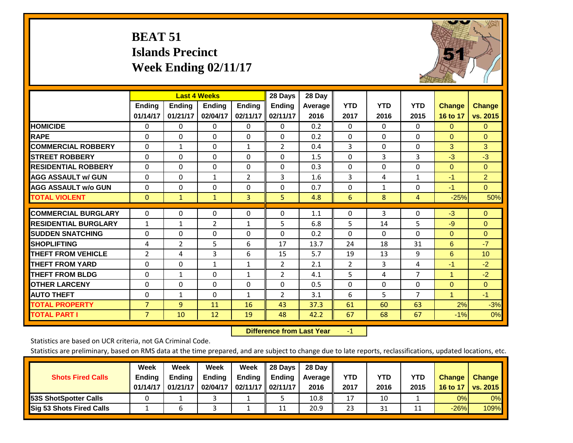# **BEAT 51 Islands Precinct Week Ending 02/11/17**



|                             |                | <b>Last 4 Weeks</b> |              |                | 28 Days        | 28 Day  |                |              |                |                |                |
|-----------------------------|----------------|---------------------|--------------|----------------|----------------|---------|----------------|--------------|----------------|----------------|----------------|
|                             | <b>Ending</b>  | <b>Ending</b>       | Ending       | <b>Ending</b>  | <b>Ending</b>  | Average | <b>YTD</b>     | <b>YTD</b>   | <b>YTD</b>     | <b>Change</b>  | <b>Change</b>  |
|                             | 01/14/17       | 01/21/17            | 02/04/17     | 02/11/17       | 02/11/17       | 2016    | 2017           | 2016         | 2015           | 16 to 17       | vs. 2015       |
| <b>HOMICIDE</b>             | $\mathbf{0}$   | $\Omega$            | $\Omega$     | $\mathbf{0}$   | $\Omega$       | 0.2     | $\mathbf{0}$   | $\Omega$     | 0              | $\Omega$       | $\mathbf{0}$   |
| <b>RAPE</b>                 | 0              | $\Omega$            | $\Omega$     | $\Omega$       | $\Omega$       | 0.2     | $\Omega$       | $\Omega$     | $\Omega$       | $\Omega$       | $\Omega$       |
| <b>COMMERCIAL ROBBERY</b>   | $\Omega$       | 1                   | $\Omega$     | 1              | $\overline{2}$ | 0.4     | 3              | $\Omega$     | 0              | 3              | 3              |
| <b>STREET ROBBERY</b>       | $\Omega$       | $\Omega$            | $\Omega$     | $\Omega$       | $\Omega$       | 1.5     | $\Omega$       | 3            | 3              | $-3$           | $-3$           |
| <b>RESIDENTIAL ROBBERY</b>  | $\Omega$       | $\Omega$            | $\Omega$     | $\Omega$       | $\Omega$       | 0.3     | $\Omega$       | $\Omega$     | $\Omega$       | $\Omega$       | $\Omega$       |
| <b>AGG ASSAULT w/ GUN</b>   | 0              | 0                   | $\mathbf{1}$ | $\overline{2}$ | 3              | 1.6     | 3              | 4            | 1              | $-1$           | $\overline{2}$ |
| <b>AGG ASSAULT w/o GUN</b>  | $\Omega$       | $\Omega$            | $\Omega$     | $\Omega$       | $\Omega$       | 0.7     | $\Omega$       | $\mathbf{1}$ | 0              | $-1$           | $\Omega$       |
| <b>TOTAL VIOLENT</b>        | $\mathbf{0}$   | $\mathbf{1}$        | $\mathbf{1}$ | 3              | 5              | 4.8     | 6              | 8            | 4              | $-25%$         | 50%            |
|                             |                |                     |              |                |                |         |                |              |                |                |                |
| <b>COMMERCIAL BURGLARY</b>  | $\Omega$       | 0                   | 0            | 0              | $\Omega$       | 1.1     | 0              | 3            | 0              | $-3$           | $\mathbf{0}$   |
| <b>RESIDENTIAL BURGLARY</b> | $\mathbf{1}$   | 1                   | 2            | $\mathbf{1}$   | 5              | 6.8     | 5              | 14           | 5              | $-9$           | $\Omega$       |
| <b>ISUDDEN SNATCHING</b>    | $\Omega$       | 0                   | $\Omega$     | $\Omega$       | $\Omega$       | 0.2     | $\Omega$       | $\Omega$     | $\Omega$       | $\mathbf{0}$   | $\Omega$       |
| <b>SHOPLIFTING</b>          | 4              | $\overline{2}$      | 5            | 6              | 17             | 13.7    | 24             | 18           | 31             | 6              | $-7$           |
| <b>THEFT FROM VEHICLE</b>   | 2              | 4                   | 3            | 6              | 15             | 5.7     | 19             | 13           | 9              | 6              | 10             |
| <b>THEFT FROM YARD</b>      | $\Omega$       | $\Omega$            | $\mathbf{1}$ | $\mathbf{1}$   | $\overline{2}$ | 2.1     | $\overline{2}$ | 3            | 4              | $-1$           | $-2$           |
| <b>THEFT FROM BLDG</b>      | $\Omega$       | 1                   | $\Omega$     | $\mathbf{1}$   | $\overline{2}$ | 4.1     | 5              | 4            | 7              | 1              | $-2$           |
| <b>OTHER LARCENY</b>        | $\Omega$       | 0                   | $\Omega$     | $\Omega$       | $\Omega$       | 0.5     | $\Omega$       | $\Omega$     | 0              | $\mathbf{0}$   | $\Omega$       |
| <b>AUTO THEFT</b>           | $\mathbf 0$    | $\mathbf{1}$        | $\Omega$     | $\mathbf{1}$   | $\overline{2}$ | 3.1     | 6              | 5            | $\overline{7}$ | $\overline{1}$ | $-1$           |
| <b>TOTAL PROPERTY</b>       | $\overline{7}$ | 9                   | 11           | 16             | 43             | 37.3    | 61             | 60           | 63             | 2%             | $-3%$          |
| <b>TOTAL PART I</b>         | $\overline{7}$ | 10                  | 12           | 19             | 48             | 42.2    | 67             | 68           | 67             | $-1%$          | 0%             |

 **Difference from Last Year**r -1

Statistics are based on UCR criteria, not GA Criminal Code.

| <b>Shots Fired Calls</b>        | Week<br><b>Ending</b><br>01/14/17 | Week<br><b>Endina</b><br>01/21/17 | Week<br>Ending<br>02/04/17 | Week<br>Ending | 28 Days<br><b>Ending</b><br>02/11/17    02/11/17 | 28 Day<br>Average II<br>2016 | YTD<br>2017 | YTD<br>2016 | <b>YTD</b><br>2015 | <b>Change</b><br>16 to 17 | <b>Change</b><br>vs. 2015 |
|---------------------------------|-----------------------------------|-----------------------------------|----------------------------|----------------|--------------------------------------------------|------------------------------|-------------|-------------|--------------------|---------------------------|---------------------------|
| <b>153S ShotSpotter Calls</b>   |                                   |                                   |                            |                |                                                  | 10.8                         | 17          | 10          |                    | 0%                        | 0%                        |
| <b>Sig 53 Shots Fired Calls</b> |                                   |                                   |                            |                | 11                                               | 20.9                         | 23          | 31          |                    | $-26%$                    | 109%                      |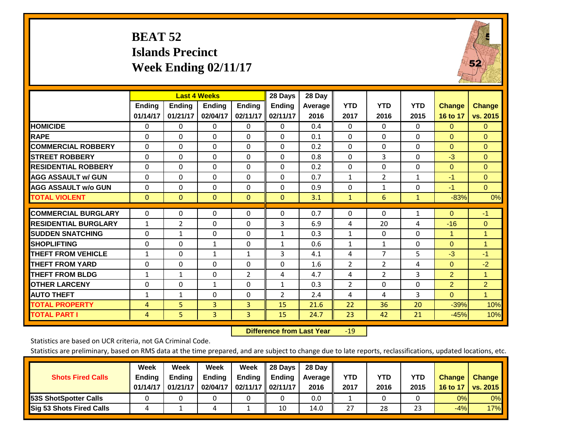# **BEAT 52 Islands Precinct Week Ending 02/11/17**



|                             |                           |                           | <b>Last 4 Weeks</b>       |                           | 28 Days                   | 28 Day          |                    |                    |                    |                           |                           |
|-----------------------------|---------------------------|---------------------------|---------------------------|---------------------------|---------------------------|-----------------|--------------------|--------------------|--------------------|---------------------------|---------------------------|
|                             | <b>Ending</b><br>01/14/17 | <b>Ending</b><br>01/21/17 | <b>Ending</b><br>02/04/17 | <b>Ending</b><br>02/11/17 | <b>Ending</b><br>02/11/17 | Average<br>2016 | <b>YTD</b><br>2017 | <b>YTD</b><br>2016 | <b>YTD</b><br>2015 | <b>Change</b><br>16 to 17 | <b>Change</b><br>vs. 2015 |
| <b>HOMICIDE</b>             | $\Omega$                  | 0                         | $\Omega$                  | $\Omega$                  | 0                         | 0.4             | $\mathbf{0}$       | $\Omega$           | 0                  | $\Omega$                  | $\mathbf{0}$              |
| <b>RAPE</b>                 | 0                         | $\Omega$                  | $\Omega$                  | $\Omega$                  | $\Omega$                  | 0.1             | $\mathbf{0}$       | $\Omega$           | $\Omega$           | $\Omega$                  | $\Omega$                  |
| <b>COMMERCIAL ROBBERY</b>   | $\Omega$                  | 0                         | $\Omega$                  | $\mathbf{0}$              | $\Omega$                  | 0.2             | $\mathbf{0}$       | $\Omega$           | $\Omega$           | $\Omega$                  | $\Omega$                  |
| <b>ISTREET ROBBERY</b>      | $\Omega$                  | $\Omega$                  | $\Omega$                  | $\Omega$                  | $\Omega$                  | 0.8             | $\Omega$           | 3                  | $\Omega$           | $-3$                      | $\Omega$                  |
| <b>RESIDENTIAL ROBBERY</b>  | $\Omega$                  | $\Omega$                  | 0                         | $\mathbf{0}$              | $\Omega$                  | 0.2             | $\Omega$           | $\Omega$           | 0                  | $\Omega$                  | $\Omega$                  |
| <b>AGG ASSAULT w/ GUN</b>   | $\Omega$                  | 0                         | $\Omega$                  | $\mathbf{0}$              | $\Omega$                  | 0.7             | $\mathbf{1}$       | $\overline{2}$     | 1                  | $-1$                      | $\Omega$                  |
| <b>AGG ASSAULT w/o GUN</b>  | 0                         | $\Omega$                  | $\Omega$                  | $\mathbf{0}$              | $\Omega$                  | 0.9             | 0                  | $\mathbf{1}$       | 0                  | $-1$                      | $\Omega$                  |
| <b>TOTAL VIOLENT</b>        | $\mathbf{0}$              | $\overline{0}$            | $\mathbf{0}$              | $\mathbf{0}$              | $\overline{0}$            | 3.1             | $\mathbf{1}$       | 6                  | $\mathbf{1}$       | $-83%$                    | 0%                        |
| <b>COMMERCIAL BURGLARY</b>  | 0                         | 0                         | 0                         | $\mathbf{0}$              | 0                         | 0.7             | 0                  | $\mathbf{0}$       | 1                  | $\overline{0}$            | $-1$                      |
| <b>RESIDENTIAL BURGLARY</b> | $\mathbf{1}$              | $\overline{2}$            | $\Omega$                  | $\Omega$                  |                           | 6.9             | 4                  | 20                 | 4                  | $-16$                     | $\mathbf{0}$              |
|                             |                           |                           |                           |                           | 3                         |                 |                    |                    |                    |                           |                           |
| <b>SUDDEN SNATCHING</b>     | $\Omega$                  | $\mathbf{1}$              | $\Omega$                  | $\mathbf{0}$              | $\mathbf{1}$              | 0.3             | $\mathbf{1}$       | $\Omega$           | 0                  | 1                         | 1                         |
| <b>SHOPLIFTING</b>          | 0                         | 0                         | $\mathbf{1}$              | $\Omega$                  | $\mathbf{1}$              | 0.6             | $\mathbf{1}$       | $\mathbf{1}$       | 0                  | $\Omega$                  | 1                         |
| <b>THEFT FROM VEHICLE</b>   | $\mathbf{1}$              | 0                         | $\mathbf{1}$              | $\mathbf{1}$              | 3                         | 4.1             | 4                  | 7                  | 5                  | $-3$                      | $-1$                      |
| <b>THEFT FROM YARD</b>      | $\mathbf 0$               | $\Omega$                  | $\Omega$                  | 0                         | $\Omega$                  | 1.6             | $\overline{2}$     | $\overline{2}$     | 4                  | $\mathbf{0}$              | $-2$                      |
| <b>THEFT FROM BLDG</b>      | $\mathbf{1}$              | 1                         | 0                         | 2                         | 4                         | 4.7             | 4                  | $\overline{2}$     | 3                  | $\overline{2}$            | 1                         |
| <b>OTHER LARCENY</b>        | $\Omega$                  | 0                         | $\mathbf{1}$              | $\Omega$                  | $\mathbf{1}$              | 0.3             | 2                  | $\mathbf{0}$       | 0                  | $\overline{2}$            | $\overline{2}$            |
| <b>AUTO THEFT</b>           | $\mathbf{1}$              | 1                         | $\Omega$                  | $\Omega$                  | $\overline{2}$            | 2.4             | 4                  | 4                  | 3                  | $\Omega$                  | 1                         |
| <b>TOTAL PROPERTY</b>       | 4                         | 5                         | 3                         | 3                         | 15                        | 21.6            | 22                 | 36                 | 20                 | $-39%$                    | 10%                       |
| <b>TOTAL PART I</b>         | $\overline{4}$            | 5.                        | 3                         | $\overline{3}$            | 15                        | 24.7            | 23                 | 42                 | 21                 | $-45%$                    | 10%                       |

 **Difference from Last Year**r -19

Statistics are based on UCR criteria, not GA Criminal Code.

|                                 | Week          | Week     | Week     | Week                 | 28 Days       | 28 Day     |      |      |            |               |               |
|---------------------------------|---------------|----------|----------|----------------------|---------------|------------|------|------|------------|---------------|---------------|
| <b>Shots Fired Calls</b>        | <b>Ending</b> | Ending   | Ending   | Ending               | <b>Ending</b> | Average II | YTD  | YTD  | <b>YTD</b> | <b>Change</b> | <b>Change</b> |
|                                 | 01/14/17      | 01/21/17 | 02/04/17 | 02/11/17    02/11/17 |               | 2016       | 2017 | 2016 | 2015       | 16 to 17      | vs. 2015      |
| <b>153S ShotSpotter Calls</b>   |               |          |          |                      |               | 0.0        |      |      |            | 0%            | 0%            |
| <b>Sig 53 Shots Fired Calls</b> |               |          |          |                      | 10            | 14.0       | 27   | 28   | 23         | $-4%$         | 17%           |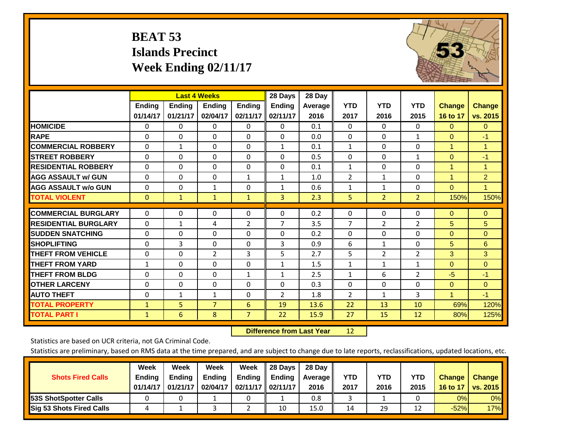# **BEAT 53 Islands Precinct Week Ending 02/11/17**



|                             |               |               | <b>Last 4 Weeks</b> |                | 28 Days        | 28 Day         |                |                |                |               |                |
|-----------------------------|---------------|---------------|---------------------|----------------|----------------|----------------|----------------|----------------|----------------|---------------|----------------|
|                             | <b>Ending</b> | <b>Ending</b> | <b>Endina</b>       | <b>Endina</b>  | <b>Endina</b>  | <b>Average</b> | <b>YTD</b>     | <b>YTD</b>     | <b>YTD</b>     | <b>Change</b> | <b>Change</b>  |
|                             | 01/14/17      | 01/21/17      | 02/04/17            | 02/11/17       | 02/11/17       | 2016           | 2017           | 2016           | 2015           | 16 to 17      | vs. 2015       |
| <b>HOMICIDE</b>             | 0             | 0             | 0                   | 0              | 0              | 0.1            | $\Omega$       | $\Omega$       | $\Omega$       | $\Omega$      | $\mathbf{0}$   |
| <b>RAPE</b>                 | $\Omega$      | 0             | $\mathbf{0}$        | $\Omega$       | $\Omega$       | 0.0            | $\mathbf{0}$   | 0              | $\mathbf{1}$   | $\Omega$      | $-1$           |
| <b>COMMERCIAL ROBBERY</b>   | $\Omega$      | $\mathbf{1}$  | $\mathbf{0}$        | $\Omega$       | $\mathbf{1}$   | 0.1            | $\mathbf{1}$   | $\Omega$       | $\Omega$       | $\mathbf{1}$  | 1              |
| <b>STREET ROBBERY</b>       | $\Omega$      | $\Omega$      | $\Omega$            | $\Omega$       | $\Omega$       | 0.5            | $\Omega$       | $\Omega$       | $\mathbf{1}$   | $\Omega$      | $-1$           |
| <b>RESIDENTIAL ROBBERY</b>  | $\Omega$      | $\Omega$      | $\mathbf 0$         | $\Omega$       | $\Omega$       | 0.1            | $\mathbf{1}$   | $\Omega$       | $\Omega$       | $\mathbf{1}$  | $\mathbf{1}$   |
| <b>AGG ASSAULT w/ GUN</b>   | $\Omega$      | $\Omega$      | $\Omega$            | $\mathbf{1}$   | $\mathbf{1}$   | 1.0            | $\overline{2}$ | $\mathbf{1}$   | $\Omega$       | 1             | $\overline{2}$ |
| <b>AGG ASSAULT w/o GUN</b>  | $\Omega$      | 0             | 1                   | $\Omega$       | $\mathbf{1}$   | 0.6            | 1              | 1              | $\Omega$       | $\Omega$      | $\mathbf{1}$   |
| <b>TOTAL VIOLENT</b>        | $\mathbf 0$   | $\mathbf{1}$  | $\mathbf{1}$        | $\mathbf{1}$   | 3              | 2.3            | 5              | $\overline{2}$ | $\overline{2}$ | 150%          | 150%           |
|                             |               |               |                     |                |                |                |                |                |                |               |                |
| <b>COMMERCIAL BURGLARY</b>  | $\Omega$      | $\Omega$      | $\mathbf 0$         | 0              | $\Omega$       | 0.2            | 0              | $\Omega$       | 0              | $\mathbf{0}$  | $\overline{0}$ |
| <b>RESIDENTIAL BURGLARY</b> | $\Omega$      | 1             | 4                   | $\overline{2}$ | $\overline{7}$ | 3.5            | $\overline{7}$ | $\overline{2}$ | $\overline{2}$ | 5             | 5              |
| <b>SUDDEN SNATCHING</b>     | $\Omega$      | $\Omega$      | $\mathbf{0}$        | $\Omega$       | $\Omega$       | 0.2            | $\Omega$       | 0              | $\Omega$       | $\mathbf{0}$  | $\Omega$       |
| <b>SHOPLIFTING</b>          | $\Omega$      | 3             | $\Omega$            | $\Omega$       | 3              | 0.9            | 6              | 1              | $\Omega$       | 5             | 6              |
| <b>THEFT FROM VEHICLE</b>   | $\Omega$      | $\Omega$      | $\overline{2}$      | 3              | 5              | 2.7            | 5              | 2              | $\overline{2}$ | 3             | 3              |
| <b>THEFT FROM YARD</b>      | $\mathbf{1}$  | $\Omega$      | $\Omega$            | $\Omega$       | $\mathbf{1}$   | 1.5            | $\mathbf{1}$   | 1              | $\mathbf{1}$   | $\mathbf{0}$  | $\Omega$       |
| <b>THEFT FROM BLDG</b>      | 0             | $\Omega$      | $\mathbf{0}$        | 1              | 1              | 2.5            | $\mathbf 1$    | 6              | 2              | $-5$          | $-1$           |
| <b>OTHER LARCENY</b>        | $\Omega$      | $\Omega$      | $\mathbf{0}$        | $\Omega$       | $\Omega$       | 0.3            | $\Omega$       | 0              | $\Omega$       | $\mathbf{0}$  | $\Omega$       |
| <b>AUTO THEFT</b>           | $\Omega$      | $\mathbf{1}$  | $\mathbf{1}$        | $\Omega$       | $\overline{2}$ | 1.8            | $\overline{2}$ | $\mathbf{1}$   | 3              | 1             | $-1$           |
| <b>TOTAL PROPERTY</b>       | $\mathbf{1}$  | 5             | $\overline{7}$      | 6              | 19             | 13.6           | 22             | 13             | 10             | 69%           | 120%           |
| <b>TOTAL PART I</b>         | $\mathbf{1}$  | 6             | 8                   | $\overline{7}$ | 22             | 15.9           | 27             | 15             | 12             | 80%           | 125%           |

 **Difference from Last Year**r 12

Statistics are based on UCR criteria, not GA Criminal Code.

|                                 | Week          | Week          | Week     | Week                 | 28 Days       | 28 Day     |      |      |            |               |               |
|---------------------------------|---------------|---------------|----------|----------------------|---------------|------------|------|------|------------|---------------|---------------|
| <b>Shots Fired Calls</b>        | <b>Ending</b> | <b>Endina</b> | Ending   | Ending               | <b>Ending</b> | Average II | YTD  | YTD  | <b>YTD</b> | <b>Change</b> | <b>Change</b> |
|                                 | 01/14/17      | 01/21/17      | 02/04/17 | 02/11/17    02/11/17 |               | 2016       | 2017 | 2016 | 2015       | 16 to 17      | vs. 2015      |
| <b>153S ShotSpotter Calls</b>   |               |               |          |                      |               | 0.8        |      |      |            | 0%            | 0%            |
| <b>Sig 53 Shots Fired Calls</b> |               |               |          |                      | 10            | 15.0       | 14   | 29   |            | $-52%$        | 17%           |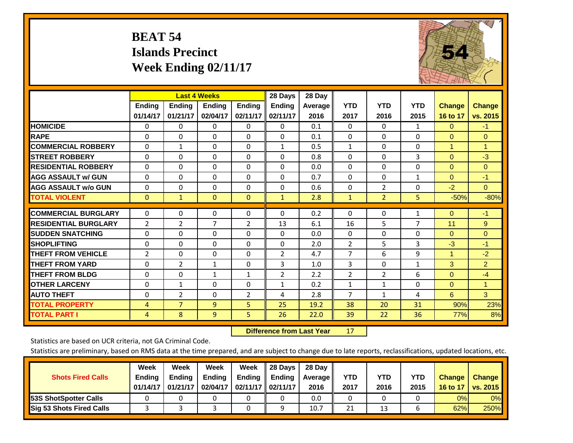# **BEAT 54 Islands Precinct Week Ending 02/11/17**



|                             |              |                | <b>Last 4 Weeks</b> |                | 28 Days       | 28 Day  |                |                |                |               |                |
|-----------------------------|--------------|----------------|---------------------|----------------|---------------|---------|----------------|----------------|----------------|---------------|----------------|
|                             | Ending       | Ending         | <b>Endina</b>       | <b>Endina</b>  | <b>Ending</b> | Average | <b>YTD</b>     | <b>YTD</b>     | <b>YTD</b>     | <b>Change</b> | <b>Change</b>  |
|                             | 01/14/17     | 01/21/17       | 02/04/17            | 02/11/17       | 02/11/17      | 2016    | 2017           | 2016           | 2015           | 16 to 17      | vs. 2015       |
| <b>HOMICIDE</b>             | 0            | $\Omega$       | 0                   | 0              | $\Omega$      | 0.1     | $\Omega$       | 0              | $\mathbf{1}$   | $\Omega$      | $-1$           |
| <b>RAPE</b>                 | $\Omega$     | 0              | $\Omega$            | 0              | 0             | 0.1     | $\Omega$       | 0              | 0              | $\mathbf{0}$  | $\Omega$       |
| <b>COMMERCIAL ROBBERY</b>   | $\Omega$     | 1              | $\Omega$            | 0              | $\mathbf{1}$  | 0.5     | $\mathbf{1}$   | $\Omega$       | $\Omega$       | 1             | $\mathbf{1}$   |
| <b>STREET ROBBERY</b>       | $\Omega$     | $\Omega$       | $\Omega$            | 0              | 0             | 0.8     | $\Omega$       | $\Omega$       | 3              | $\mathbf{0}$  | $-3$           |
| <b>RESIDENTIAL ROBBERY</b>  | $\Omega$     | $\Omega$       | $\Omega$            | $\Omega$       | $\Omega$      | 0.0     | $\mathbf{0}$   | $\Omega$       | $\Omega$       | $\mathbf{0}$  | $\Omega$       |
| <b>AGG ASSAULT w/ GUN</b>   | $\Omega$     | $\Omega$       | $\Omega$            | $\Omega$       | $\Omega$      | 0.7     | $\mathbf{0}$   | $\Omega$       | 1              | $\mathbf{0}$  | $-1$           |
| <b>AGG ASSAULT w/o GUN</b>  | $\Omega$     | 0              | $\Omega$            | 0              | 0             | 0.6     | $\Omega$       | $\overline{2}$ | $\Omega$       | $-2$          | $\Omega$       |
| <b>TOTAL VIOLENT</b>        | $\mathbf{0}$ | $\mathbf{1}$   | $\mathbf{0}$        | $\Omega$       | $\mathbf{1}$  | 2.8     | $\mathbf{1}$   | $\overline{2}$ | 5              | $-50%$        | $-80%$         |
| <b>COMMERCIAL BURGLARY</b>  | 0            | $\Omega$       | 0                   | 0              | 0             | 0.2     | 0              | 0              | 1              | $\mathbf{0}$  | $-1$           |
|                             |              |                |                     |                |               |         |                |                |                |               |                |
| <b>RESIDENTIAL BURGLARY</b> | 2            | $\overline{2}$ | 7                   | $\overline{2}$ | 13            | 6.1     | 16             | 5              | $\overline{7}$ | 11            | 9              |
| <b>ISUDDEN SNATCHING</b>    | $\Omega$     | $\Omega$       | $\Omega$            | 0              | 0             | 0.0     | $\mathbf{0}$   | $\Omega$       | 0              | $\mathbf{0}$  | $\Omega$       |
| <b>SHOPLIFTING</b>          | $\Omega$     | 0              | $\Omega$            | 0              | 0             | 2.0     | 2              | 5              | 3              | $-3$          | $-1$           |
| <b>THEFT FROM VEHICLE</b>   | 2            | $\Omega$       | $\Omega$            | $\Omega$       | 2             | 4.7     | $\overline{7}$ | 6              | 9              | 1             | $-2$           |
| <b>THEFT FROM YARD</b>      | $\Omega$     | $\overline{2}$ | $\mathbf{1}$        | $\Omega$       | 3             | 1.0     | 3              | $\Omega$       | $\mathbf{1}$   | 3             | $\overline{2}$ |
| <b>THEFT FROM BLDG</b>      | $\Omega$     | $\Omega$       | 1                   | 1              | 2             | 2.2     | $\overline{2}$ | $\overline{2}$ | 6              | $\mathbf{0}$  | $-4$           |
| <b>OTHER LARCENY</b>        | $\Omega$     | 1              | $\Omega$            | $\Omega$       | $\mathbf{1}$  | 0.2     | $\mathbf{1}$   | 1              | $\Omega$       | $\Omega$      | $\mathbf{1}$   |
| <b>AUTO THEFT</b>           | $\Omega$     | 2              | $\mathbf{0}$        | 2              | 4             | 2.8     | 7              | $\mathbf{1}$   | 4              | 6             | 3              |
| <b>TOTAL PROPERTY</b>       | 4            | $\overline{7}$ | 9                   | 5              | 25            | 19.2    | 38             | 20             | 31             | 90%           | 23%            |
| <b>TOTAL PART I</b>         | 4            | 8              | $\overline{9}$      | 5              | 26            | 22.0    | 39             | 22             | 36             | 77%           | 8%             |

 **Difference from Last Year**r 17

Statistics are based on UCR criteria, not GA Criminal Code.

|                                 | Week          | Week          | Week     | Week                 | 28 Days       | 28 Day            |      |      |            |               |               |
|---------------------------------|---------------|---------------|----------|----------------------|---------------|-------------------|------|------|------------|---------------|---------------|
| <b>Shots Fired Calls</b>        | <b>Ending</b> | <b>Endina</b> | Ending   | Ending               | <b>Ending</b> | <b>Average</b> II | YTD  | YTD  | <b>YTD</b> | <b>Change</b> | <b>Change</b> |
|                                 | 01/14/17      | 01/21/17      | 02/04/17 | 02/11/17    02/11/17 |               | 2016              | 2017 | 2016 | 2015       | 16 to 17      | vs. 2015      |
| <b>153S ShotSpotter Calls</b>   |               |               |          |                      |               | 0.0               |      |      |            | 0%            | 0%            |
| <b>Sig 53 Shots Fired Calls</b> |               |               |          |                      |               | 10.7              | 21   | 13   |            | 62%           | 250%          |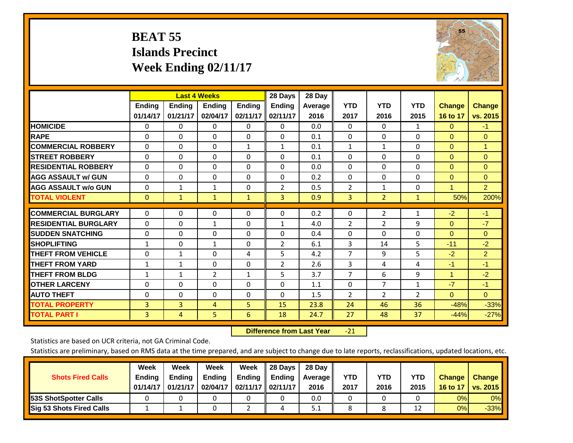# **BEAT 55 Islands Precinct Week Ending 02/11/17**



|                             | <b>Last 4 Weeks</b> |               |              |                | 28 Days        | 28 Day     |                |                |                |                |                      |
|-----------------------------|---------------------|---------------|--------------|----------------|----------------|------------|----------------|----------------|----------------|----------------|----------------------|
|                             | <b>Ending</b>       | <b>Ending</b> | Ending       | <b>Ending</b>  | <b>Ending</b>  | Average II | <b>YTD</b>     | <b>YTD</b>     | <b>YTD</b>     | <b>Change</b>  | <b>Change</b>        |
|                             | 01/14/17            | 01/21/17      | 02/04/17     | 02/11/17       | 02/11/17       | 2016       | 2017           | 2016           | 2015           | 16 to 17       | vs. 2015             |
| <b>HOMICIDE</b>             | 0                   | 0             | $\Omega$     | $\Omega$       | $\mathbf{0}$   | 0.0        | $\mathbf{0}$   | $\mathbf{0}$   | $\mathbf{1}$   | $\mathbf{0}$   | -1                   |
| <b>RAPE</b>                 | 0                   | $\Omega$      | $\Omega$     | $\Omega$       | $\Omega$       | 0.1        | $\Omega$       | $\Omega$       | 0              | $\Omega$       | $\mathbf{0}$         |
| <b>COMMERCIAL ROBBERY</b>   | $\Omega$            | 0             | $\Omega$     | 1              | 1              | 0.1        | 1              | 1              | 0              | $\mathbf{0}$   | $\blacktriangleleft$ |
| <b>ISTREET ROBBERY</b>      | $\Omega$            | $\Omega$      | $\Omega$     | $\Omega$       | $\Omega$       | 0.1        | $\Omega$       | $\Omega$       | $\Omega$       | $\Omega$       | $\Omega$             |
| <b>RESIDENTIAL ROBBERY</b>  | $\Omega$            | $\Omega$      | $\Omega$     | $\Omega$       | $\Omega$       | 0.0        | $\Omega$       | $\Omega$       | 0              | $\mathbf{0}$   | $\Omega$             |
| <b>AGG ASSAULT w/ GUN</b>   | $\Omega$            | 0             | $\mathbf{0}$ | $\Omega$       | $\Omega$       | 0.2        | $\Omega$       | $\Omega$       | 0              | $\Omega$       | $\mathbf{0}$         |
| <b>AGG ASSAULT w/o GUN</b>  | $\Omega$            | 1             | 1            | $\Omega$       | $\overline{2}$ | 0.5        | $\overline{2}$ | 1              | 0              | $\overline{1}$ | $\overline{2}$       |
| <b>TOTAL VIOLENT</b>        | $\mathbf{0}$        | $\mathbf{1}$  | $\mathbf{1}$ | $\mathbf{1}$   | 3              | 0.9        | 3              | $\overline{2}$ | 1              | 50%            | 200%                 |
| <b>COMMERCIAL BURGLARY</b>  | $\Omega$            |               |              |                | $\Omega$       |            |                |                |                |                |                      |
|                             |                     | 0             | 0            | 0              |                | 0.2        | 0              | $\overline{2}$ | 1              | $-2$           | $-1$                 |
| <b>RESIDENTIAL BURGLARY</b> | $\Omega$            | $\Omega$      | 1            | $\mathbf{0}$   | $\mathbf{1}$   | 4.0        | 2              | $\overline{2}$ | 9              | $\Omega$       | $-7$                 |
| <b>ISUDDEN SNATCHING</b>    | 0                   | 0             | $\Omega$     | $\mathbf{0}$   | $\Omega$       | 0.4        | $\Omega$       | $\Omega$       | 0              | $\Omega$       | $\mathbf{0}$         |
| <b>SHOPLIFTING</b>          | 1                   | 0             | 1            | 0              | $\overline{2}$ | 6.1        | 3              | 14             | 5              | $-11$          | $-2$                 |
| <b>THEFT FROM VEHICLE</b>   | $\Omega$            | $\mathbf{1}$  | $\Omega$     | 4              | 5              | 4.2        | $\overline{7}$ | 9              | 5              | $-2$           | $\overline{2}$       |
| <b>THEFT FROM YARD</b>      | $\mathbf{1}$        | 1             | $\Omega$     | $\mathbf 0$    | 2              | 2.6        | 3              | 4              | 4              | $-1$           | $-1$                 |
| <b>THEFT FROM BLDG</b>      | 1                   | 1             | 2            | $\mathbf{1}$   | 5              | 3.7        | $\overline{7}$ | 6              | 9              | 1              | $-2$                 |
| <b>OTHER LARCENY</b>        | 0                   | 0             | $\mathbf{0}$ | $\Omega$       | 0              | 1.1        | $\Omega$       | 7              | $\mathbf{1}$   | $-7$           | $-1$                 |
| <b>AUTO THEFT</b>           | 0                   | 0             | $\Omega$     | $\mathbf 0$    | $\Omega$       | 1.5        | $\overline{2}$ | 2              | $\overline{2}$ | $\Omega$       | $\overline{0}$       |
| <b>TOTAL PROPERTY</b>       | 3                   | 3             | 4            | 5 <sup>1</sup> | 15             | 23.8       | 24             | 46             | 36             | $-48%$         | $-33%$               |
| <b>TOTAL PART I</b>         | 3                   | 4             | 5            | 6              | 18             | 24.7       | 27             | 48             | 37             | $-44%$         | $-27%$               |

 **Difference from Last Year**‐21

Statistics are based on UCR criteria, not GA Criminal Code.

|                                 | Week          | Week     | Week          | Week                 | 28 Days       | 28 Day            |      |      |            |               |               |
|---------------------------------|---------------|----------|---------------|----------------------|---------------|-------------------|------|------|------------|---------------|---------------|
| <b>Shots Fired Calls</b>        | <b>Ending</b> | Ending   | <b>Ending</b> | Ending               | <b>Ending</b> | <b>Average</b> II | YTD  | YTD  | <b>YTD</b> | <b>Change</b> | <b>Change</b> |
|                                 | 01/14/17      | 01/21/17 | 02/04/17      | 02/11/17    02/11/17 |               | 2016              | 2017 | 2016 | 2015       | 16 to 17      | vs. 2015      |
| <b>153S ShotSpotter Calls</b>   |               |          |               |                      |               | 0.0               |      |      |            | 0%            | 0%            |
| <b>Sig 53 Shots Fired Calls</b> |               |          |               |                      |               | 5.1               |      |      |            | 0%            | $-33%$        |